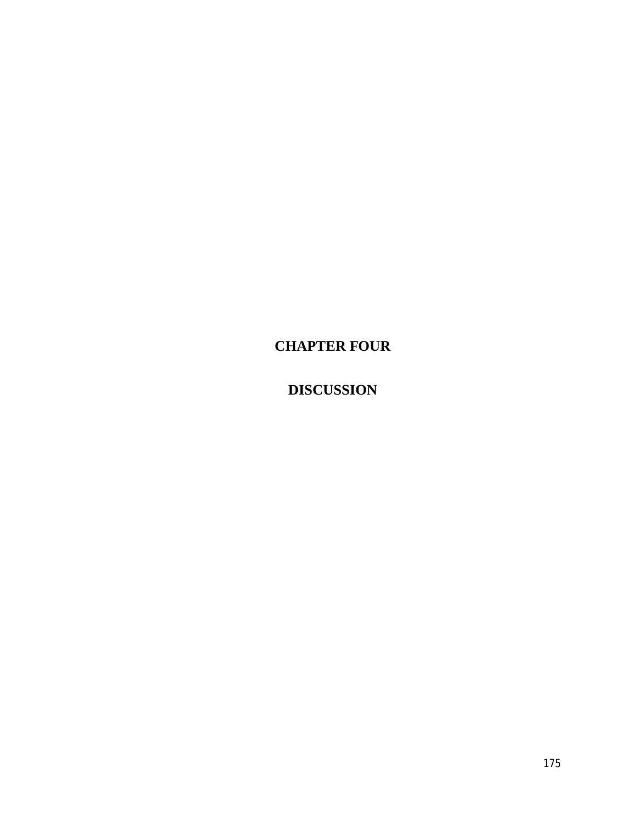**CHAPTER FOUR**

**DISCUSSION**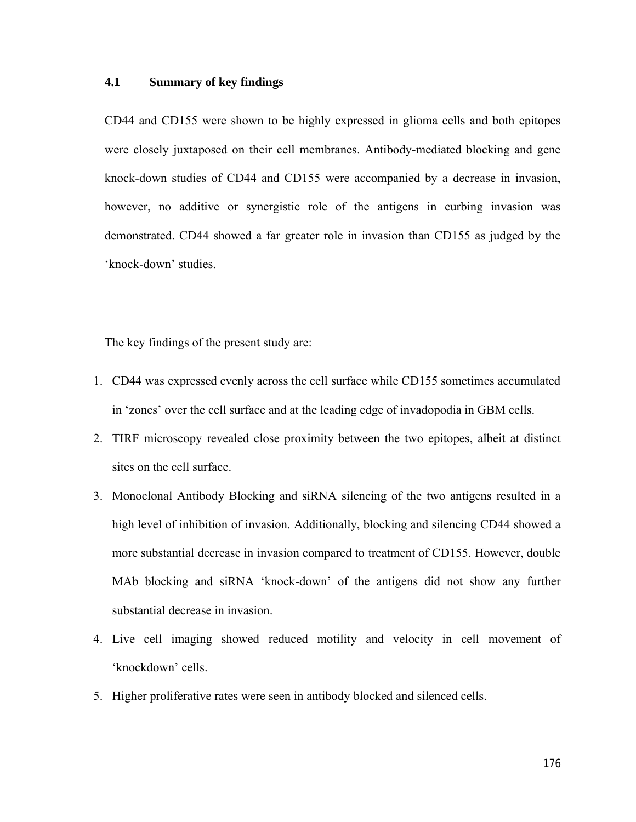## **4.1 Summary of key findings**

CD44 and CD155 were shown to be highly expressed in glioma cells and both epitopes were closely juxtaposed on their cell membranes. Antibody-mediated blocking and gene knock-down studies of CD44 and CD155 were accompanied by a decrease in invasion, however, no additive or synergistic role of the antigens in curbing invasion was demonstrated. CD44 showed a far greater role in invasion than CD155 as judged by the 'knock-down' studies.

The key findings of the present study are:

- 1. CD44 was expressed evenly across the cell surface while CD155 sometimes accumulated in 'zones' over the cell surface and at the leading edge of invadopodia in GBM cells.
- 2. TIRF microscopy revealed close proximity between the two epitopes, albeit at distinct sites on the cell surface.
- 3. Monoclonal Antibody Blocking and siRNA silencing of the two antigens resulted in a high level of inhibition of invasion. Additionally, blocking and silencing CD44 showed a more substantial decrease in invasion compared to treatment of CD155. However, double MAb blocking and siRNA 'knock-down' of the antigens did not show any further substantial decrease in invasion.
- 4. Live cell imaging showed reduced motility and velocity in cell movement of 'knockdown' cells.
- 5. Higher proliferative rates were seen in antibody blocked and silenced cells.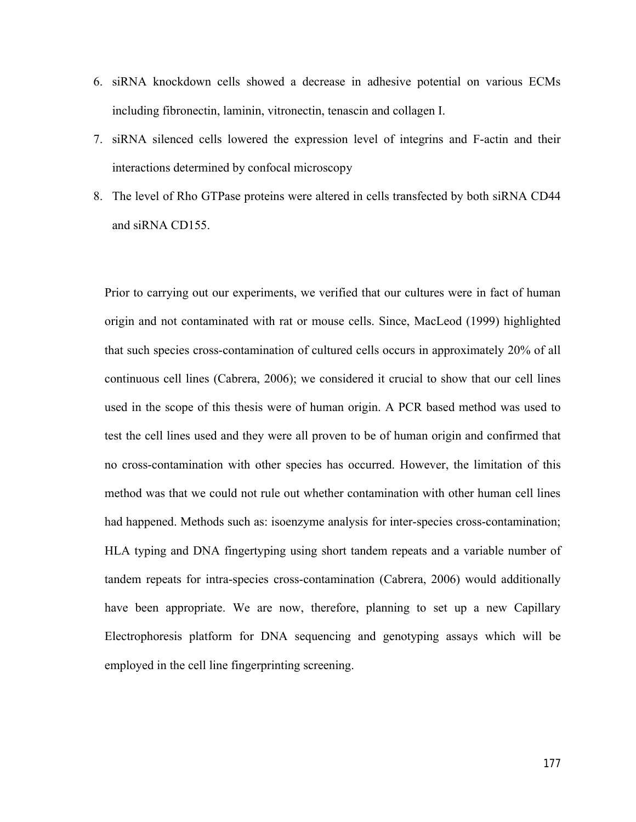- 6. siRNA knockdown cells showed a decrease in adhesive potential on various ECMs including fibronectin, laminin, vitronectin, tenascin and collagen I.
- 7. siRNA silenced cells lowered the expression level of integrins and F-actin and their interactions determined by confocal microscopy
- 8. The level of Rho GTPase proteins were altered in cells transfected by both siRNA CD44 and siRNA CD155.

Prior to carrying out our experiments, we verified that our cultures were in fact of human origin and not contaminated with rat or mouse cells. Since, MacLeod (1999) highlighted that such species cross-contamination of cultured cells occurs in approximately 20% of all continuous cell lines (Cabrera, 2006); we considered it crucial to show that our cell lines used in the scope of this thesis were of human origin. A PCR based method was used to test the cell lines used and they were all proven to be of human origin and confirmed that no cross-contamination with other species has occurred. However, the limitation of this method was that we could not rule out whether contamination with other human cell lines had happened. Methods such as: isoenzyme analysis for inter-species cross-contamination; HLA typing and DNA fingertyping using short tandem repeats and a variable number of tandem repeats for intra-species cross-contamination (Cabrera, 2006) would additionally have been appropriate. We are now, therefore, planning to set up a new Capillary Electrophoresis platform for DNA sequencing and genotyping assays which will be employed in the cell line fingerprinting screening.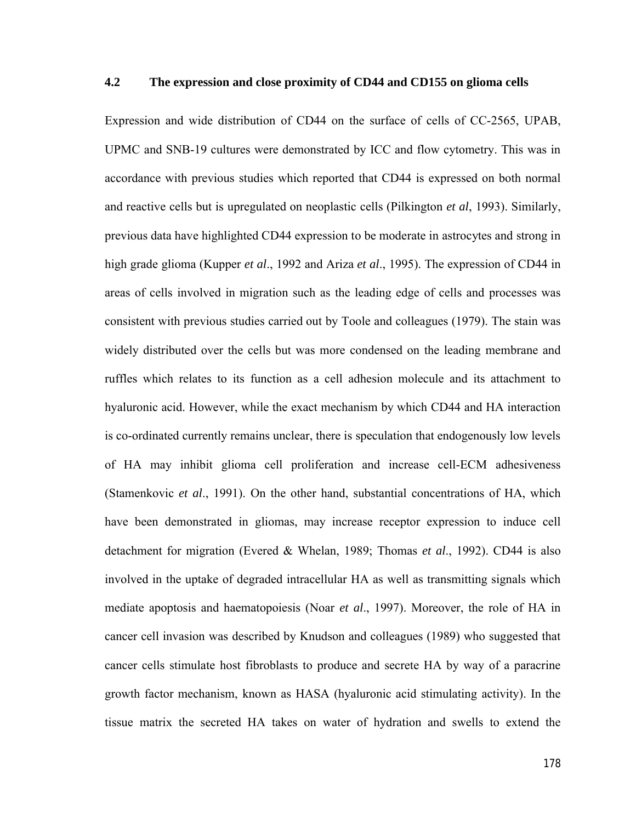### **4.2 The expression and close proximity of CD44 and CD155 on glioma cells**

Expression and wide distribution of CD44 on the surface of cells of CC-2565, UPAB, UPMC and SNB-19 cultures were demonstrated by ICC and flow cytometry. This was in accordance with previous studies which reported that CD44 is expressed on both normal and reactive cells but is upregulated on neoplastic cells (Pilkington *et al*, 1993). Similarly, previous data have highlighted CD44 expression to be moderate in astrocytes and strong in high grade glioma (Kupper *et al*., 1992 and Ariza *et al*., 1995). The expression of CD44 in areas of cells involved in migration such as the leading edge of cells and processes was consistent with previous studies carried out by Toole and colleagues (1979). The stain was widely distributed over the cells but was more condensed on the leading membrane and ruffles which relates to its function as a cell adhesion molecule and its attachment to hyaluronic acid. However, while the exact mechanism by which CD44 and HA interaction is co-ordinated currently remains unclear, there is speculation that endogenously low levels of HA may inhibit glioma cell proliferation and increase cell-ECM adhesiveness (Stamenkovic *et al*., 1991). On the other hand, substantial concentrations of HA, which have been demonstrated in gliomas, may increase receptor expression to induce cell detachment for migration (Evered & Whelan, 1989; Thomas *et al*., 1992). CD44 is also involved in the uptake of degraded intracellular HA as well as transmitting signals which mediate apoptosis and haematopoiesis (Noar *et al*., 1997). Moreover, the role of HA in cancer cell invasion was described by Knudson and colleagues (1989) who suggested that cancer cells stimulate host fibroblasts to produce and secrete HA by way of a paracrine growth factor mechanism, known as HASA (hyaluronic acid stimulating activity). In the tissue matrix the secreted HA takes on water of hydration and swells to extend the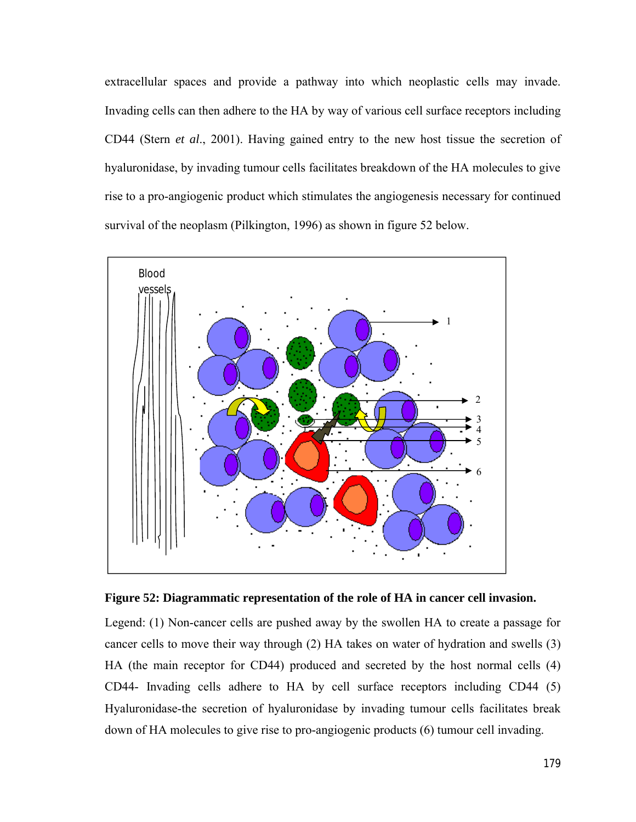extracellular spaces and provide a pathway into which neoplastic cells may invade. Invading cells can then adhere to the HA by way of various cell surface receptors including CD44 (Stern *et al*., 2001). Having gained entry to the new host tissue the secretion of hyaluronidase, by invading tumour cells facilitates breakdown of the HA molecules to give rise to a pro-angiogenic product which stimulates the angiogenesis necessary for continued survival of the neoplasm (Pilkington, 1996) as shown in figure 52 below.





Legend: (1) Non-cancer cells are pushed away by the swollen HA to create a passage for cancer cells to move their way through (2) HA takes on water of hydration and swells (3) HA (the main receptor for CD44) produced and secreted by the host normal cells (4) CD44- Invading cells adhere to HA by cell surface receptors including CD44 (5) Hyaluronidase-the secretion of hyaluronidase by invading tumour cells facilitates break down of HA molecules to give rise to pro-angiogenic products (6) tumour cell invading.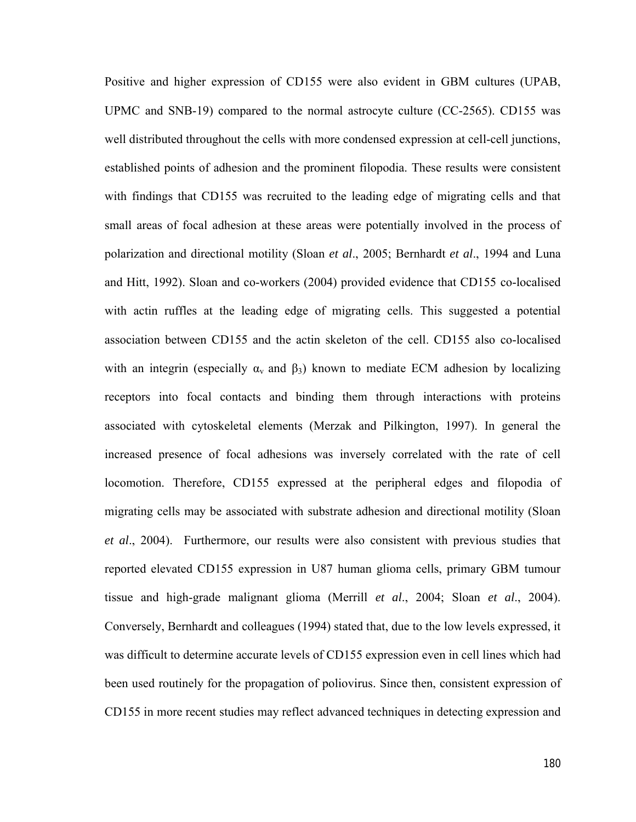Positive and higher expression of CD155 were also evident in GBM cultures (UPAB, UPMC and SNB-19) compared to the normal astrocyte culture (CC-2565). CD155 was well distributed throughout the cells with more condensed expression at cell-cell junctions, established points of adhesion and the prominent filopodia. These results were consistent with findings that CD155 was recruited to the leading edge of migrating cells and that small areas of focal adhesion at these areas were potentially involved in the process of polarization and directional motility (Sloan *et al*., 2005; Bernhardt *et al*., 1994 and Luna and Hitt, 1992). Sloan and co-workers (2004) provided evidence that CD155 co-localised with actin ruffles at the leading edge of migrating cells. This suggested a potential association between CD155 and the actin skeleton of the cell. CD155 also co-localised with an integrin (especially  $\alpha_v$  and  $\beta_3$ ) known to mediate ECM adhesion by localizing receptors into focal contacts and binding them through interactions with proteins associated with cytoskeletal elements (Merzak and Pilkington, 1997). In general the increased presence of focal adhesions was inversely correlated with the rate of cell locomotion. Therefore, CD155 expressed at the peripheral edges and filopodia of migrating cells may be associated with substrate adhesion and directional motility (Sloan *et al*., 2004). Furthermore, our results were also consistent with previous studies that reported elevated CD155 expression in U87 human glioma cells, primary GBM tumour tissue and high-grade malignant glioma (Merrill *et al*., 2004; Sloan *et al*., 2004). Conversely, Bernhardt and colleagues (1994) stated that, due to the low levels expressed, it was difficult to determine accurate levels of CD155 expression even in cell lines which had been used routinely for the propagation of poliovirus. Since then, consistent expression of CD155 in more recent studies may reflect advanced techniques in detecting expression and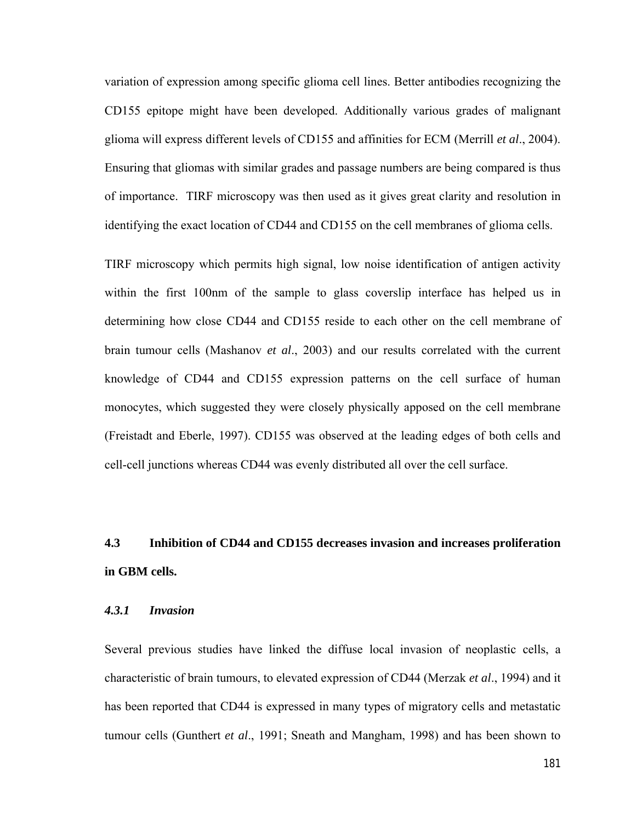variation of expression among specific glioma cell lines. Better antibodies recognizing the CD155 epitope might have been developed. Additionally various grades of malignant glioma will express different levels of CD155 and affinities for ECM (Merrill *et al*., 2004). Ensuring that gliomas with similar grades and passage numbers are being compared is thus of importance. TIRF microscopy was then used as it gives great clarity and resolution in identifying the exact location of CD44 and CD155 on the cell membranes of glioma cells.

TIRF microscopy which permits high signal, low noise identification of antigen activity within the first 100nm of the sample to glass coverslip interface has helped us in determining how close CD44 and CD155 reside to each other on the cell membrane of brain tumour cells (Mashanov *et al*., 2003) and our results correlated with the current knowledge of CD44 and CD155 expression patterns on the cell surface of human monocytes, which suggested they were closely physically apposed on the cell membrane (Freistadt and Eberle, 1997). CD155 was observed at the leading edges of both cells and cell-cell junctions whereas CD44 was evenly distributed all over the cell surface.

# **4.3 Inhibition of CD44 and CD155 decreases invasion and increases proliferation in GBM cells.**

## *4.3.1 Invasion*

Several previous studies have linked the diffuse local invasion of neoplastic cells, a characteristic of brain tumours, to elevated expression of CD44 (Merzak *et al*., 1994) and it has been reported that CD44 is expressed in many types of migratory cells and metastatic tumour cells (Gunthert *et al*., 1991; Sneath and Mangham, 1998) and has been shown to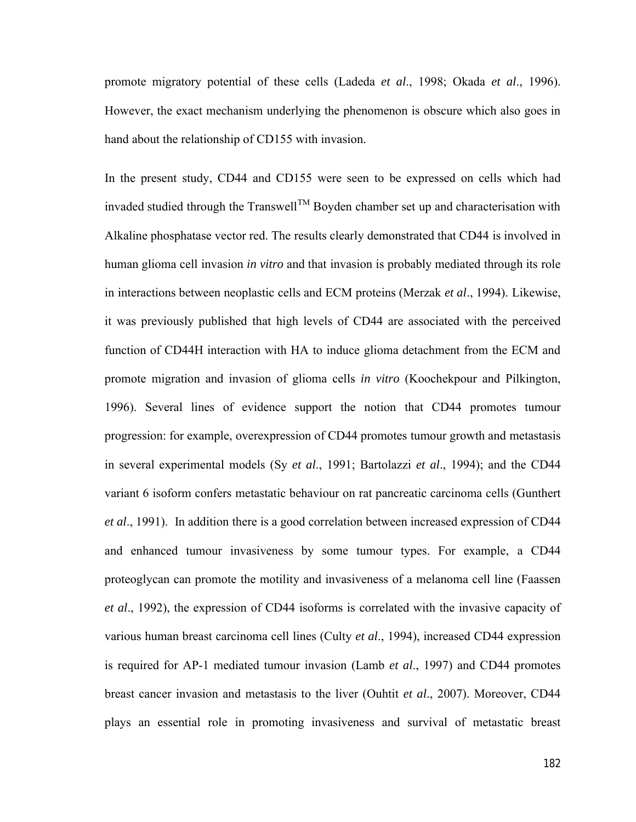promote migratory potential of these cells (Ladeda *et al*., 1998; Okada *et al*., 1996). However, the exact mechanism underlying the phenomenon is obscure which also goes in hand about the relationship of CD155 with invasion.

In the present study, CD44 and CD155 were seen to be expressed on cells which had invaded studied through the Transwell<sup>TM</sup> Boyden chamber set up and characterisation with Alkaline phosphatase vector red. The results clearly demonstrated that CD44 is involved in human glioma cell invasion *in vitro* and that invasion is probably mediated through its role in interactions between neoplastic cells and ECM proteins (Merzak *et al*., 1994). Likewise, it was previously published that high levels of CD44 are associated with the perceived function of CD44H interaction with HA to induce glioma detachment from the ECM and promote migration and invasion of glioma cells *in vitro* (Koochekpour and Pilkington, 1996). Several lines of evidence support the notion that CD44 promotes tumour progression: for example, overexpression of CD44 promotes tumour growth and metastasis in several experimental models (Sy *et al*., 1991; Bartolazzi *et al*., 1994); and the CD44 variant 6 isoform confers metastatic behaviour on rat pancreatic carcinoma cells (Gunthert *et al*., 1991). In addition there is a good correlation between increased expression of CD44 and enhanced tumour invasiveness by some tumour types. For example, a CD44 proteoglycan can promote the motility and invasiveness of a melanoma cell line (Faassen *et al*., 1992), the expression of CD44 isoforms is correlated with the invasive capacity of various human breast carcinoma cell lines (Culty *et al*., 1994), increased CD44 expression is required for AP-1 mediated tumour invasion (Lamb *et al*., 1997) and CD44 promotes breast cancer invasion and metastasis to the liver (Ouhtit *et al*., 2007). Moreover, CD44 plays an essential role in promoting invasiveness and survival of metastatic breast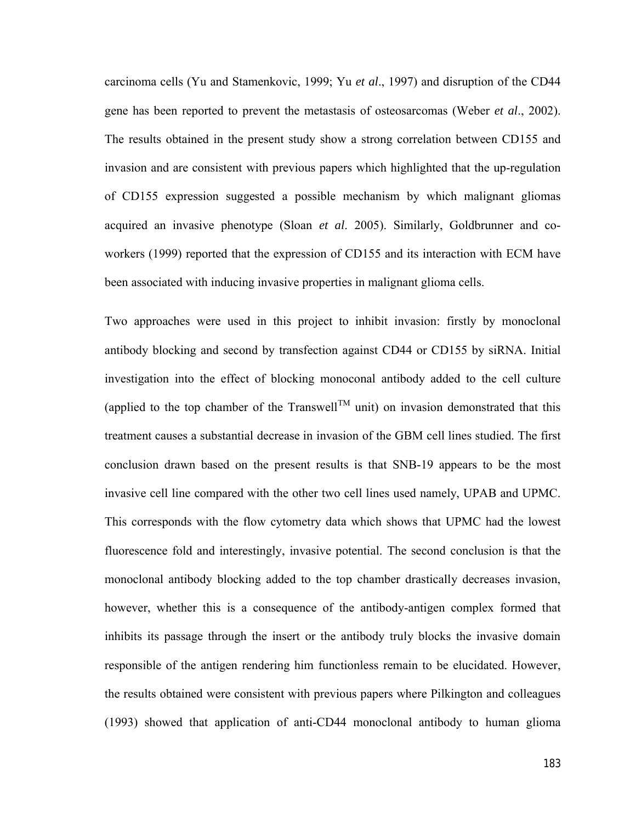carcinoma cells (Yu and Stamenkovic, 1999; Yu *et al*., 1997) and disruption of the CD44 gene has been reported to prevent the metastasis of osteosarcomas (Weber *et al*., 2002). The results obtained in the present study show a strong correlation between CD155 and invasion and are consistent with previous papers which highlighted that the up-regulation of CD155 expression suggested a possible mechanism by which malignant gliomas acquired an invasive phenotype (Sloan *et al*. 2005). Similarly, Goldbrunner and coworkers (1999) reported that the expression of CD155 and its interaction with ECM have been associated with inducing invasive properties in malignant glioma cells.

Two approaches were used in this project to inhibit invasion: firstly by monoclonal antibody blocking and second by transfection against CD44 or CD155 by siRNA. Initial investigation into the effect of blocking monoconal antibody added to the cell culture (applied to the top chamber of the Transwell<sup>TM</sup> unit) on invasion demonstrated that this treatment causes a substantial decrease in invasion of the GBM cell lines studied. The first conclusion drawn based on the present results is that SNB-19 appears to be the most invasive cell line compared with the other two cell lines used namely, UPAB and UPMC. This corresponds with the flow cytometry data which shows that UPMC had the lowest fluorescence fold and interestingly, invasive potential. The second conclusion is that the monoclonal antibody blocking added to the top chamber drastically decreases invasion, however, whether this is a consequence of the antibody-antigen complex formed that inhibits its passage through the insert or the antibody truly blocks the invasive domain responsible of the antigen rendering him functionless remain to be elucidated. However, the results obtained were consistent with previous papers where Pilkington and colleagues (1993) showed that application of anti-CD44 monoclonal antibody to human glioma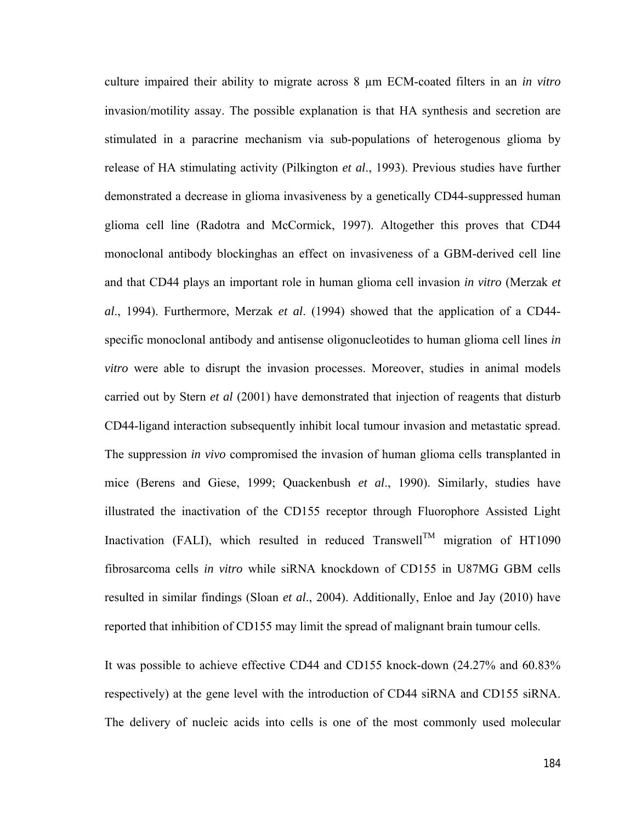culture impaired their ability to migrate across 8 µm ECM-coated filters in an *in vitro* invasion/motility assay. The possible explanation is that HA synthesis and secretion are stimulated in a paracrine mechanism via sub-populations of heterogenous glioma by release of HA stimulating activity (Pilkington *et al*., 1993). Previous studies have further demonstrated a decrease in glioma invasiveness by a genetically CD44-suppressed human glioma cell line (Radotra and McCormick, 1997). Altogether this proves that CD44 monoclonal antibody blockinghas an effect on invasiveness of a GBM-derived cell line and that CD44 plays an important role in human glioma cell invasion *in vitro* (Merzak *et al*., 1994). Furthermore, Merzak *et al*. (1994) showed that the application of a CD44 specific monoclonal antibody and antisense oligonucleotides to human glioma cell lines *in vitro* were able to disrupt the invasion processes. Moreover, studies in animal models carried out by Stern *et al* (2001) have demonstrated that injection of reagents that disturb CD44-ligand interaction subsequently inhibit local tumour invasion and metastatic spread. The suppression *in vivo* compromised the invasion of human glioma cells transplanted in mice (Berens and Giese, 1999; Quackenbush *et al*., 1990). Similarly, studies have illustrated the inactivation of the CD155 receptor through Fluorophore Assisted Light Inactivation (FALI), which resulted in reduced Transwell<sup>TM</sup> migration of HT1090 fibrosarcoma cells *in vitro* while siRNA knockdown of CD155 in U87MG GBM cells resulted in similar findings (Sloan *et al*., 2004). Additionally, Enloe and Jay (2010) have reported that inhibition of CD155 may limit the spread of malignant brain tumour cells.

It was possible to achieve effective CD44 and CD155 knock-down (24.27% and 60.83% respectively) at the gene level with the introduction of CD44 siRNA and CD155 siRNA. The delivery of nucleic acids into cells is one of the most commonly used molecular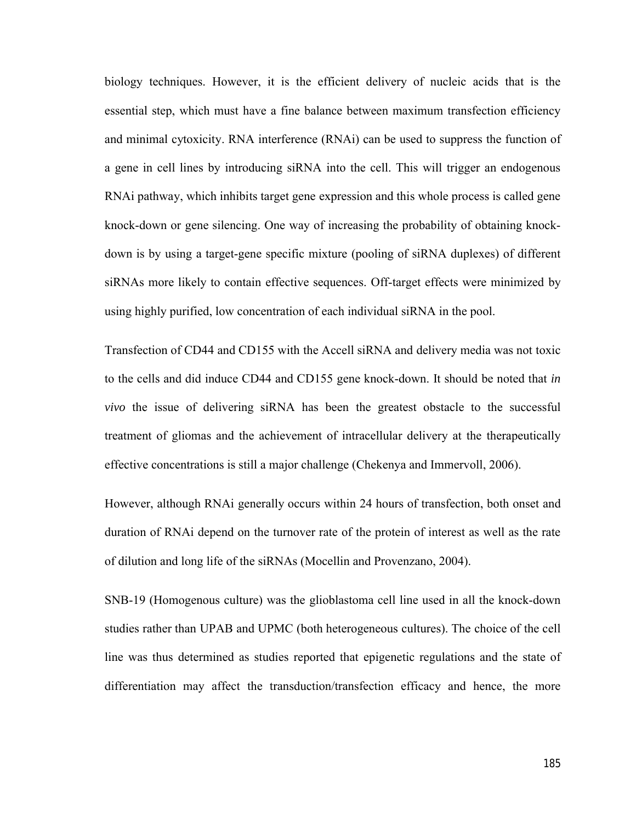biology techniques. However, it is the efficient delivery of nucleic acids that is the essential step, which must have a fine balance between maximum transfection efficiency and minimal cytoxicity. RNA interference (RNAi) can be used to suppress the function of a gene in cell lines by introducing siRNA into the cell. This will trigger an endogenous RNAi pathway, which inhibits target gene expression and this whole process is called gene knock-down or gene silencing. One way of increasing the probability of obtaining knockdown is by using a target-gene specific mixture (pooling of siRNA duplexes) of different siRNAs more likely to contain effective sequences. Off-target effects were minimized by using highly purified, low concentration of each individual siRNA in the pool.

Transfection of CD44 and CD155 with the Accell siRNA and delivery media was not toxic to the cells and did induce CD44 and CD155 gene knock-down. It should be noted that *in vivo* the issue of delivering siRNA has been the greatest obstacle to the successful treatment of gliomas and the achievement of intracellular delivery at the therapeutically effective concentrations is still a major challenge (Chekenya and Immervoll, 2006).

However, although RNAi generally occurs within 24 hours of transfection, both onset and duration of RNAi depend on the turnover rate of the protein of interest as well as the rate of dilution and long life of the siRNAs (Mocellin and Provenzano, 2004).

SNB-19 (Homogenous culture) was the glioblastoma cell line used in all the knock-down studies rather than UPAB and UPMC (both heterogeneous cultures). The choice of the cell line was thus determined as studies reported that epigenetic regulations and the state of differentiation may affect the transduction/transfection efficacy and hence, the more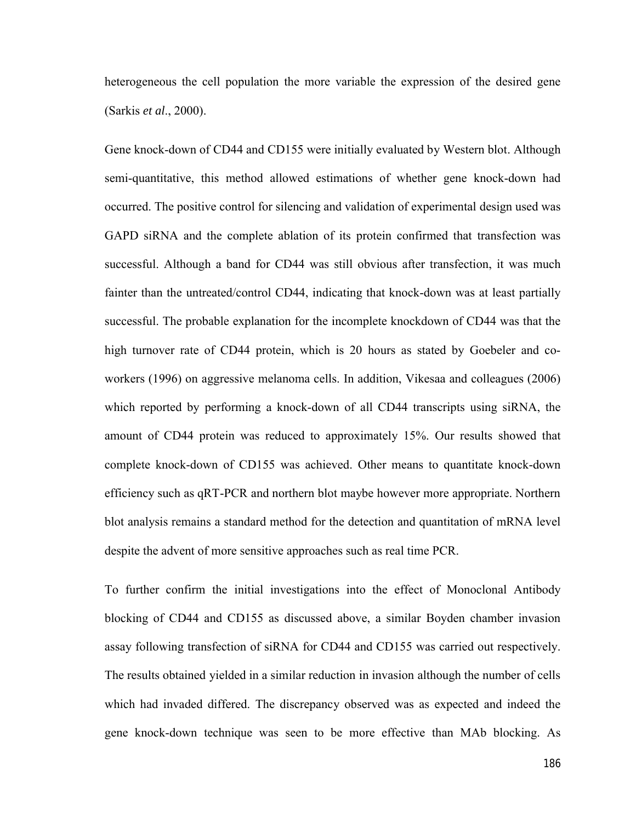heterogeneous the cell population the more variable the expression of the desired gene (Sarkis *et al*., 2000).

Gene knock-down of CD44 and CD155 were initially evaluated by Western blot. Although semi-quantitative, this method allowed estimations of whether gene knock-down had occurred. The positive control for silencing and validation of experimental design used was GAPD siRNA and the complete ablation of its protein confirmed that transfection was successful. Although a band for CD44 was still obvious after transfection, it was much fainter than the untreated/control CD44, indicating that knock-down was at least partially successful. The probable explanation for the incomplete knockdown of CD44 was that the high turnover rate of CD44 protein, which is 20 hours as stated by Goebeler and coworkers (1996) on aggressive melanoma cells. In addition, Vikesaa and colleagues (2006) which reported by performing a knock-down of all CD44 transcripts using siRNA, the amount of CD44 protein was reduced to approximately 15%. Our results showed that complete knock-down of CD155 was achieved. Other means to quantitate knock-down efficiency such as qRT-PCR and northern blot maybe however more appropriate. Northern blot analysis remains a standard method for the detection and quantitation of mRNA level despite the advent of more sensitive approaches such as real time PCR.

To further confirm the initial investigations into the effect of Monoclonal Antibody blocking of CD44 and CD155 as discussed above, a similar Boyden chamber invasion assay following transfection of siRNA for CD44 and CD155 was carried out respectively. The results obtained yielded in a similar reduction in invasion although the number of cells which had invaded differed. The discrepancy observed was as expected and indeed the gene knock-down technique was seen to be more effective than MAb blocking. As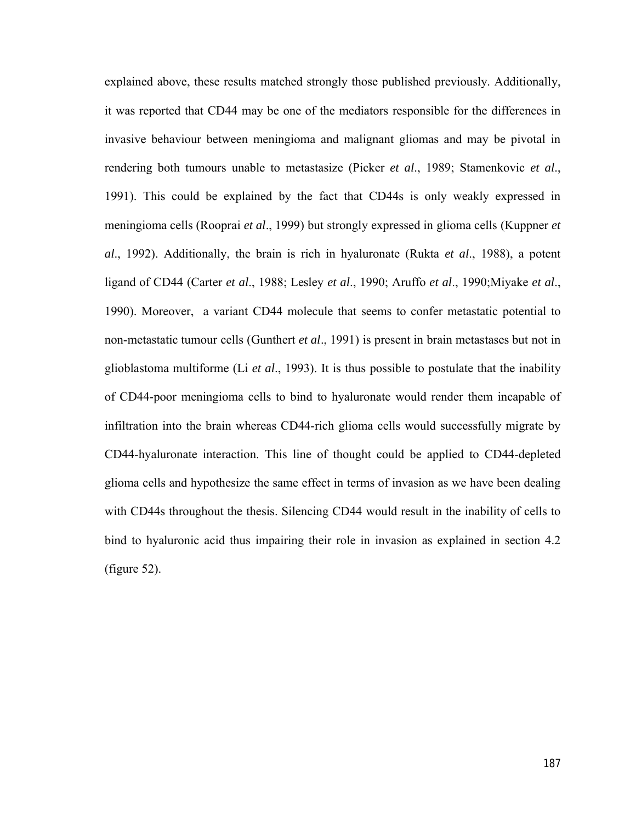explained above, these results matched strongly those published previously. Additionally, it was reported that CD44 may be one of the mediators responsible for the differences in invasive behaviour between meningioma and malignant gliomas and may be pivotal in rendering both tumours unable to metastasize (Picker *et al*., 1989; Stamenkovic *et al*., 1991). This could be explained by the fact that CD44s is only weakly expressed in meningioma cells (Rooprai *et al*., 1999) but strongly expressed in glioma cells (Kuppner *et al*., 1992). Additionally, the brain is rich in hyaluronate (Rukta *et al*., 1988), a potent ligand of CD44 (Carter *et al*., 1988; Lesley *et al*., 1990; Aruffo *et al*., 1990;Miyake *et al*., 1990). Moreover, a variant CD44 molecule that seems to confer metastatic potential to non-metastatic tumour cells (Gunthert *et al*., 1991) is present in brain metastases but not in glioblastoma multiforme (Li *et al*., 1993). It is thus possible to postulate that the inability of CD44-poor meningioma cells to bind to hyaluronate would render them incapable of infiltration into the brain whereas CD44-rich glioma cells would successfully migrate by CD44-hyaluronate interaction. This line of thought could be applied to CD44-depleted glioma cells and hypothesize the same effect in terms of invasion as we have been dealing with CD44s throughout the thesis. Silencing CD44 would result in the inability of cells to bind to hyaluronic acid thus impairing their role in invasion as explained in section 4.2 (figure 52).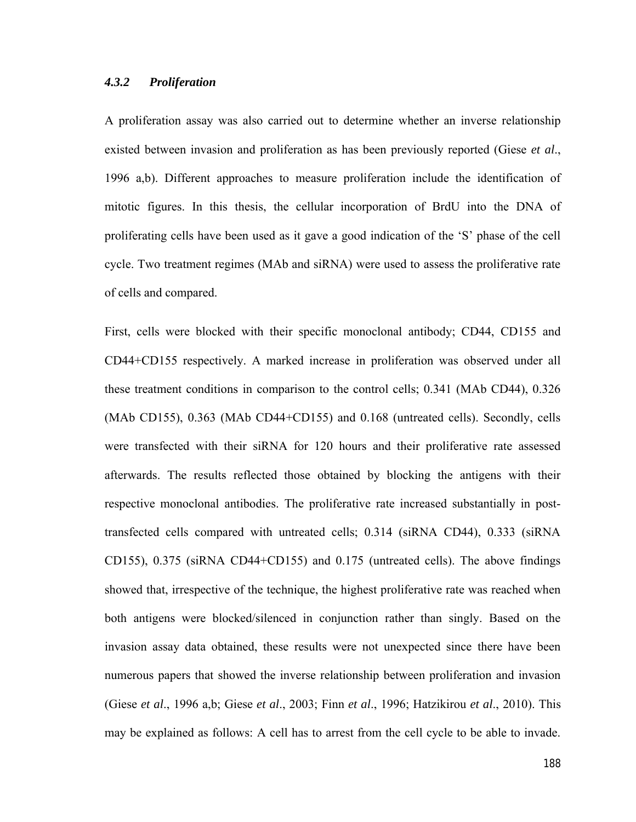## *4.3.2 Proliferation*

A proliferation assay was also carried out to determine whether an inverse relationship existed between invasion and proliferation as has been previously reported (Giese *et al*., 1996 a,b). Different approaches to measure proliferation include the identification of mitotic figures. In this thesis, the cellular incorporation of BrdU into the DNA of proliferating cells have been used as it gave a good indication of the 'S' phase of the cell cycle. Two treatment regimes (MAb and siRNA) were used to assess the proliferative rate of cells and compared.

First, cells were blocked with their specific monoclonal antibody; CD44, CD155 and CD44+CD155 respectively. A marked increase in proliferation was observed under all these treatment conditions in comparison to the control cells; 0.341 (MAb CD44), 0.326 (MAb CD155), 0.363 (MAb CD44+CD155) and 0.168 (untreated cells). Secondly, cells were transfected with their siRNA for 120 hours and their proliferative rate assessed afterwards. The results reflected those obtained by blocking the antigens with their respective monoclonal antibodies. The proliferative rate increased substantially in posttransfected cells compared with untreated cells; 0.314 (siRNA CD44), 0.333 (siRNA CD155), 0.375 (siRNA CD44+CD155) and 0.175 (untreated cells). The above findings showed that, irrespective of the technique, the highest proliferative rate was reached when both antigens were blocked/silenced in conjunction rather than singly. Based on the invasion assay data obtained, these results were not unexpected since there have been numerous papers that showed the inverse relationship between proliferation and invasion (Giese *et al*., 1996 a,b; Giese *et al*., 2003; Finn *et al*., 1996; Hatzikirou *et al*., 2010). This may be explained as follows: A cell has to arrest from the cell cycle to be able to invade.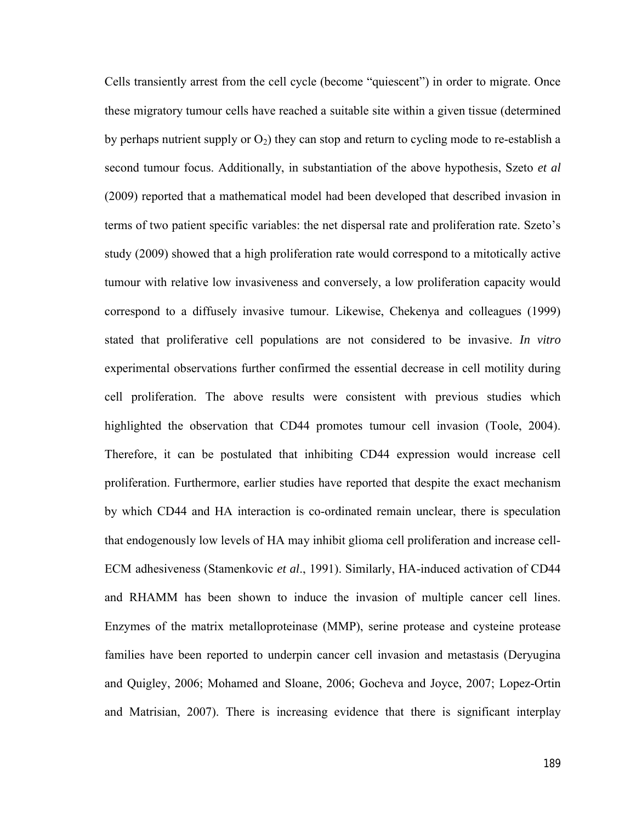Cells transiently arrest from the cell cycle (become "quiescent") in order to migrate. Once these migratory tumour cells have reached a suitable site within a given tissue (determined by perhaps nutrient supply or  $O_2$ ) they can stop and return to cycling mode to re-establish a second tumour focus. Additionally, in substantiation of the above hypothesis, Szeto *et al* (2009) reported that a mathematical model had been developed that described invasion in terms of two patient specific variables: the net dispersal rate and proliferation rate. Szeto's study (2009) showed that a high proliferation rate would correspond to a mitotically active tumour with relative low invasiveness and conversely, a low proliferation capacity would correspond to a diffusely invasive tumour. Likewise, Chekenya and colleagues (1999) stated that proliferative cell populations are not considered to be invasive. *In vitro* experimental observations further confirmed the essential decrease in cell motility during cell proliferation. The above results were consistent with previous studies which highlighted the observation that CD44 promotes tumour cell invasion (Toole, 2004). Therefore, it can be postulated that inhibiting CD44 expression would increase cell proliferation. Furthermore, earlier studies have reported that despite the exact mechanism by which CD44 and HA interaction is co-ordinated remain unclear, there is speculation that endogenously low levels of HA may inhibit glioma cell proliferation and increase cell-ECM adhesiveness (Stamenkovic *et al*., 1991). Similarly, HA-induced activation of CD44 and RHAMM has been shown to induce the invasion of multiple cancer cell lines. Enzymes of the matrix metalloproteinase (MMP), serine protease and cysteine protease families have been reported to underpin cancer cell invasion and metastasis (Deryugina and Quigley, 2006; Mohamed and Sloane, 2006; Gocheva and Joyce, 2007; Lopez-Ortin and Matrisian, 2007). There is increasing evidence that there is significant interplay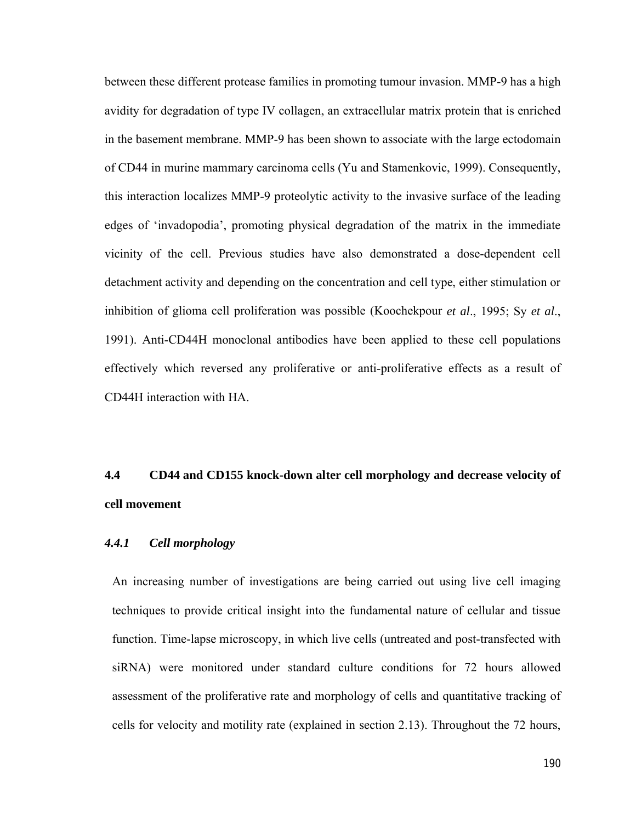between these different protease families in promoting tumour invasion. MMP-9 has a high avidity for degradation of type IV collagen, an extracellular matrix protein that is enriched in the basement membrane. MMP-9 has been shown to associate with the large ectodomain of CD44 in murine mammary carcinoma cells (Yu and Stamenkovic, 1999). Consequently, this interaction localizes MMP-9 proteolytic activity to the invasive surface of the leading edges of 'invadopodia', promoting physical degradation of the matrix in the immediate vicinity of the cell. Previous studies have also demonstrated a dose-dependent cell detachment activity and depending on the concentration and cell type, either stimulation or inhibition of glioma cell proliferation was possible (Koochekpour *et al*., 1995; Sy *et al*., 1991). Anti-CD44H monoclonal antibodies have been applied to these cell populations effectively which reversed any proliferative or anti-proliferative effects as a result of CD44H interaction with HA.

# **4.4 CD44 and CD155 knock-down alter cell morphology and decrease velocity of cell movement**

## *4.4.1 Cell morphology*

An increasing number of investigations are being carried out using live cell imaging techniques to provide critical insight into the fundamental nature of cellular and tissue function. Time-lapse microscopy, in which live cells (untreated and post-transfected with siRNA) were monitored under standard culture conditions for 72 hours allowed assessment of the proliferative rate and morphology of cells and quantitative tracking of cells for velocity and motility rate (explained in section 2.13). Throughout the 72 hours,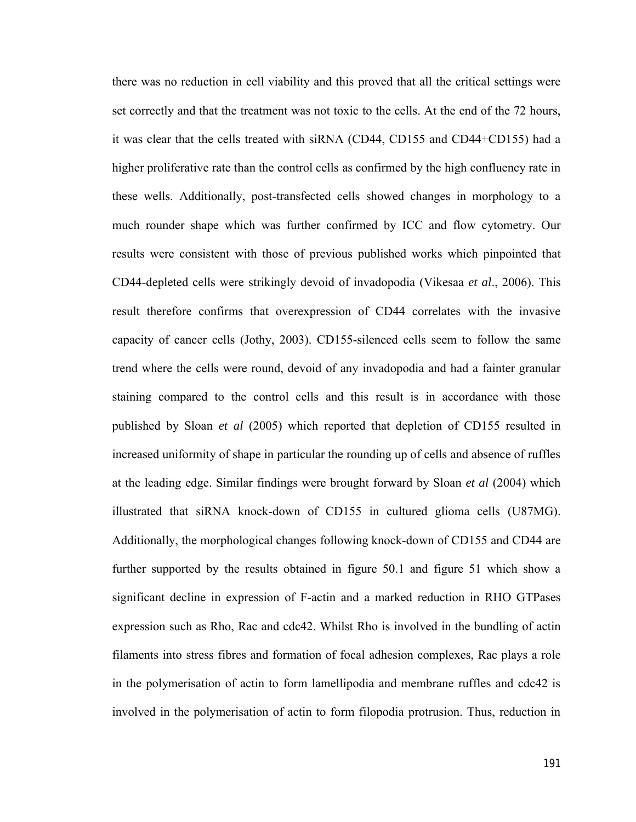there was no reduction in cell viability and this proved that all the critical settings were set correctly and that the treatment was not toxic to the cells. At the end of the 72 hours, it was clear that the cells treated with siRNA (CD44, CD155 and CD44+CD155) had a higher proliferative rate than the control cells as confirmed by the high confluency rate in these wells. Additionally, post-transfected cells showed changes in morphology to a much rounder shape which was further confirmed by ICC and flow cytometry. Our results were consistent with those of previous published works which pinpointed that CD44-depleted cells were strikingly devoid of invadopodia (Vikesaa *et al*., 2006). This result therefore confirms that overexpression of CD44 correlates with the invasive capacity of cancer cells (Jothy, 2003). CD155-silenced cells seem to follow the same trend where the cells were round, devoid of any invadopodia and had a fainter granular staining compared to the control cells and this result is in accordance with those published by Sloan *et al* (2005) which reported that depletion of CD155 resulted in increased uniformity of shape in particular the rounding up of cells and absence of ruffles at the leading edge. Similar findings were brought forward by Sloan *et al* (2004) which illustrated that siRNA knock-down of CD155 in cultured glioma cells (U87MG). Additionally, the morphological changes following knock-down of CD155 and CD44 are further supported by the results obtained in figure 50.1 and figure 51 which show a significant decline in expression of F-actin and a marked reduction in RHO GTPases expression such as Rho, Rac and cdc42. Whilst Rho is involved in the bundling of actin filaments into stress fibres and formation of focal adhesion complexes, Rac plays a role in the polymerisation of actin to form lamellipodia and membrane ruffles and cdc42 is involved in the polymerisation of actin to form filopodia protrusion. Thus, reduction in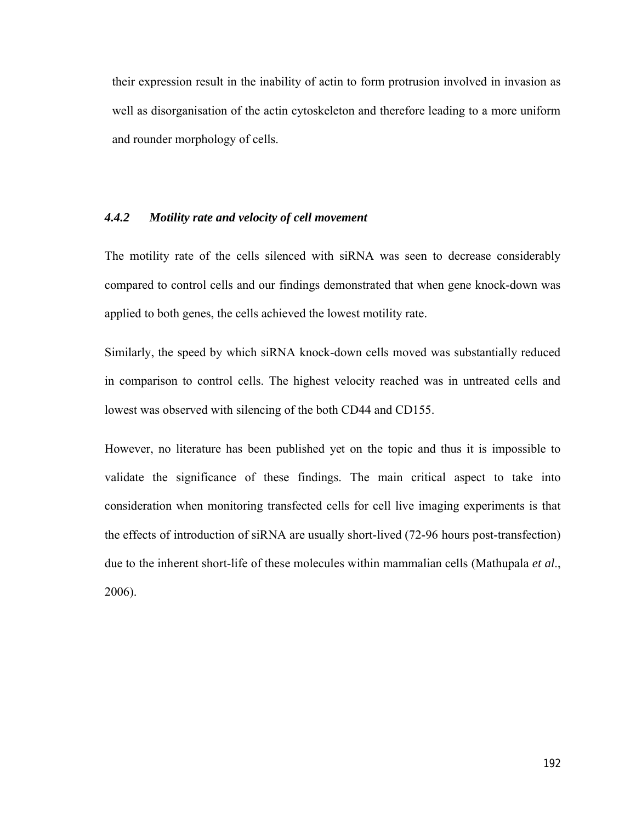their expression result in the inability of actin to form protrusion involved in invasion as well as disorganisation of the actin cytoskeleton and therefore leading to a more uniform and rounder morphology of cells.

## *4.4.2 Motility rate and velocity of cell movement*

The motility rate of the cells silenced with siRNA was seen to decrease considerably compared to control cells and our findings demonstrated that when gene knock-down was applied to both genes, the cells achieved the lowest motility rate.

Similarly, the speed by which siRNA knock-down cells moved was substantially reduced in comparison to control cells. The highest velocity reached was in untreated cells and lowest was observed with silencing of the both CD44 and CD155.

However, no literature has been published yet on the topic and thus it is impossible to validate the significance of these findings. The main critical aspect to take into consideration when monitoring transfected cells for cell live imaging experiments is that the effects of introduction of siRNA are usually short-lived (72-96 hours post-transfection) due to the inherent short-life of these molecules within mammalian cells (Mathupala *et al*., 2006).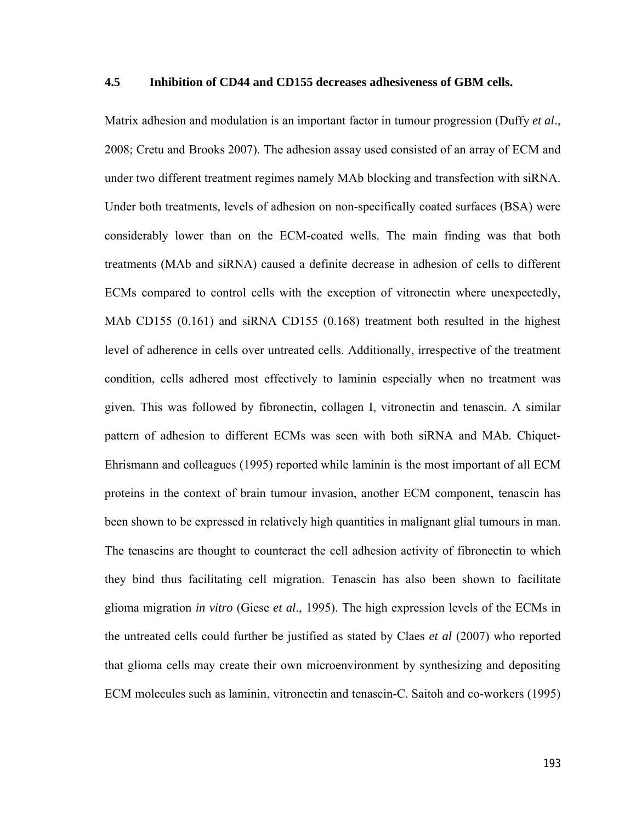## **4.5 Inhibition of CD44 and CD155 decreases adhesiveness of GBM cells.**

Matrix adhesion and modulation is an important factor in tumour progression (Duffy *et al*., 2008; Cretu and Brooks 2007). The adhesion assay used consisted of an array of ECM and under two different treatment regimes namely MAb blocking and transfection with siRNA. Under both treatments, levels of adhesion on non-specifically coated surfaces (BSA) were considerably lower than on the ECM-coated wells. The main finding was that both treatments (MAb and siRNA) caused a definite decrease in adhesion of cells to different ECMs compared to control cells with the exception of vitronectin where unexpectedly, MAb CD155 (0.161) and siRNA CD155 (0.168) treatment both resulted in the highest level of adherence in cells over untreated cells. Additionally, irrespective of the treatment condition, cells adhered most effectively to laminin especially when no treatment was given. This was followed by fibronectin, collagen I, vitronectin and tenascin. A similar pattern of adhesion to different ECMs was seen with both siRNA and MAb. Chiquet-Ehrismann and colleagues (1995) reported while laminin is the most important of all ECM proteins in the context of brain tumour invasion, another ECM component, tenascin has been shown to be expressed in relatively high quantities in malignant glial tumours in man. The tenascins are thought to counteract the cell adhesion activity of fibronectin to which they bind thus facilitating cell migration. Tenascin has also been shown to facilitate glioma migration *in vitro* (Giese *et al*., 1995). The high expression levels of the ECMs in the untreated cells could further be justified as stated by Claes *et al* (2007) who reported that glioma cells may create their own microenvironment by synthesizing and depositing ECM molecules such as laminin, vitronectin and tenascin-C. Saitoh and co-workers (1995)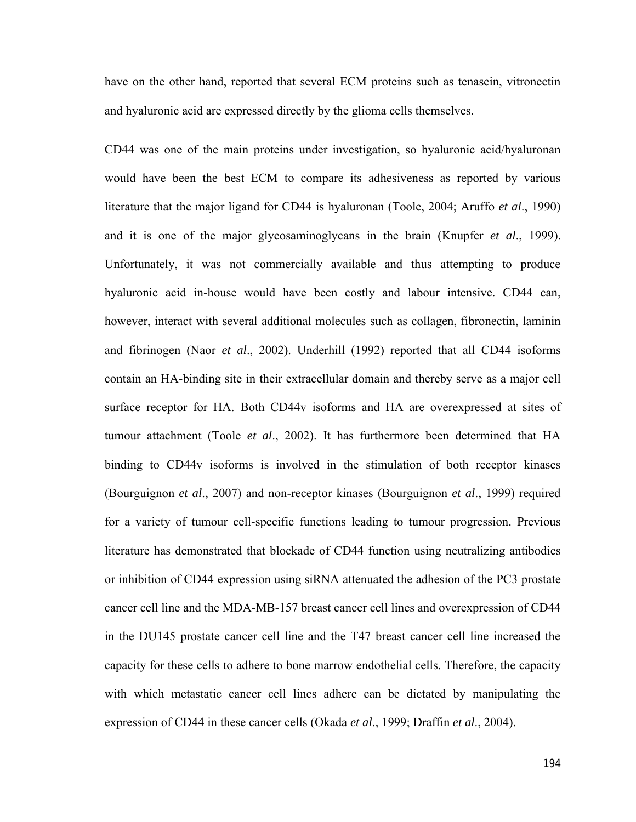have on the other hand, reported that several ECM proteins such as tenascin, vitronectin and hyaluronic acid are expressed directly by the glioma cells themselves.

CD44 was one of the main proteins under investigation, so hyaluronic acid/hyaluronan would have been the best ECM to compare its adhesiveness as reported by various literature that the major ligand for CD44 is hyaluronan (Toole, 2004; Aruffo *et al*., 1990) and it is one of the major glycosaminoglycans in the brain (Knupfer *et al*., 1999). Unfortunately, it was not commercially available and thus attempting to produce hyaluronic acid in-house would have been costly and labour intensive. CD44 can, however, interact with several additional molecules such as collagen, fibronectin, laminin and fibrinogen (Naor *et al*., 2002). Underhill (1992) reported that all CD44 isoforms contain an HA-binding site in their extracellular domain and thereby serve as a major cell surface receptor for HA. Both CD44v isoforms and HA are overexpressed at sites of tumour attachment (Toole *et al*., 2002). It has furthermore been determined that HA binding to CD44v isoforms is involved in the stimulation of both receptor kinases (Bourguignon *et al*., 2007) and non-receptor kinases (Bourguignon *et al*., 1999) required for a variety of tumour cell-specific functions leading to tumour progression. Previous literature has demonstrated that blockade of CD44 function using neutralizing antibodies or inhibition of CD44 expression using siRNA attenuated the adhesion of the PC3 prostate cancer cell line and the MDA-MB-157 breast cancer cell lines and overexpression of CD44 in the DU145 prostate cancer cell line and the T47 breast cancer cell line increased the capacity for these cells to adhere to bone marrow endothelial cells. Therefore, the capacity with which metastatic cancer cell lines adhere can be dictated by manipulating the expression of CD44 in these cancer cells (Okada *et al*., 1999; Draffin *et al*., 2004).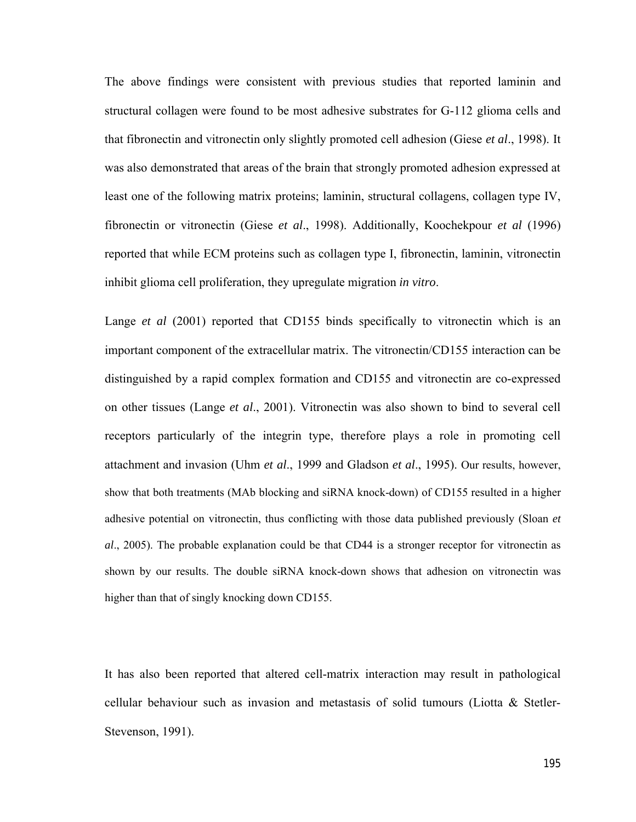The above findings were consistent with previous studies that reported laminin and structural collagen were found to be most adhesive substrates for G-112 glioma cells and that fibronectin and vitronectin only slightly promoted cell adhesion (Giese *et al*., 1998). It was also demonstrated that areas of the brain that strongly promoted adhesion expressed at least one of the following matrix proteins; laminin, structural collagens, collagen type IV, fibronectin or vitronectin (Giese *et al*., 1998). Additionally, Koochekpour *et al* (1996) reported that while ECM proteins such as collagen type I, fibronectin, laminin, vitronectin inhibit glioma cell proliferation, they upregulate migration *in vitro*.

Lange *et al* (2001) reported that CD155 binds specifically to vitronectin which is an important component of the extracellular matrix. The vitronectin/CD155 interaction can be distinguished by a rapid complex formation and CD155 and vitronectin are co-expressed on other tissues (Lange *et al*., 2001). Vitronectin was also shown to bind to several cell receptors particularly of the integrin type, therefore plays a role in promoting cell attachment and invasion (Uhm *et al*., 1999 and Gladson *et al*., 1995). Our results, however, show that both treatments (MAb blocking and siRNA knock-down) of CD155 resulted in a higher adhesive potential on vitronectin, thus conflicting with those data published previously (Sloan *et al*., 2005). The probable explanation could be that CD44 is a stronger receptor for vitronectin as shown by our results. The double siRNA knock-down shows that adhesion on vitronectin was higher than that of singly knocking down CD155.

It has also been reported that altered cell-matrix interaction may result in pathological cellular behaviour such as invasion and metastasis of solid tumours (Liotta & Stetler-Stevenson, 1991).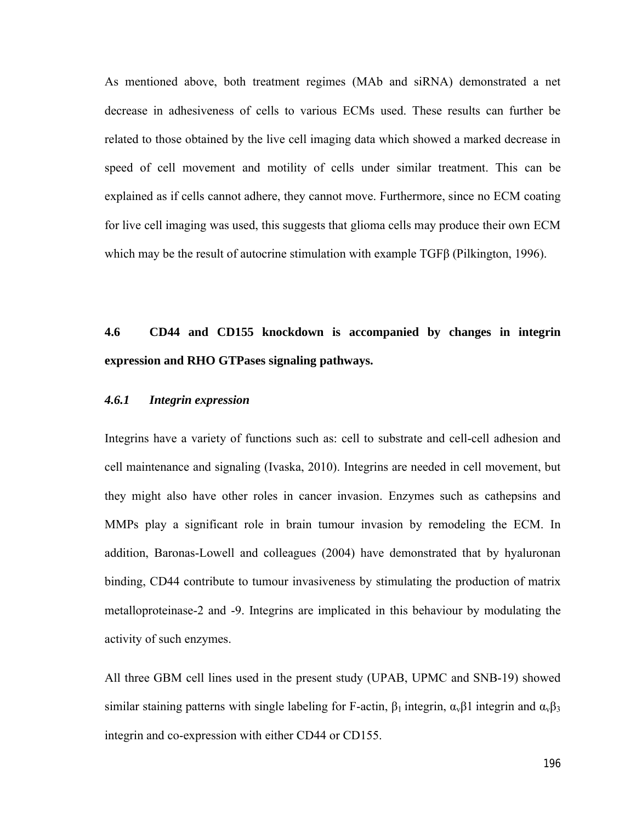As mentioned above, both treatment regimes (MAb and siRNA) demonstrated a net decrease in adhesiveness of cells to various ECMs used. These results can further be related to those obtained by the live cell imaging data which showed a marked decrease in speed of cell movement and motility of cells under similar treatment. This can be explained as if cells cannot adhere, they cannot move. Furthermore, since no ECM coating for live cell imaging was used, this suggests that glioma cells may produce their own ECM which may be the result of autocrine stimulation with example TGFβ (Pilkington, 1996).

## **4.6 CD44 and CD155 knockdown is accompanied by changes in integrin expression and RHO GTPases signaling pathways.**

## *4.6.1 Integrin expression*

Integrins have a variety of functions such as: cell to substrate and cell-cell adhesion and cell maintenance and signaling (Ivaska, 2010). Integrins are needed in cell movement, but they might also have other roles in cancer invasion. Enzymes such as cathepsins and MMPs play a significant role in brain tumour invasion by remodeling the ECM. In addition, Baronas-Lowell and colleagues (2004) have demonstrated that by hyaluronan binding, CD44 contribute to tumour invasiveness by stimulating the production of matrix metalloproteinase-2 and -9. Integrins are implicated in this behaviour by modulating the activity of such enzymes.

All three GBM cell lines used in the present study (UPAB, UPMC and SNB-19) showed similar staining patterns with single labeling for F-actin,  $\beta_1$  integrin,  $\alpha_v\beta_1$  integrin and  $\alpha_v\beta_3$ integrin and co-expression with either CD44 or CD155.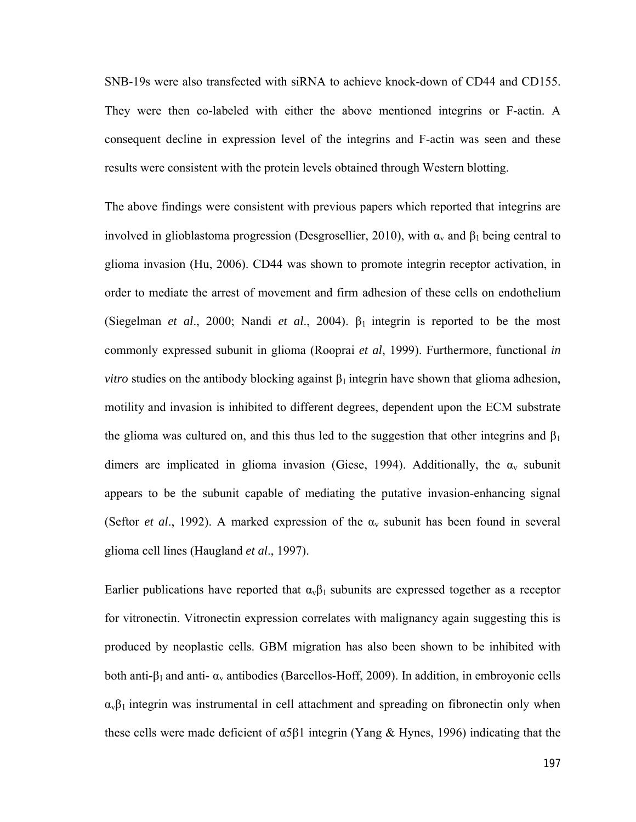SNB-19s were also transfected with siRNA to achieve knock-down of CD44 and CD155. They were then co-labeled with either the above mentioned integrins or F-actin. A consequent decline in expression level of the integrins and F-actin was seen and these results were consistent with the protein levels obtained through Western blotting.

The above findings were consistent with previous papers which reported that integrins are involved in glioblastoma progression (Desgrosellier, 2010), with  $\alpha_{\rm v}$  and  $\beta_1$  being central to glioma invasion (Hu, 2006). CD44 was shown to promote integrin receptor activation, in order to mediate the arrest of movement and firm adhesion of these cells on endothelium (Siegelman *et al*., 2000; Nandi *et al*., 2004). β1 integrin is reported to be the most commonly expressed subunit in glioma (Rooprai *et al*, 1999). Furthermore, functional *in vitro* studies on the antibody blocking against  $\beta_1$  integrin have shown that glioma adhesion, motility and invasion is inhibited to different degrees, dependent upon the ECM substrate the glioma was cultured on, and this thus led to the suggestion that other integrins and  $\beta_1$ dimers are implicated in glioma invasion (Giese, 1994). Additionally, the  $\alpha_v$  subunit appears to be the subunit capable of mediating the putative invasion-enhancing signal (Seftor *et al.*, 1992). A marked expression of the  $\alpha_v$  subunit has been found in several glioma cell lines (Haugland *et al*., 1997).

Earlier publications have reported that  $\alpha_{\nu}\beta_1$  subunits are expressed together as a receptor for vitronectin. Vitronectin expression correlates with malignancy again suggesting this is produced by neoplastic cells. GBM migration has also been shown to be inhibited with both anti- $\beta_1$  and anti-  $\alpha_v$  antibodies (Barcellos-Hoff, 2009). In addition, in embroyonic cells  $\alpha_{v}\beta_{1}$  integrin was instrumental in cell attachment and spreading on fibronectin only when these cells were made deficient of  $\alpha$ 5β1 integrin (Yang & Hynes, 1996) indicating that the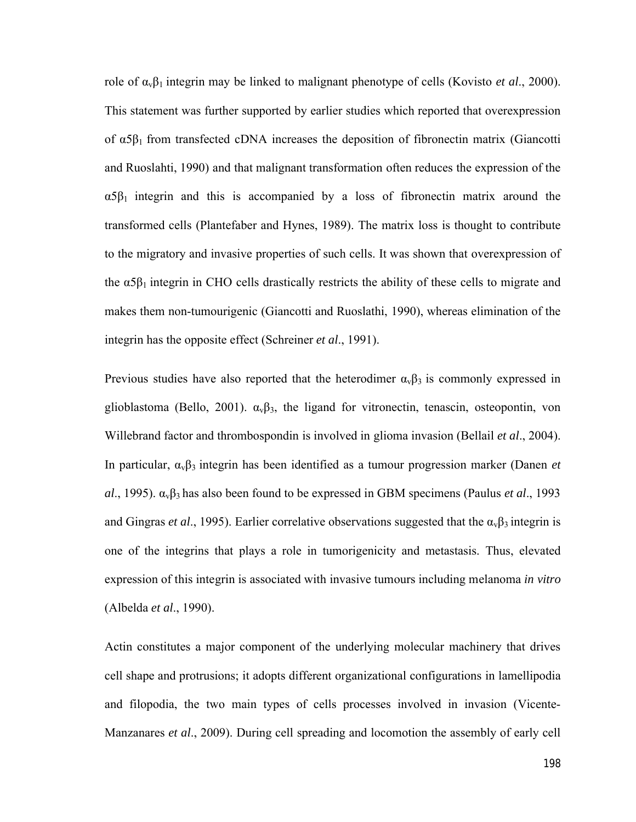role of αvβ1 integrin may be linked to malignant phenotype of cells (Kovisto *et al*., 2000). This statement was further supported by earlier studies which reported that overexpression of  $\alpha$ 5 $\beta$ <sub>1</sub> from transfected cDNA increases the deposition of fibronectin matrix (Giancotti and Ruoslahti, 1990) and that malignant transformation often reduces the expression of the  $\alpha$ 5β<sub>1</sub> integrin and this is accompanied by a loss of fibronectin matrix around the transformed cells (Plantefaber and Hynes, 1989). The matrix loss is thought to contribute to the migratory and invasive properties of such cells. It was shown that overexpression of the  $\alpha$ 5 $\beta$ <sub>1</sub> integrin in CHO cells drastically restricts the ability of these cells to migrate and makes them non-tumourigenic (Giancotti and Ruoslathi, 1990), whereas elimination of the integrin has the opposite effect (Schreiner *et al*., 1991).

Previous studies have also reported that the heterodimer  $\alpha_{\nu}\beta_3$  is commonly expressed in glioblastoma (Bello, 2001).  $\alpha_v\beta_3$ , the ligand for vitronectin, tenascin, osteopontin, von Willebrand factor and thrombospondin is involved in glioma invasion (Bellail *et al*., 2004). In particular,  $α<sub>v</sub>β<sub>3</sub>$  integrin has been identified as a tumour progression marker (Danen *et al*., 1995). αvβ3 has also been found to be expressed in GBM specimens (Paulus *et al*., 1993 and Gingras *et al.*, 1995). Earlier correlative observations suggested that the  $\alpha_v \beta_3$  integrin is one of the integrins that plays a role in tumorigenicity and metastasis. Thus, elevated expression of this integrin is associated with invasive tumours including melanoma *in vitro* (Albelda *et al*., 1990).

Actin constitutes a major component of the underlying molecular machinery that drives cell shape and protrusions; it adopts different organizational configurations in lamellipodia and filopodia, the two main types of cells processes involved in invasion (Vicente-Manzanares *et al*., 2009). During cell spreading and locomotion the assembly of early cell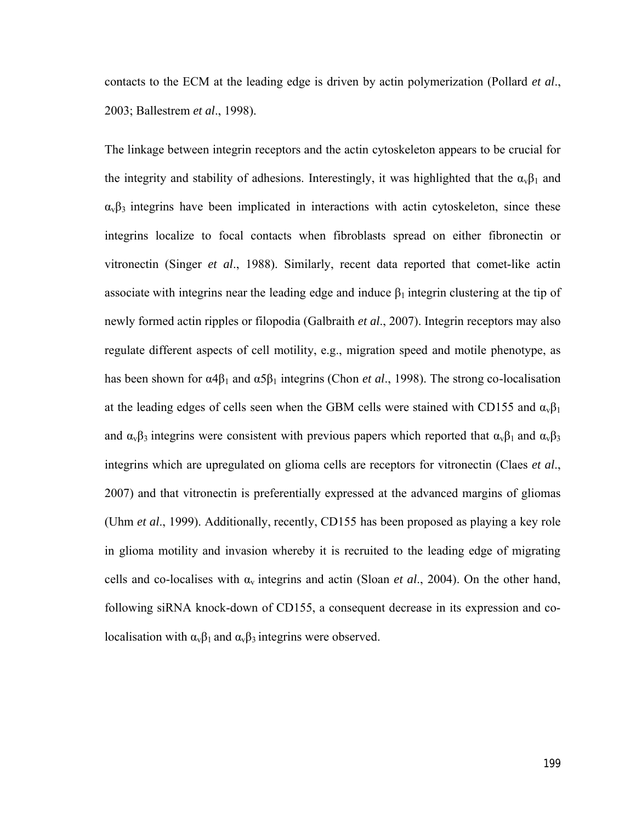contacts to the ECM at the leading edge is driven by actin polymerization (Pollard *et al*., 2003; Ballestrem *et al*., 1998).

The linkage between integrin receptors and the actin cytoskeleton appears to be crucial for the integrity and stability of adhesions. Interestingly, it was highlighted that the  $\alpha_{v}\beta_{1}$  and  $\alpha_{\rm v}\beta_3$  integrins have been implicated in interactions with actin cytoskeleton, since these integrins localize to focal contacts when fibroblasts spread on either fibronectin or vitronectin (Singer *et al*., 1988). Similarly, recent data reported that comet-like actin associate with integrins near the leading edge and induce  $\beta_1$  integrin clustering at the tip of newly formed actin ripples or filopodia (Galbraith *et al*., 2007). Integrin receptors may also regulate different aspects of cell motility, e.g., migration speed and motile phenotype, as has been shown for  $\alpha$ 4 $\beta$ <sub>1</sub> and  $\alpha$ 5 $\beta$ <sub>1</sub> integrins (Chon *et al.*, 1998). The strong co-localisation at the leading edges of cells seen when the GBM cells were stained with CD155 and  $\alpha_v \beta_1$ and  $\alpha_v \beta_3$  integrins were consistent with previous papers which reported that  $\alpha_v \beta_1$  and  $\alpha_v \beta_3$ integrins which are upregulated on glioma cells are receptors for vitronectin (Claes *et al*., 2007) and that vitronectin is preferentially expressed at the advanced margins of gliomas (Uhm *et al*., 1999). Additionally, recently, CD155 has been proposed as playing a key role in glioma motility and invasion whereby it is recruited to the leading edge of migrating cells and co-localises with αv integrins and actin (Sloan *et al*., 2004). On the other hand, following siRNA knock-down of CD155, a consequent decrease in its expression and colocalisation with  $\alpha_{\nu}\beta_1$  and  $\alpha_{\nu}\beta_3$  integrins were observed.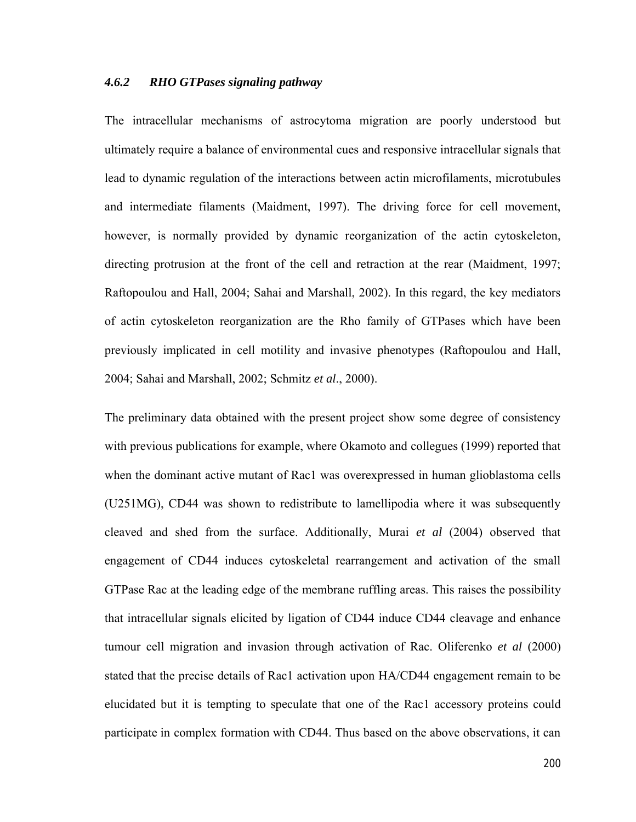## *4.6.2 RHO GTPases signaling pathway*

The intracellular mechanisms of astrocytoma migration are poorly understood but ultimately require a balance of environmental cues and responsive intracellular signals that lead to dynamic regulation of the interactions between actin microfilaments, microtubules and intermediate filaments (Maidment, 1997). The driving force for cell movement, however, is normally provided by dynamic reorganization of the actin cytoskeleton, directing protrusion at the front of the cell and retraction at the rear (Maidment, 1997; Raftopoulou and Hall, 2004; Sahai and Marshall, 2002). In this regard, the key mediators of actin cytoskeleton reorganization are the Rho family of GTPases which have been previously implicated in cell motility and invasive phenotypes (Raftopoulou and Hall, 2004; Sahai and Marshall, 2002; Schmitz *et al*., 2000).

The preliminary data obtained with the present project show some degree of consistency with previous publications for example, where Okamoto and collegues (1999) reported that when the dominant active mutant of Rac1 was overexpressed in human glioblastoma cells (U251MG), CD44 was shown to redistribute to lamellipodia where it was subsequently cleaved and shed from the surface. Additionally, Murai *et al* (2004) observed that engagement of CD44 induces cytoskeletal rearrangement and activation of the small GTPase Rac at the leading edge of the membrane ruffling areas. This raises the possibility that intracellular signals elicited by ligation of CD44 induce CD44 cleavage and enhance tumour cell migration and invasion through activation of Rac. Oliferenko *et al* (2000) stated that the precise details of Rac1 activation upon HA/CD44 engagement remain to be elucidated but it is tempting to speculate that one of the Rac1 accessory proteins could participate in complex formation with CD44. Thus based on the above observations, it can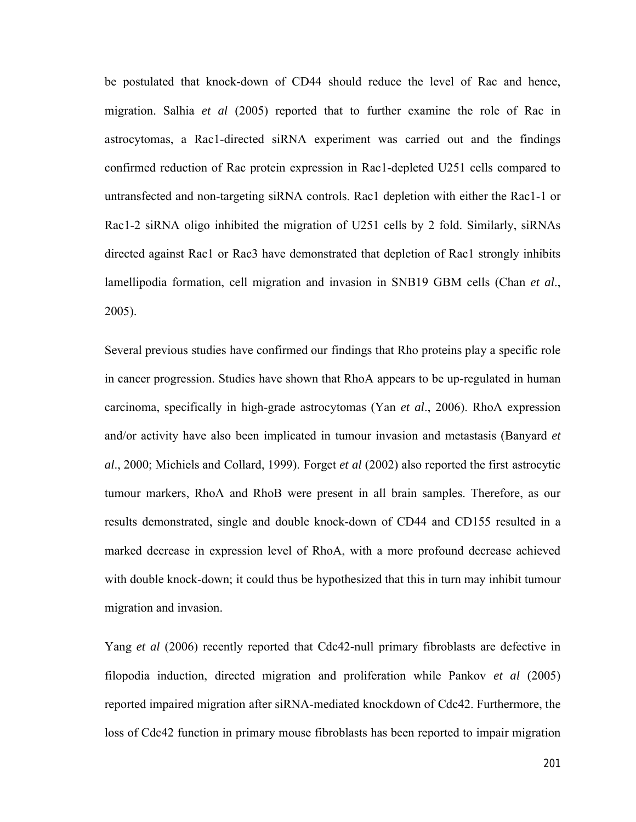be postulated that knock-down of CD44 should reduce the level of Rac and hence, migration. Salhia *et al* (2005) reported that to further examine the role of Rac in astrocytomas, a Rac1-directed siRNA experiment was carried out and the findings confirmed reduction of Rac protein expression in Rac1-depleted U251 cells compared to untransfected and non-targeting siRNA controls. Rac1 depletion with either the Rac1-1 or Rac1-2 siRNA oligo inhibited the migration of U251 cells by 2 fold. Similarly, siRNAs directed against Rac1 or Rac3 have demonstrated that depletion of Rac1 strongly inhibits lamellipodia formation, cell migration and invasion in SNB19 GBM cells (Chan *et al*., 2005).

Several previous studies have confirmed our findings that Rho proteins play a specific role in cancer progression. Studies have shown that RhoA appears to be up-regulated in human carcinoma, specifically in high-grade astrocytomas (Yan *et al*., 2006). RhoA expression and/or activity have also been implicated in tumour invasion and metastasis (Banyard *et al*., 2000; Michiels and Collard, 1999). Forget *et al* (2002) also reported the first astrocytic tumour markers, RhoA and RhoB were present in all brain samples. Therefore, as our results demonstrated, single and double knock-down of CD44 and CD155 resulted in a marked decrease in expression level of RhoA, with a more profound decrease achieved with double knock-down; it could thus be hypothesized that this in turn may inhibit tumour migration and invasion.

Yang *et al* (2006) recently reported that Cdc42-null primary fibroblasts are defective in filopodia induction, directed migration and proliferation while Pankov *et al* (2005) reported impaired migration after siRNA-mediated knockdown of Cdc42. Furthermore, the loss of Cdc42 function in primary mouse fibroblasts has been reported to impair migration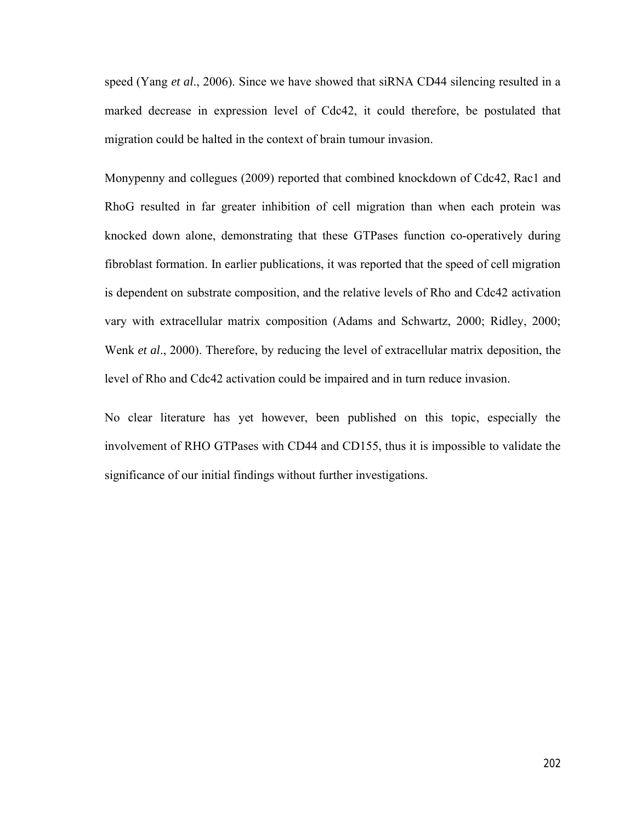speed (Yang *et al*., 2006). Since we have showed that siRNA CD44 silencing resulted in a marked decrease in expression level of Cdc42, it could therefore, be postulated that migration could be halted in the context of brain tumour invasion.

Monypenny and collegues (2009) reported that combined knockdown of Cdc42, Rac1 and RhoG resulted in far greater inhibition of cell migration than when each protein was knocked down alone, demonstrating that these GTPases function co-operatively during fibroblast formation. In earlier publications, it was reported that the speed of cell migration is dependent on substrate composition, and the relative levels of Rho and Cdc42 activation vary with extracellular matrix composition (Adams and Schwartz, 2000; Ridley, 2000; Wenk *et al*., 2000). Therefore, by reducing the level of extracellular matrix deposition, the level of Rho and Cdc42 activation could be impaired and in turn reduce invasion.

No clear literature has yet however, been published on this topic, especially the involvement of RHO GTPases with CD44 and CD155, thus it is impossible to validate the significance of our initial findings without further investigations.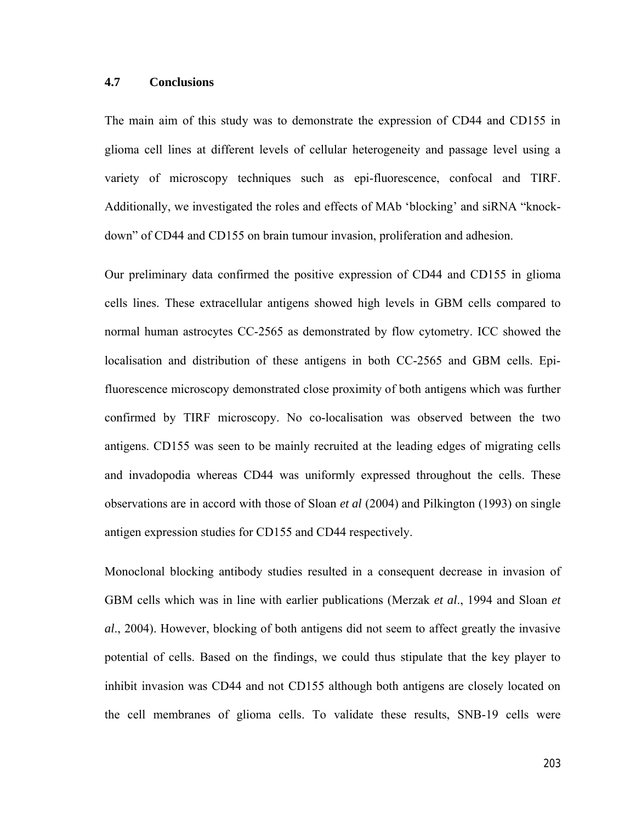### **4.7 Conclusions**

The main aim of this study was to demonstrate the expression of CD44 and CD155 in glioma cell lines at different levels of cellular heterogeneity and passage level using a variety of microscopy techniques such as epi-fluorescence, confocal and TIRF. Additionally, we investigated the roles and effects of MAb 'blocking' and siRNA "knockdown" of CD44 and CD155 on brain tumour invasion, proliferation and adhesion.

Our preliminary data confirmed the positive expression of CD44 and CD155 in glioma cells lines. These extracellular antigens showed high levels in GBM cells compared to normal human astrocytes CC-2565 as demonstrated by flow cytometry. ICC showed the localisation and distribution of these antigens in both CC-2565 and GBM cells. Epifluorescence microscopy demonstrated close proximity of both antigens which was further confirmed by TIRF microscopy. No co-localisation was observed between the two antigens. CD155 was seen to be mainly recruited at the leading edges of migrating cells and invadopodia whereas CD44 was uniformly expressed throughout the cells. These observations are in accord with those of Sloan *et al* (2004) and Pilkington (1993) on single antigen expression studies for CD155 and CD44 respectively.

Monoclonal blocking antibody studies resulted in a consequent decrease in invasion of GBM cells which was in line with earlier publications (Merzak *et al*., 1994 and Sloan *et al*., 2004). However, blocking of both antigens did not seem to affect greatly the invasive potential of cells. Based on the findings, we could thus stipulate that the key player to inhibit invasion was CD44 and not CD155 although both antigens are closely located on the cell membranes of glioma cells. To validate these results, SNB-19 cells were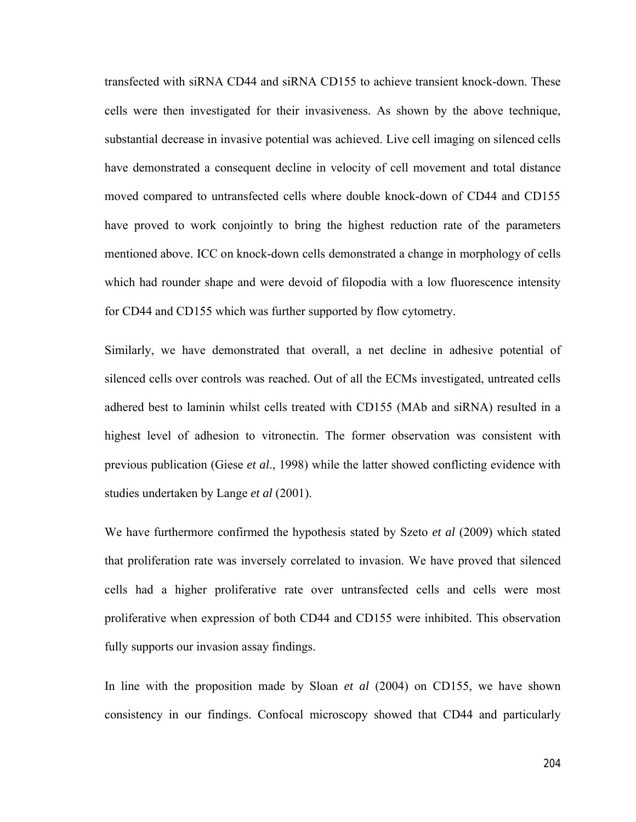transfected with siRNA CD44 and siRNA CD155 to achieve transient knock-down. These cells were then investigated for their invasiveness. As shown by the above technique, substantial decrease in invasive potential was achieved. Live cell imaging on silenced cells have demonstrated a consequent decline in velocity of cell movement and total distance moved compared to untransfected cells where double knock-down of CD44 and CD155 have proved to work conjointly to bring the highest reduction rate of the parameters mentioned above. ICC on knock-down cells demonstrated a change in morphology of cells which had rounder shape and were devoid of filopodia with a low fluorescence intensity for CD44 and CD155 which was further supported by flow cytometry.

Similarly, we have demonstrated that overall, a net decline in adhesive potential of silenced cells over controls was reached. Out of all the ECMs investigated, untreated cells adhered best to laminin whilst cells treated with CD155 (MAb and siRNA) resulted in a highest level of adhesion to vitronectin. The former observation was consistent with previous publication (Giese *et al*., 1998) while the latter showed conflicting evidence with studies undertaken by Lange *et al* (2001).

We have furthermore confirmed the hypothesis stated by Szeto *et al* (2009) which stated that proliferation rate was inversely correlated to invasion. We have proved that silenced cells had a higher proliferative rate over untransfected cells and cells were most proliferative when expression of both CD44 and CD155 were inhibited. This observation fully supports our invasion assay findings.

In line with the proposition made by Sloan *et al* (2004) on CD155, we have shown consistency in our findings. Confocal microscopy showed that CD44 and particularly

204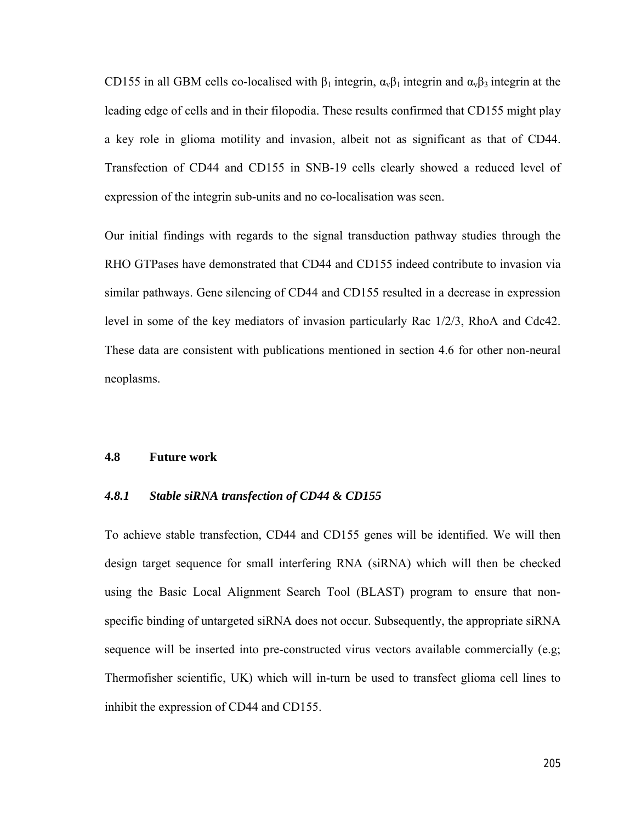CD155 in all GBM cells co-localised with  $\beta_1$  integrin,  $\alpha_v\beta_1$  integrin and  $\alpha_v\beta_3$  integrin at the leading edge of cells and in their filopodia. These results confirmed that CD155 might play a key role in glioma motility and invasion, albeit not as significant as that of CD44. Transfection of CD44 and CD155 in SNB-19 cells clearly showed a reduced level of expression of the integrin sub-units and no co-localisation was seen.

Our initial findings with regards to the signal transduction pathway studies through the RHO GTPases have demonstrated that CD44 and CD155 indeed contribute to invasion via similar pathways. Gene silencing of CD44 and CD155 resulted in a decrease in expression level in some of the key mediators of invasion particularly Rac 1/2/3, RhoA and Cdc42. These data are consistent with publications mentioned in section 4.6 for other non-neural neoplasms.

## **4.8 Future work**

### *4.8.1 Stable siRNA transfection of CD44 & CD155*

To achieve stable transfection, CD44 and CD155 genes will be identified. We will then design target sequence for small interfering RNA (siRNA) which will then be checked using the Basic Local Alignment Search Tool (BLAST) program to ensure that nonspecific binding of untargeted siRNA does not occur. Subsequently, the appropriate siRNA sequence will be inserted into pre-constructed virus vectors available commercially (e.g; Thermofisher scientific, UK) which will in-turn be used to transfect glioma cell lines to inhibit the expression of CD44 and CD155.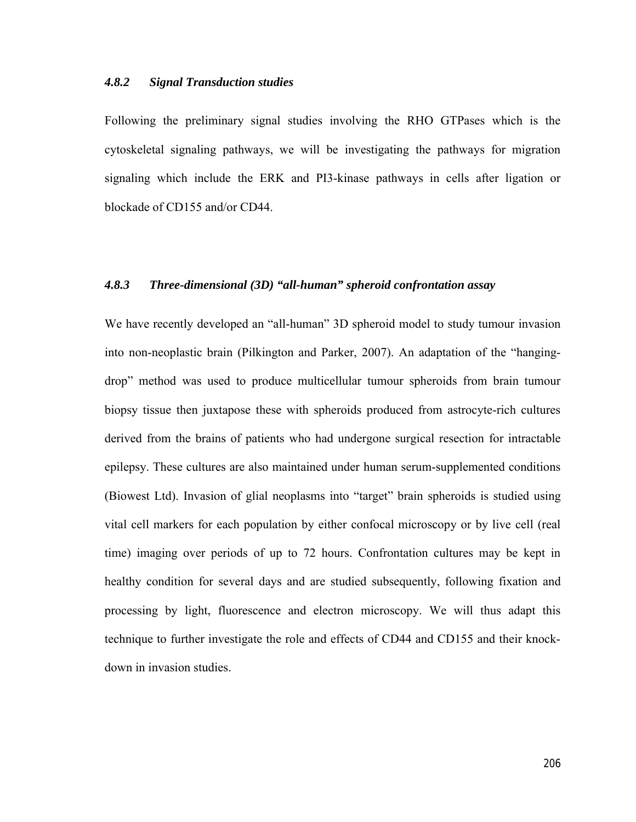## *4.8.2 Signal Transduction studies*

Following the preliminary signal studies involving the RHO GTPases which is the cytoskeletal signaling pathways, we will be investigating the pathways for migration signaling which include the ERK and PI3-kinase pathways in cells after ligation or blockade of CD155 and/or CD44.

### *4.8.3 Three-dimensional (3D) "all-human" spheroid confrontation assay*

We have recently developed an "all-human" 3D spheroid model to study tumour invasion into non-neoplastic brain (Pilkington and Parker, 2007). An adaptation of the "hangingdrop" method was used to produce multicellular tumour spheroids from brain tumour biopsy tissue then juxtapose these with spheroids produced from astrocyte-rich cultures derived from the brains of patients who had undergone surgical resection for intractable epilepsy. These cultures are also maintained under human serum-supplemented conditions (Biowest Ltd). Invasion of glial neoplasms into "target" brain spheroids is studied using vital cell markers for each population by either confocal microscopy or by live cell (real time) imaging over periods of up to 72 hours. Confrontation cultures may be kept in healthy condition for several days and are studied subsequently, following fixation and processing by light, fluorescence and electron microscopy. We will thus adapt this technique to further investigate the role and effects of CD44 and CD155 and their knockdown in invasion studies.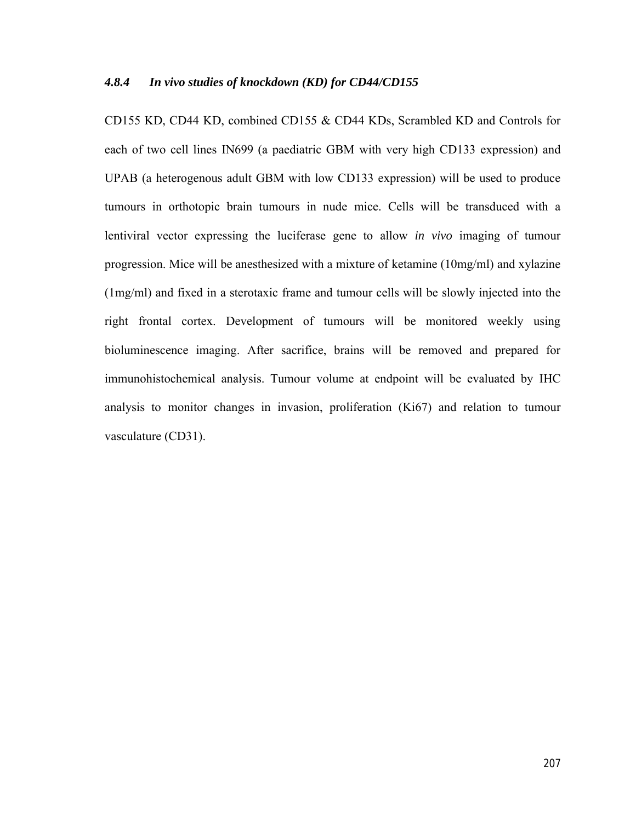### *4.8.4 In vivo studies of knockdown (KD) for CD44/CD155*

CD155 KD, CD44 KD, combined CD155 & CD44 KDs, Scrambled KD and Controls for each of two cell lines IN699 (a paediatric GBM with very high CD133 expression) and UPAB (a heterogenous adult GBM with low CD133 expression) will be used to produce tumours in orthotopic brain tumours in nude mice. Cells will be transduced with a lentiviral vector expressing the luciferase gene to allow *in vivo* imaging of tumour progression. Mice will be anesthesized with a mixture of ketamine (10mg/ml) and xylazine (1mg/ml) and fixed in a sterotaxic frame and tumour cells will be slowly injected into the right frontal cortex. Development of tumours will be monitored weekly using bioluminescence imaging. After sacrifice, brains will be removed and prepared for immunohistochemical analysis. Tumour volume at endpoint will be evaluated by IHC analysis to monitor changes in invasion, proliferation (Ki67) and relation to tumour vasculature (CD31).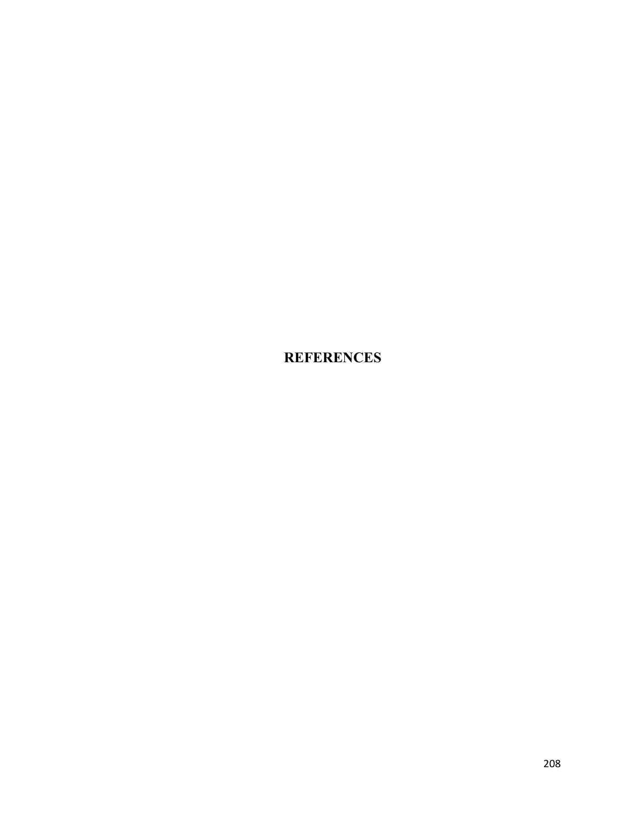**REFERENCES**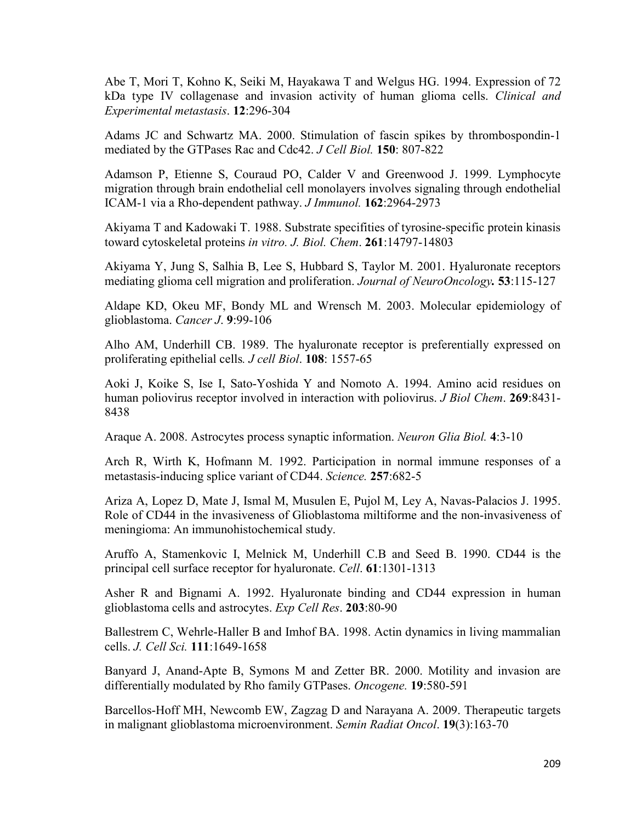Abe T, Mori T, Kohno K, Seiki M, Hayakawa T and Welgus HG. 1994. Expression of 72 kDa type IV collagenase and invasion activity of human glioma cells. *Clinical and Experimental metastasis*. **12**:296-304

Adams JC and Schwartz MA. 2000. Stimulation of fascin spikes by thrombospondin-1 mediated by the GTPases Rac and Cdc42. *J Cell Biol.* **150**: 807-822

Adamson P, Etienne S, Couraud PO, Calder V and Greenwood J. 1999. Lymphocyte migration through brain endothelial cell monolayers involves signaling through endothelial ICAM-1 via a Rho-dependent pathway. *J Immunol.* **162**:2964-2973

Akiyama T and Kadowaki T. 1988. Substrate specifities of tyrosine-specific protein kinasis toward cytoskeletal proteins *in vitro. J. Biol. Chem*. **261**:14797-14803

Akiyama Y, Jung S, Salhia B, Lee S, Hubbard S, Taylor M. 2001. Hyaluronate receptors mediating glioma cell migration and proliferation. *Journal of NeuroOncology.* **53**:115-127

Aldape KD, Okeu MF, Bondy ML and Wrensch M. 2003. Molecular epidemiology of glioblastoma. *Cancer J*. **9**:99-106

Alho AM, Underhill CB. 1989. The hyaluronate receptor is preferentially expressed on proliferating epithelial cells*. J cell Biol*. **108**: 1557-65

Aoki J, Koike S, Ise I, Sato-Yoshida Y and Nomoto A. 1994. Amino acid residues on human poliovirus receptor involved in interaction with poliovirus. *J Biol Chem*. **269**:8431- 8438

Araque A. 2008. Astrocytes process synaptic information. *Neuron Glia Biol.* **4**:3-10

Arch R, Wirth K, Hofmann M. 1992. Participation in normal immune responses of a metastasis-inducing splice variant of CD44. *Science.* **257**:682-5

Ariza A, Lopez D, Mate J, Ismal M, Musulen E, Pujol M, Ley A, Navas-Palacios J. 1995. Role of CD44 in the invasiveness of Glioblastoma miltiforme and the non-invasiveness of meningioma: An immunohistochemical study.

Aruffo A, Stamenkovic I, Melnick M, Underhill C.B and Seed B. 1990. CD44 is the principal cell surface receptor for hyaluronate. *Cell*. **61**:1301-1313

Asher R and Bignami A. 1992. Hyaluronate binding and CD44 expression in human glioblastoma cells and astrocytes. *Exp Cell Res*. **203**:80-90

Ballestrem C, Wehrle-Haller B and Imhof BA. 1998. Actin dynamics in living mammalian cells. *J. Cell Sci.* **111**:1649-1658

Banyard J, Anand-Apte B, Symons M and Zetter BR. 2000. Motility and invasion are differentially modulated by Rho family GTPases. *Oncogene.* **19**:580-591

Barcellos-Hoff MH, Newcomb EW, Zagzag D and Narayana A. 2009. Therapeutic targets in malignant glioblastoma microenvironment. *Semin Radiat Oncol*. **19**(3):163-70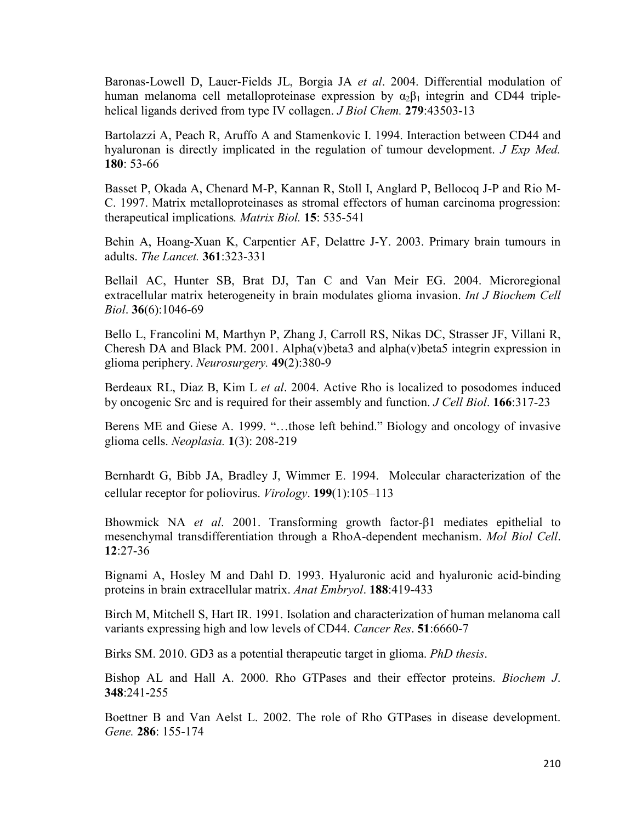Baronas-Lowell D, Lauer-Fields JL, Borgia JA *et al*. 2004. Differential modulation of human melanoma cell metalloproteinase expression by  $\alpha_2\beta_1$  integrin and CD44 triplehelical ligands derived from type IV collagen. *J Biol Chem.* **279**:43503-13

Bartolazzi A, Peach R, Aruffo A and Stamenkovic I. 1994. Interaction between CD44 and hyaluronan is directly implicated in the regulation of tumour development. *J Exp Med.* **180**: 53-66

Basset P, Okada A, Chenard M-P, Kannan R, Stoll I, Anglard P, Bellocoq J-P and Rio M-C. 1997. Matrix metalloproteinases as stromal effectors of human carcinoma progression: therapeutical implications*. Matrix Biol.* **15**: 535-541

Behin A, Hoang-Xuan K, Carpentier AF, Delattre J-Y. 2003. Primary brain tumours in adults. *The Lancet.* **361**:323-331

Bellail AC, Hunter SB, Brat DJ, Tan C and Van Meir EG. 2004. Microregional extracellular matrix heterogeneity in brain modulates glioma invasion. *Int J Biochem Cell Biol*. **36**(6):1046-69

Bello L, Francolini M, Marthyn P, Zhang J, Carroll RS, Nikas DC, Strasser JF, Villani R, Cheresh DA and Black PM. 2001. Alpha(v)beta3 and alpha(v)beta5 integrin expression in glioma periphery. *Neurosurgery.* **49**(2):380-9

Berdeaux RL, Diaz B, Kim L *et al*. 2004. Active Rho is localized to posodomes induced by oncogenic Src and is required for their assembly and function. *J Cell Biol*. **166**:317-23

Berens ME and Giese A. 1999. "…those left behind." Biology and oncology of invasive glioma cells. *Neoplasia.* **1**(3): 208-219

Bernhardt G, Bibb JA, Bradley J, Wimmer E. 1994. Molecular characterization of the cellular receptor for poliovirus. *Virology*. **199**(1):105–113

Bhowmick NA *et al*. 2001. Transforming growth factor-β1 mediates epithelial to mesenchymal transdifferentiation through a RhoA-dependent mechanism. *Mol Biol Cell*. **12**:27-36

Bignami A, Hosley M and Dahl D. 1993. Hyaluronic acid and hyaluronic acid-binding proteins in brain extracellular matrix. *Anat Embryol*. **188**:419-433

Birch M, Mitchell S, Hart IR. 1991. Isolation and characterization of human melanoma call variants expressing high and low levels of CD44. *Cancer Res*. **51**:6660-7

Birks SM. 2010. GD3 as a potential therapeutic target in glioma. *PhD thesis*.

Bishop AL and Hall A. 2000. Rho GTPases and their effector proteins. *Biochem J*. **348**:241-255

Boettner B and Van Aelst L. 2002. The role of Rho GTPases in disease development. *Gene.* **286**: 155-174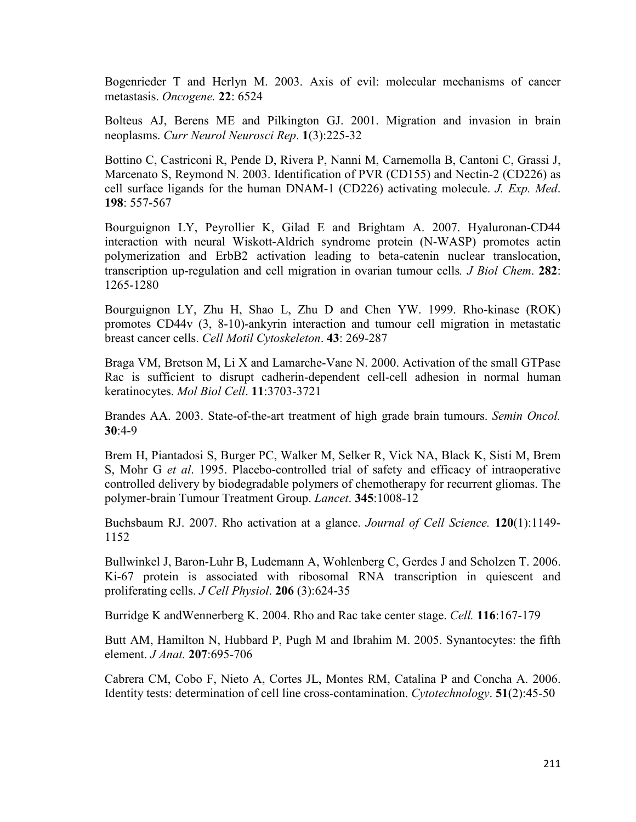Bogenrieder T and Herlyn M. 2003. Axis of evil: molecular mechanisms of cancer metastasis. *Oncogene.* **22**: 6524

Bolteus AJ, Berens ME and Pilkington GJ. 2001. Migration and invasion in brain neoplasms. *Curr Neurol Neurosci Rep*. **1**(3):225-32

Bottino C, Castriconi R, Pende D, Rivera P, Nanni M, Carnemolla B, Cantoni C, Grassi J, Marcenato S, Reymond N. 2003. Identification of PVR (CD155) and Nectin-2 (CD226) as cell surface ligands for the human DNAM-1 (CD226) activating molecule. *J. Exp. Med*. **198**: 557-567

Bourguignon LY, Peyrollier K, Gilad E and Brightam A. 2007. Hyaluronan-CD44 interaction with neural Wiskott-Aldrich syndrome protein (N-WASP) promotes actin polymerization and ErbB2 activation leading to beta-catenin nuclear translocation, transcription up-regulation and cell migration in ovarian tumour cells*. J Biol Chem*. **282**: 1265-1280

Bourguignon LY, Zhu H, Shao L, Zhu D and Chen YW. 1999. Rho-kinase (ROK) promotes CD44v (3, 8-10)-ankyrin interaction and tumour cell migration in metastatic breast cancer cells. *Cell Motil Cytoskeleton*. **43**: 269-287

Braga VM, Bretson M, Li X and Lamarche-Vane N. 2000. Activation of the small GTPase Rac is sufficient to disrupt cadherin-dependent cell-cell adhesion in normal human keratinocytes. *Mol Biol Cell*. **11**:3703-3721

Brandes AA. 2003. State-of-the-art treatment of high grade brain tumours. *Semin Oncol.* **30**:4-9

Brem H, Piantadosi S, Burger PC, Walker M, Selker R, Vick NA, Black K, Sisti M, Brem S, Mohr G *et al*. 1995. Placebo-controlled trial of safety and efficacy of intraoperative controlled delivery by biodegradable polymers of chemotherapy for recurrent gliomas. The polymer-brain Tumour Treatment Group. *Lancet*. **345**:1008-12

Buchsbaum RJ. 2007. Rho activation at a glance. *Journal of Cell Science.* **120**(1):1149- 1152

Bullwinkel J, Baron-Luhr B, Ludemann A, Wohlenberg C, Gerdes J and Scholzen T. 2006. Ki-67 protein is associated with ribosomal RNA transcription in quiescent and proliferating cells. *J Cell Physiol*. **206** (3):624-35

Burridge K andWennerberg K. 2004. Rho and Rac take center stage. *Cell.* **116**:167-179

Butt AM, Hamilton N, Hubbard P, Pugh M and Ibrahim M. 2005. Synantocytes: the fifth element. *J Anat.* **207**:695-706

Cabrera CM, Cobo F, Nieto A, Cortes JL, Montes RM, Catalina P and Concha A. 2006. Identity tests: determination of cell line cross-contamination. *Cytotechnology*. **51**(2):45-50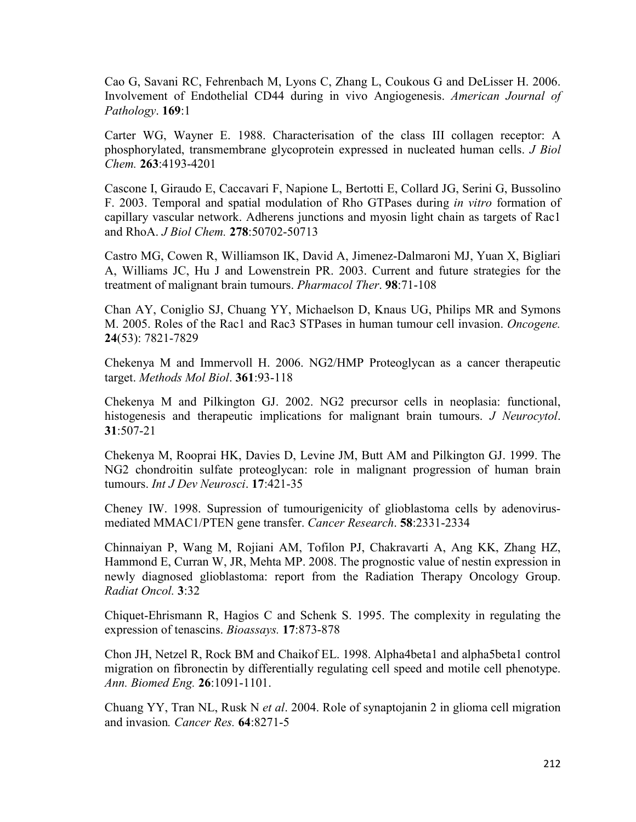Cao G, Savani RC, Fehrenbach M, Lyons C, Zhang L, Coukous G and DeLisser H. 2006. Involvement of Endothelial CD44 during in vivo Angiogenesis. *American Journal of Pathology*. **169**:1

Carter WG, Wayner E. 1988. Characterisation of the class III collagen receptor: A phosphorylated, transmembrane glycoprotein expressed in nucleated human cells. *J Biol Chem.* **263**:4193-4201

Cascone I, Giraudo E, Caccavari F, Napione L, Bertotti E, Collard JG, Serini G, Bussolino F. 2003. Temporal and spatial modulation of Rho GTPases during *in vitro* formation of capillary vascular network. Adherens junctions and myosin light chain as targets of Rac1 and RhoA. *J Biol Chem.* **278**:50702-50713

Castro MG, Cowen R, Williamson IK, David A, Jimenez-Dalmaroni MJ, Yuan X, Bigliari A, Williams JC, Hu J and Lowenstrein PR. 2003. Current and future strategies for the treatment of malignant brain tumours. *Pharmacol Ther*. **98**:71-108

Chan AY, Coniglio SJ, Chuang YY, Michaelson D, Knaus UG, Philips MR and Symons M. 2005. Roles of the Rac1 and Rac3 STPases in human tumour cell invasion. *Oncogene.* **24**(53): 7821-7829

Chekenya M and Immervoll H. 2006. NG2/HMP Proteoglycan as a cancer therapeutic target. *Methods Mol Biol*. **361**:93-118

Chekenya M and Pilkington GJ. 2002. NG2 precursor cells in neoplasia: functional, histogenesis and therapeutic implications for malignant brain tumours. *J Neurocytol*. **31**:507-21

Chekenya M, Rooprai HK, Davies D, Levine JM, Butt AM and Pilkington GJ. 1999. The NG2 chondroitin sulfate proteoglycan: role in malignant progression of human brain tumours. *Int J Dev Neurosci*. **17**:421-35

Cheney IW. 1998. Supression of tumourigenicity of glioblastoma cells by adenovirusmediated MMAC1/PTEN gene transfer. *Cancer Research*. **58**:2331-2334

Chinnaiyan P, Wang M, Rojiani AM, Tofilon PJ, Chakravarti A, Ang KK, Zhang HZ, Hammond E, Curran W, JR, Mehta MP. 2008. The prognostic value of nestin expression in newly diagnosed glioblastoma: report from the Radiation Therapy Oncology Group. *Radiat Oncol.* **3**:32

Chiquet-Ehrismann R, Hagios C and Schenk S. 1995. The complexity in regulating the expression of tenascins. *Bioassays.* **17**:873-878

Chon JH, Netzel R, Rock BM and Chaikof EL. 1998. Alpha4beta1 and alpha5beta1 control migration on fibronectin by differentially regulating cell speed and motile cell phenotype. *Ann. Biomed Eng.* **26**:1091-1101.

Chuang YY, Tran NL, Rusk N *et al*. 2004. Role of synaptojanin 2 in glioma cell migration and invasion*. Cancer Res.* **64**:8271-5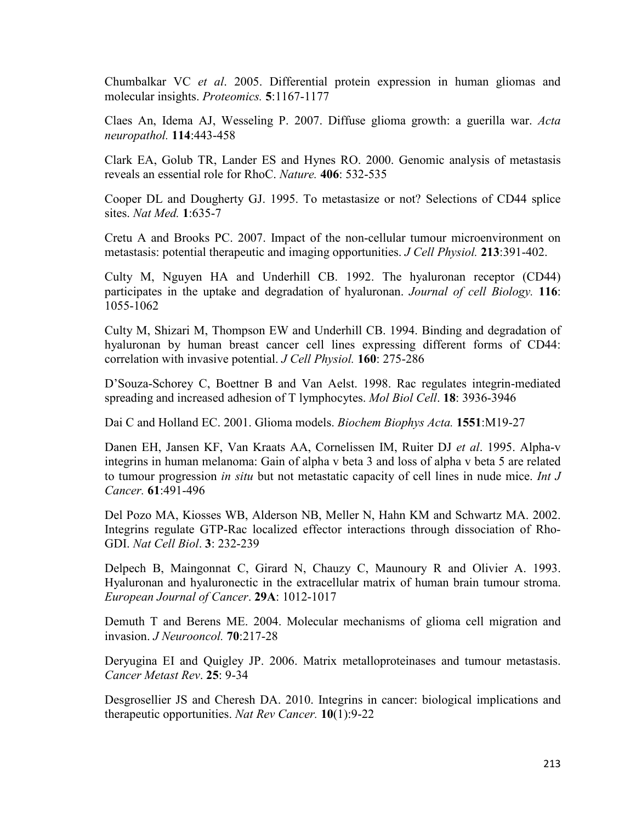Chumbalkar VC *et al*. 2005. Differential protein expression in human gliomas and molecular insights. *Proteomics.* **5**:1167-1177

Claes An, Idema AJ, Wesseling P. 2007. Diffuse glioma growth: a guerilla war. *Acta neuropathol.* **114**:443-458

Clark EA, Golub TR, Lander ES and Hynes RO. 2000. Genomic analysis of metastasis reveals an essential role for RhoC. *Nature.* **406**: 532-535

Cooper DL and Dougherty GJ. 1995. To metastasize or not? Selections of CD44 splice sites. *Nat Med.* **1**:635-7

Cretu A and Brooks PC. 2007. Impact of the non-cellular tumour microenvironment on metastasis: potential therapeutic and imaging opportunities. *J Cell Physiol.* **213**:391-402.

Culty M, Nguyen HA and Underhill CB. 1992. The hyaluronan receptor (CD44) participates in the uptake and degradation of hyaluronan. *Journal of cell Biology.* **116**: 1055-1062

Culty M, Shizari M, Thompson EW and Underhill CB. 1994. Binding and degradation of hyaluronan by human breast cancer cell lines expressing different forms of CD44: correlation with invasive potential. *J Cell Physiol.* **160**: 275-286

D'Souza-Schorey C, Boettner B and Van Aelst. 1998. Rac regulates integrin-mediated spreading and increased adhesion of T lymphocytes. *Mol Biol Cell*. **18**: 3936-3946

Dai C and Holland EC. 2001. Glioma models. *Biochem Biophys Acta.* **1551**:M19-27

Danen EH, Jansen KF, Van Kraats AA, Cornelissen IM, Ruiter DJ *et al*. 1995. Alpha-v integrins in human melanoma: Gain of alpha v beta 3 and loss of alpha v beta 5 are related to tumour progression *in situ* but not metastatic capacity of cell lines in nude mice. *Int J Cancer.* **61**:491-496

Del Pozo MA, Kiosses WB, Alderson NB, Meller N, Hahn KM and Schwartz MA. 2002. Integrins regulate GTP-Rac localized effector interactions through dissociation of Rho-GDI. *Nat Cell Biol*. **3**: 232-239

Delpech B, Maingonnat C, Girard N, Chauzy C, Maunoury R and Olivier A. 1993. Hyaluronan and hyaluronectic in the extracellular matrix of human brain tumour stroma. *European Journal of Cancer*. **29A**: 1012-1017

Demuth T and Berens ME. 2004. Molecular mechanisms of glioma cell migration and invasion. *J Neurooncol.* **70**:217-28

Deryugina EI and Quigley JP. 2006. Matrix metalloproteinases and tumour metastasis. *Cancer Metast Rev*. **25**: 9-34

Desgrosellier JS and Cheresh DA. 2010. Integrins in cancer: biological implications and therapeutic opportunities. *Nat Rev Cancer.* **10**(1):9-22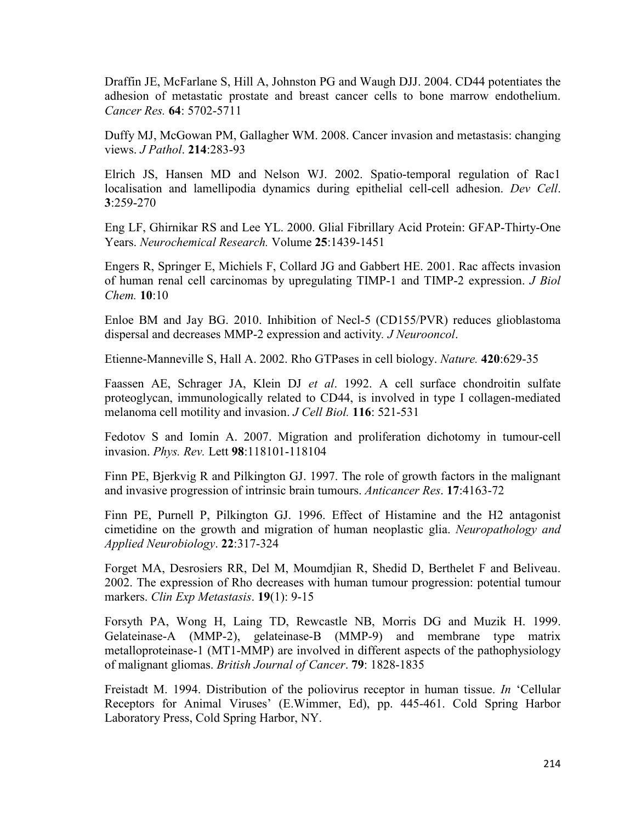Draffin JE, McFarlane S, Hill A, Johnston PG and Waugh DJJ. 2004. CD44 potentiates the adhesion of metastatic prostate and breast cancer cells to bone marrow endothelium. *Cancer Res.* **64**: 5702-5711

Duffy MJ, McGowan PM, Gallagher WM. 2008. Cancer invasion and metastasis: changing views. *J Pathol*. **214**:283-93

Elrich JS, Hansen MD and Nelson WJ. 2002. Spatio-temporal regulation of Rac1 localisation and lamellipodia dynamics during epithelial cell-cell adhesion. *Dev Cell*. **3**:259-270

Eng LF, Ghirnikar RS and Lee YL. 2000. Glial Fibrillary Acid Protein: GFAP-Thirty-One Years. *Neurochemical Research.* Volume **25**:1439-1451

Engers R, Springer E, Michiels F, Collard JG and Gabbert HE. 2001. Rac affects invasion of human renal cell carcinomas by upregulating TIMP-1 and TIMP-2 expression. *J Biol Chem.* **10**:10

Enloe BM and Jay BG. 2010. Inhibition of Necl-5 (CD155/PVR) reduces glioblastoma dispersal and decreases MMP-2 expression and activity*. J Neurooncol*.

Etienne-Manneville S, Hall A. 2002. Rho GTPases in cell biology. *Nature.* **420**:629-35

Faassen AE, Schrager JA, Klein DJ *et al*. 1992. A cell surface chondroitin sulfate proteoglycan, immunologically related to CD44, is involved in type I collagen-mediated melanoma cell motility and invasion. *J Cell Biol.* **116**: 521-531

Fedotov S and Iomin A. 2007. Migration and proliferation dichotomy in tumour-cell invasion. *Phys. Rev.* Lett **98**:118101-118104

Finn PE, Bjerkvig R and Pilkington GJ. 1997. The role of growth factors in the malignant and invasive progression of intrinsic brain tumours. *Anticancer Res*. **17**:4163-72

Finn PE, Purnell P, Pilkington GJ. 1996. Effect of Histamine and the H2 antagonist cimetidine on the growth and migration of human neoplastic glia. *Neuropathology and Applied Neurobiology*. **22**:317-324

Forget MA, Desrosiers RR, Del M, Moumdjian R, Shedid D, Berthelet F and Beliveau. 2002. The expression of Rho decreases with human tumour progression: potential tumour markers. *Clin Exp Metastasis*. **19**(1): 9-15

Forsyth PA, Wong H, Laing TD, Rewcastle NB, Morris DG and Muzik H. 1999. Gelateinase-A (MMP-2), gelateinase-B (MMP-9) and membrane type matrix metalloproteinase-1 (MT1-MMP) are involved in different aspects of the pathophysiology of malignant gliomas. *British Journal of Cancer*. **79**: 1828-1835

Freistadt M. 1994. Distribution of the poliovirus receptor in human tissue. *In* 'Cellular Receptors for Animal Viruses' (E.Wimmer, Ed), pp. 445-461. Cold Spring Harbor Laboratory Press, Cold Spring Harbor, NY.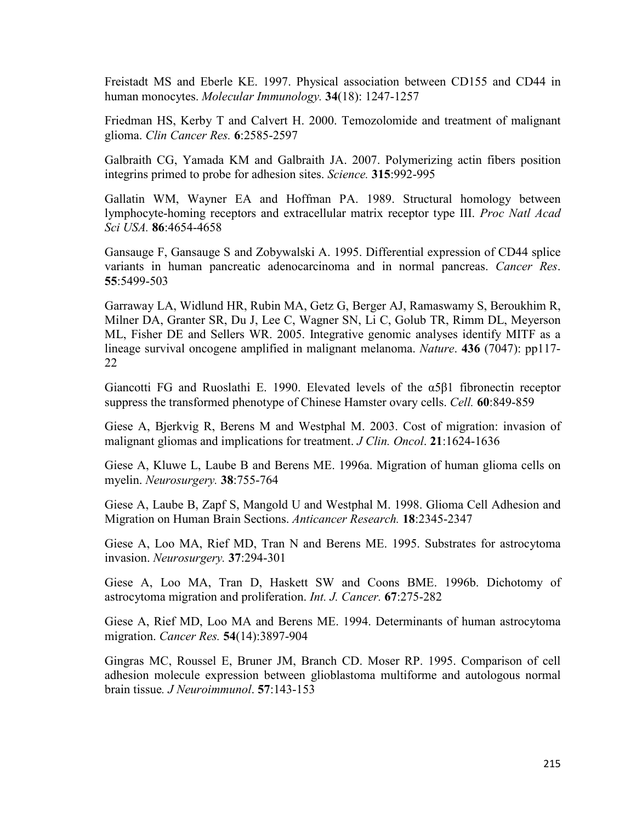Freistadt MS and Eberle KE. 1997. Physical association between CD155 and CD44 in human monocytes. *Molecular Immunology.* **34**(18): 1247-1257

Friedman HS, Kerby T and Calvert H. 2000. Temozolomide and treatment of malignant glioma. *Clin Cancer Res.* **6**:2585-2597

Galbraith CG, Yamada KM and Galbraith JA. 2007. Polymerizing actin fibers position integrins primed to probe for adhesion sites. *Science.* **315**:992-995

Gallatin WM, Wayner EA and Hoffman PA. 1989. Structural homology between lymphocyte-homing receptors and extracellular matrix receptor type III. *Proc Natl Acad Sci USA.* **86**:4654-4658

Gansauge F, Gansauge S and Zobywalski A. 1995. Differential expression of CD44 splice variants in human pancreatic adenocarcinoma and in normal pancreas. *Cancer Res*. **55**:5499-503

Garraway LA, Widlund HR, Rubin MA, Getz G, Berger AJ, Ramaswamy S, Beroukhim R, Milner DA, Granter SR, Du J, Lee C, Wagner SN, Li C, Golub TR, Rimm DL, Meyerson ML, Fisher DE and Sellers WR. 2005. Integrative genomic analyses identify MITF as a lineage survival oncogene amplified in malignant melanoma. *Nature*. **436** (7047): pp117- 22

Giancotti FG and Ruoslathi E. 1990. Elevated levels of the α5β1 fibronectin receptor suppress the transformed phenotype of Chinese Hamster ovary cells. *Cell.* **60**:849-859

Giese A, Bjerkvig R, Berens M and Westphal M. 2003. Cost of migration: invasion of malignant gliomas and implications for treatment. *J Clin. Oncol*. **21**:1624-1636

Giese A, Kluwe L, Laube B and Berens ME. 1996a. Migration of human glioma cells on myelin. *Neurosurgery.* **38**:755-764

Giese A, Laube B, Zapf S, Mangold U and Westphal M. 1998. Glioma Cell Adhesion and Migration on Human Brain Sections. *Anticancer Research.* **18**:2345-2347

Giese A, Loo MA, Rief MD, Tran N and Berens ME. 1995. Substrates for astrocytoma invasion. *Neurosurgery.* **37**:294-301

Giese A, Loo MA, Tran D, Haskett SW and Coons BME. 1996b. Dichotomy of astrocytoma migration and proliferation. *Int. J. Cancer.* **67**:275-282

Giese A, Rief MD, Loo MA and Berens ME. 1994. Determinants of human astrocytoma migration. *Cancer Res.* **54**(14):3897-904

Gingras MC, Roussel E, Bruner JM, Branch CD. Moser RP. 1995. Comparison of cell adhesion molecule expression between glioblastoma multiforme and autologous normal brain tissue*. J Neuroimmunol*. **57**:143-153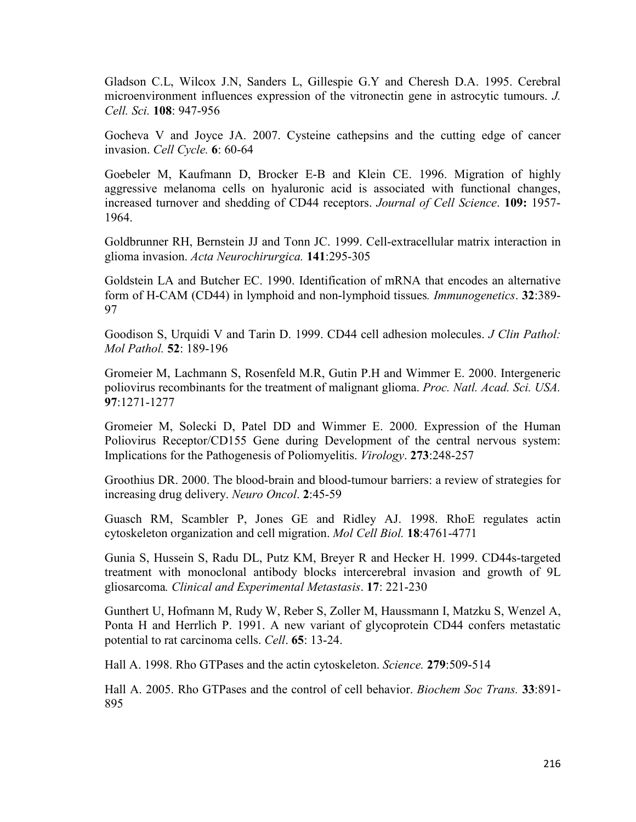Gladson C.L, Wilcox J.N, Sanders L, Gillespie G.Y and Cheresh D.A. 1995. Cerebral microenvironment influences expression of the vitronectin gene in astrocytic tumours. *J. Cell. Sci.* **108**: 947-956

Gocheva V and Joyce JA. 2007. Cysteine cathepsins and the cutting edge of cancer invasion. *Cell Cycle.* **6**: 60-64

Goebeler M, Kaufmann D, Brocker E-B and Klein CE. 1996. Migration of highly aggressive melanoma cells on hyaluronic acid is associated with functional changes, increased turnover and shedding of CD44 receptors. *Journal of Cell Science*. **109:** 1957- 1964.

Goldbrunner RH, Bernstein JJ and Tonn JC. 1999. Cell-extracellular matrix interaction in glioma invasion. *Acta Neurochirurgica.* **141**:295-305

Goldstein LA and Butcher EC. 1990. Identification of mRNA that encodes an alternative form of H-CAM (CD44) in lymphoid and non-lymphoid tissues*. Immunogenetics*. **32**:389- 97

Goodison S, Urquidi V and Tarin D. 1999. CD44 cell adhesion molecules. *J Clin Pathol: Mol Pathol.* **52**: 189-196

Gromeier M, Lachmann S, Rosenfeld M.R, Gutin P.H and Wimmer E. 2000. Intergeneric poliovirus recombinants for the treatment of malignant glioma. *Proc. Natl. Acad. Sci. USA.* **97**:1271-1277

Gromeier M, Solecki D, Patel DD and Wimmer E. 2000. Expression of the Human Poliovirus Receptor/CD155 Gene during Development of the central nervous system: Implications for the Pathogenesis of Poliomyelitis. *Virology*. **273**:248-257

Groothius DR. 2000. The blood-brain and blood-tumour barriers: a review of strategies for increasing drug delivery. *Neuro Oncol*. **2**:45-59

Guasch RM, Scambler P, Jones GE and Ridley AJ. 1998. RhoE regulates actin cytoskeleton organization and cell migration. *Mol Cell Biol.* **18**:4761-4771

Gunia S, Hussein S, Radu DL, Putz KM, Breyer R and Hecker H. 1999. CD44s-targeted treatment with monoclonal antibody blocks intercerebral invasion and growth of 9L gliosarcoma*. Clinical and Experimental Metastasis*. **17**: 221-230

Gunthert U, Hofmann M, Rudy W, Reber S, Zoller M, Haussmann I, Matzku S, Wenzel A, Ponta H and Herrlich P. 1991. A new variant of glycoprotein CD44 confers metastatic potential to rat carcinoma cells. *Cell*. **65**: 13-24.

Hall A. 1998. Rho GTPases and the actin cytoskeleton. *Science.* **279**:509-514

Hall A. 2005. Rho GTPases and the control of cell behavior. *Biochem Soc Trans.* **33**:891- 895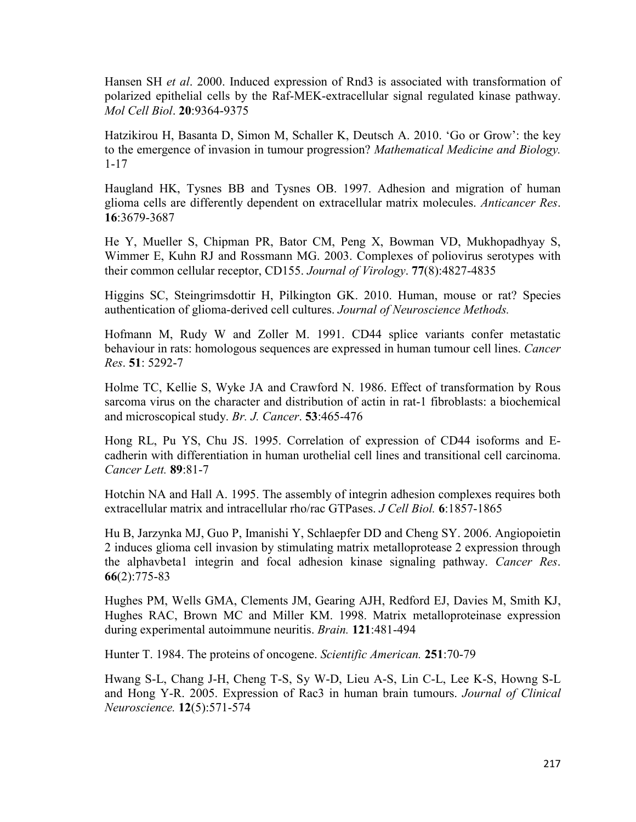Hansen SH *et al*. 2000. Induced expression of Rnd3 is associated with transformation of polarized epithelial cells by the Raf-MEK-extracellular signal regulated kinase pathway. *Mol Cell Biol*. **20**:9364-9375

Hatzikirou H, Basanta D, Simon M, Schaller K, Deutsch A. 2010. 'Go or Grow': the key to the emergence of invasion in tumour progression? *Mathematical Medicine and Biology.* 1-17

Haugland HK, Tysnes BB and Tysnes OB. 1997. Adhesion and migration of human glioma cells are differently dependent on extracellular matrix molecules. *Anticancer Res*. **16**:3679-3687

He Y, Mueller S, Chipman PR, Bator CM, Peng X, Bowman VD, Mukhopadhyay S, Wimmer E, Kuhn RJ and Rossmann MG. 2003. Complexes of poliovirus serotypes with their common cellular receptor, CD155. *Journal of Virology*. **77**(8):4827-4835

Higgins SC, Steingrimsdottir H, Pilkington GK. 2010. Human, mouse or rat? Species authentication of glioma-derived cell cultures. *Journal of Neuroscience Methods.*

Hofmann M, Rudy W and Zoller M. 1991. CD44 splice variants confer metastatic behaviour in rats: homologous sequences are expressed in human tumour cell lines. *Cancer Res*. **51**: 5292-7

Holme TC, Kellie S, Wyke JA and Crawford N. 1986. Effect of transformation by Rous sarcoma virus on the character and distribution of actin in rat-1 fibroblasts: a biochemical and microscopical study. *Br. J. Cancer*. **53**:465-476

Hong RL, Pu YS, Chu JS. 1995. Correlation of expression of CD44 isoforms and Ecadherin with differentiation in human urothelial cell lines and transitional cell carcinoma. *Cancer Lett.* **89**:81-7

Hotchin NA and Hall A. 1995. The assembly of integrin adhesion complexes requires both extracellular matrix and intracellular rho/rac GTPases. *J Cell Biol.* **6**:1857-1865

Hu B, Jarzynka MJ, Guo P, Imanishi Y, Schlaepfer DD and Cheng SY. 2006. Angiopoietin 2 induces glioma cell invasion by stimulating matrix metalloprotease 2 expression through the alphavbeta1 integrin and focal adhesion kinase signaling pathway. *Cancer Res*. **66**(2):775-83

Hughes PM, Wells GMA, Clements JM, Gearing AJH, Redford EJ, Davies M, Smith KJ, Hughes RAC, Brown MC and Miller KM. 1998. Matrix metalloproteinase expression during experimental autoimmune neuritis. *Brain.* **121**:481-494

Hunter T. 1984. The proteins of oncogene. *Scientific American.* **251**:70-79

Hwang S-L, Chang J-H, Cheng T-S, Sy W-D, Lieu A-S, Lin C-L, Lee K-S, Howng S-L and Hong Y-R. 2005. Expression of Rac3 in human brain tumours. *Journal of Clinical Neuroscience.* **12**(5):571-574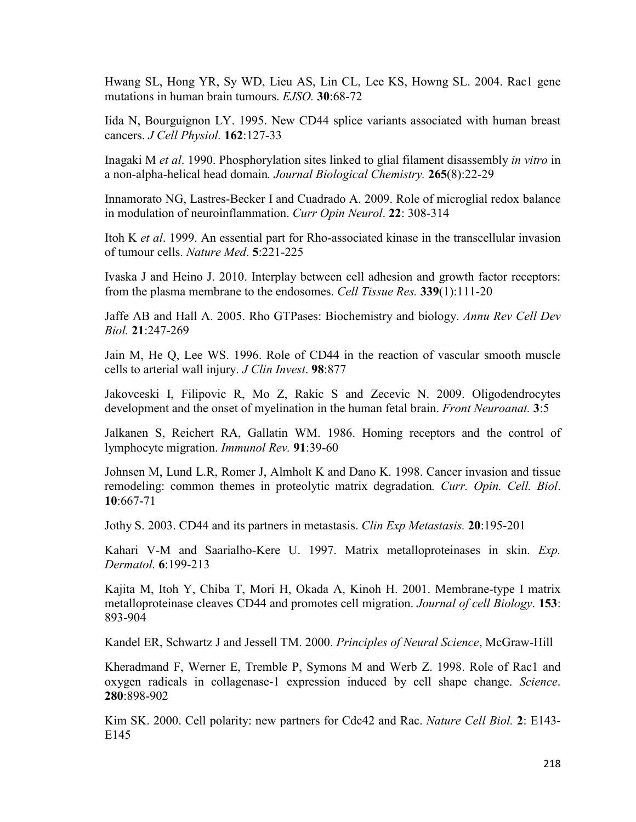Hwang SL, Hong YR, Sy WD, Lieu AS, Lin CL, Lee KS, Howng SL. 2004. Rac1 gene mutations in human brain tumours. *EJSO.* **30**:68-72

Iida N, Bourguignon LY. 1995. New CD44 splice variants associated with human breast cancers. *J Cell Physiol.* **162**:127-33

Inagaki M *et al*. 1990. Phosphorylation sites linked to glial filament disassembly *in vitro* in a non-alpha-helical head domain*. Journal Biological Chemistry.* **265**(8):22-29

Innamorato NG, Lastres-Becker I and Cuadrado A. 2009. Role of microglial redox balance in modulation of neuroinflammation. *Curr Opin Neurol*. **22**: 308-314

Itoh K *et al*. 1999. An essential part for Rho-associated kinase in the transcellular invasion of tumour cells. *Nature Med*. **5**:221-225

Ivaska J and Heino J. 2010. Interplay between cell adhesion and growth factor receptors: from the plasma membrane to the endosomes. *Cell Tissue Res.* **339**(1):111-20

Jaffe AB and Hall A. 2005. Rho GTPases: Biochemistry and biology. *Annu Rev Cell Dev Biol.* **21**:247-269

Jain M, He Q, Lee WS. 1996. Role of CD44 in the reaction of vascular smooth muscle cells to arterial wall injury. *J Clin Invest*. **98**:877

Jakovceski I, Filipovic R, Mo Z, Rakic S and Zecevic N. 2009. Oligodendrocytes development and the onset of myelination in the human fetal brain. *Front Neuroanat.* **3**:5

Jalkanen S, Reichert RA, Gallatin WM. 1986. Homing receptors and the control of lymphocyte migration. *Immunol Rev.* **91**:39-60

Johnsen M, Lund L.R, Romer J, Almholt K and Dano K. 1998. Cancer invasion and tissue remodeling: common themes in proteolytic matrix degradation*. Curr. Opin. Cell. Biol*. **10**:667-71

Jothy S. 2003. CD44 and its partners in metastasis. *Clin Exp Metastasis.* **20**:195-201

Kahari V-M and Saarialho-Kere U. 1997. Matrix metalloproteinases in skin. *Exp. Dermatol.* **6**:199-213

Kajita M, Itoh Y, Chiba T, Mori H, Okada A, Kinoh H. 2001. Membrane-type I matrix metalloproteinase cleaves CD44 and promotes cell migration. *Journal of cell Biology*. **153**: 893-904

Kandel ER, Schwartz J and Jessell TM. 2000. *Principles of Neural Science*, McGraw-Hill

Kheradmand F, Werner E, Tremble P, Symons M and Werb Z. 1998. Role of Rac1 and oxygen radicals in collagenase-1 expression induced by cell shape change. *Science*. **280**:898-902

Kim SK. 2000. Cell polarity: new partners for Cdc42 and Rac. *Nature Cell Biol.* **2**: E143- E145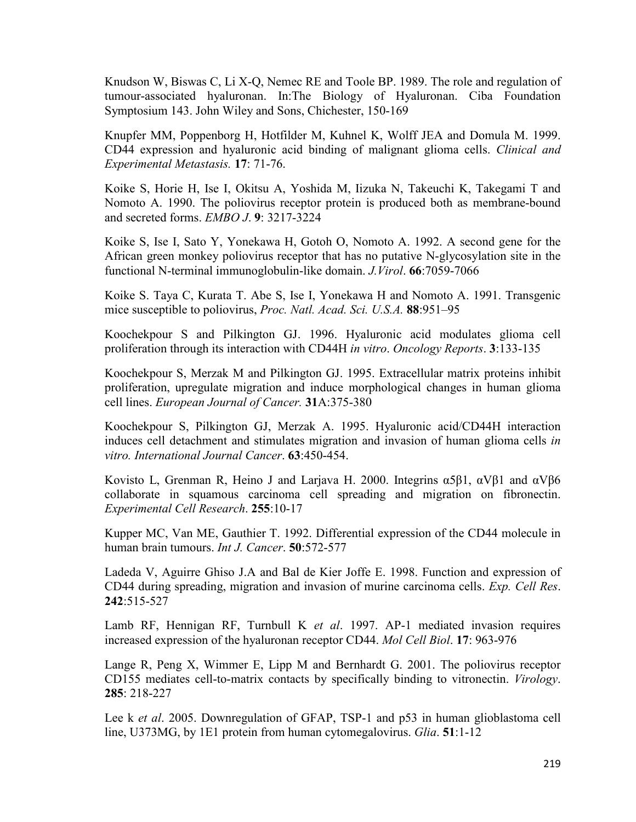Knudson W, Biswas C, Li X-Q, Nemec RE and Toole BP. 1989. The role and regulation of tumour-associated hyaluronan. In:The Biology of Hyaluronan. Ciba Foundation Symptosium 143. John Wiley and Sons, Chichester, 150-169

Knupfer MM, Poppenborg H, Hotfilder M, Kuhnel K, Wolff JEA and Domula M. 1999. CD44 expression and hyaluronic acid binding of malignant glioma cells. *Clinical and Experimental Metastasis.* **17**: 71-76.

Koike S, Horie H, Ise I, Okitsu A, Yoshida M, Iizuka N, Takeuchi K, Takegami T and Nomoto A. 1990. The poliovirus receptor protein is produced both as membrane-bound and secreted forms. *EMBO J*. **9**: 3217-3224

Koike S, Ise I, Sato Y, Yonekawa H, Gotoh O, Nomoto A. 1992. A second gene for the African green monkey poliovirus receptor that has no putative N-glycosylation site in the functional N-terminal immunoglobulin-like domain. *J.Virol*. **66**:7059-7066

Koike S. Taya C, Kurata T. Abe S, Ise I, Yonekawa H and Nomoto A. 1991. Transgenic mice susceptible to poliovirus, *Proc. Natl. Acad. Sci. U.S.A.* **88**:951–95

Koochekpour S and Pilkington GJ. 1996. Hyaluronic acid modulates glioma cell proliferation through its interaction with CD44H *in vitro*. *Oncology Reports*. **3**:133-135

Koochekpour S, Merzak M and Pilkington GJ. 1995. Extracellular matrix proteins inhibit proliferation, upregulate migration and induce morphological changes in human glioma cell lines. *European Journal of Cancer.* **31**A:375-380

Koochekpour S, Pilkington GJ, Merzak A. 1995. Hyaluronic acid/CD44H interaction induces cell detachment and stimulates migration and invasion of human glioma cells *in vitro. International Journal Cancer*. **63**:450-454.

Kovisto L, Grenman R, Heino J and Larjava H. 2000. Integrins  $\alpha$ 5β1,  $\alpha$ Vβ1 and  $\alpha$ Vβ6 collaborate in squamous carcinoma cell spreading and migration on fibronectin. *Experimental Cell Research*. **255**:10-17

Kupper MC, Van ME, Gauthier T. 1992. Differential expression of the CD44 molecule in human brain tumours. *Int J. Cancer*. **50**:572-577

Ladeda V, Aguirre Ghiso J.A and Bal de Kier Joffe E. 1998. Function and expression of CD44 during spreading, migration and invasion of murine carcinoma cells. *Exp. Cell Res*. **242**:515-527

Lamb RF, Hennigan RF, Turnbull K *et al*. 1997. AP-1 mediated invasion requires increased expression of the hyaluronan receptor CD44. *Mol Cell Biol*. **17**: 963-976

Lange R, Peng X, Wimmer E, Lipp M and Bernhardt G. 2001. The poliovirus receptor CD155 mediates cell-to-matrix contacts by specifically binding to vitronectin. *Virology*. **285**: 218-227

Lee k *et al*. 2005. Downregulation of GFAP, TSP-1 and p53 in human glioblastoma cell line, U373MG, by 1E1 protein from human cytomegalovirus. *Glia*. **51**:1-12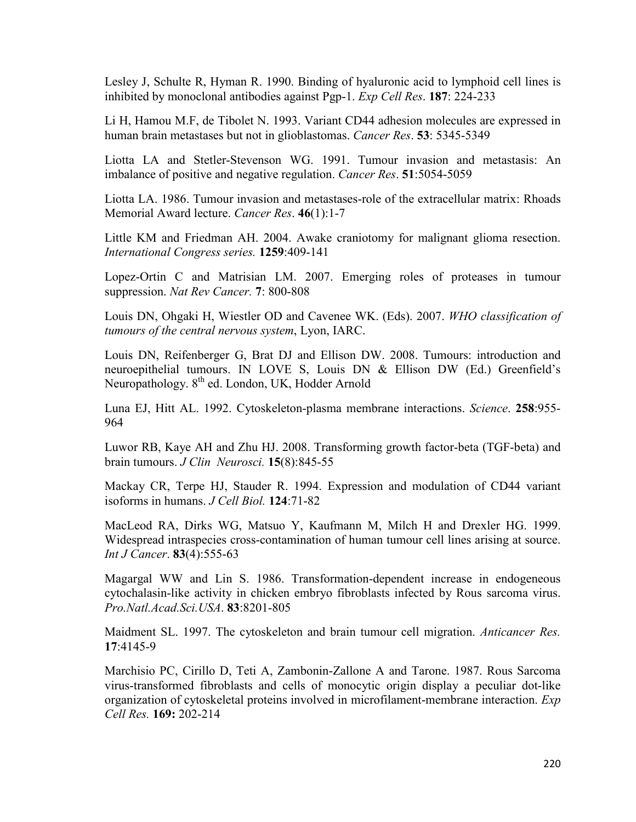Lesley J, Schulte R, Hyman R. 1990. Binding of hyaluronic acid to lymphoid cell lines is inhibited by monoclonal antibodies against Pgp-1. *Exp Cell Res*. **187**: 224-233

Li H, Hamou M.F, de Tibolet N. 1993. Variant CD44 adhesion molecules are expressed in human brain metastases but not in glioblastomas. *Cancer Res*. **53**: 5345-5349

Liotta LA and Stetler-Stevenson WG. 1991. Tumour invasion and metastasis: An imbalance of positive and negative regulation. *Cancer Res*. **51**:5054-5059

Liotta LA. 1986. Tumour invasion and metastases-role of the extracellular matrix: Rhoads Memorial Award lecture. *Cancer Res*. **46**(1):1-7

Little KM and Friedman AH. 2004. Awake craniotomy for malignant glioma resection. *International Congress series.* **1259**:409-141

Lopez-Ortin C and Matrisian LM. 2007. Emerging roles of proteases in tumour suppression. *Nat Rev Cancer.* **7**: 800-808

Louis DN, Ohgaki H, Wiestler OD and Cavenee WK. (Eds). 2007. *WHO classification of tumours of the central nervous system*, Lyon, IARC.

Louis DN, Reifenberger G, Brat DJ and Ellison DW. 2008. Tumours: introduction and neuroepithelial tumours. IN LOVE S, Louis DN & Ellison DW (Ed.) Greenfield's Neuropathology. 8<sup>th</sup> ed. London, UK, Hodder Arnold

Luna EJ, Hitt AL. 1992. Cytoskeleton-plasma membrane interactions. *Science*. **258**:955- 964

Luwor RB, Kaye AH and Zhu HJ. 2008. Transforming growth factor-beta (TGF-beta) and brain tumours. *J Clin Neurosci.* **15**(8):845-55

Mackay CR, Terpe HJ, Stauder R. 1994. Expression and modulation of CD44 variant isoforms in humans. *J Cell Biol.* **124**:71-82

MacLeod RA, Dirks WG, Matsuo Y, Kaufmann M, Milch H and Drexler HG. 1999. Widespread intraspecies cross-contamination of human tumour cell lines arising at source. *Int J Cancer*. **83**(4):555-63

Magargal WW and Lin S. 1986. Transformation-dependent increase in endogeneous cytochalasin-like activity in chicken embryo fibroblasts infected by Rous sarcoma virus. *Pro.Natl.Acad.Sci.USA*. **83**:8201-805

Maidment SL. 1997. The cytoskeleton and brain tumour cell migration. *Anticancer Res.* **17**:4145-9

Marchisio PC, Cirillo D, Teti A, Zambonin-Zallone A and Tarone. 1987. Rous Sarcoma virus-transformed fibroblasts and cells of monocytic origin display a peculiar dot-like organization of cytoskeletal proteins involved in microfilament-membrane interaction. *Exp Cell Res.* **169:** 202-214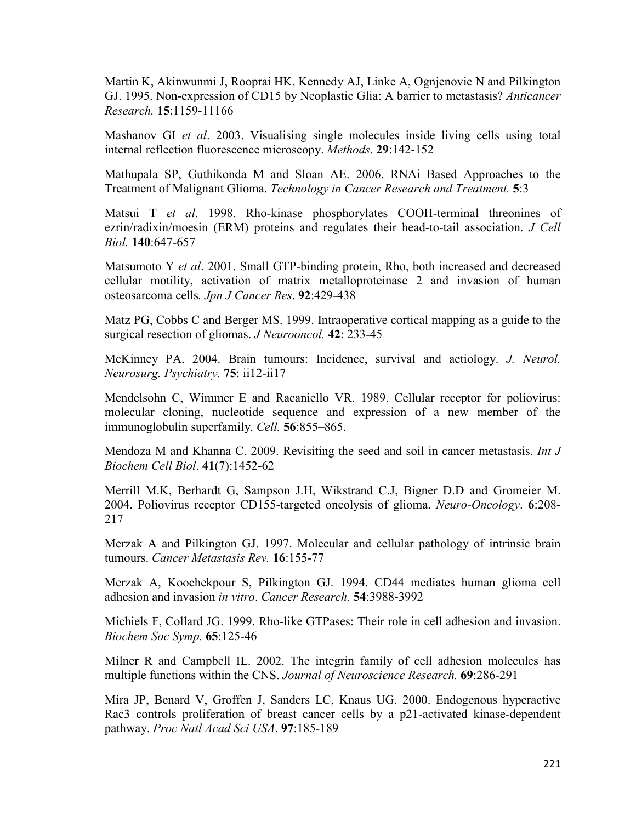Martin K, Akinwunmi J, Rooprai HK, Kennedy AJ, Linke A, Ognjenovic N and Pilkington GJ. 1995. Non-expression of CD15 by Neoplastic Glia: A barrier to metastasis? *Anticancer Research.* **15**:1159-11166

Mashanov GI *et al*. 2003. Visualising single molecules inside living cells using total internal reflection fluorescence microscopy. *Methods*. **29**:142-152

Mathupala SP, Guthikonda M and Sloan AE. 2006. RNAi Based Approaches to the Treatment of Malignant Glioma. *Technology in Cancer Research and Treatment.* **5**:3

Matsui T *et al*. 1998. Rho-kinase phosphorylates COOH-terminal threonines of ezrin/radixin/moesin (ERM) proteins and regulates their head-to-tail association. *J Cell Biol.* **140**:647-657

Matsumoto Y *et al*. 2001. Small GTP-binding protein, Rho, both increased and decreased cellular motility, activation of matrix metalloproteinase 2 and invasion of human osteosarcoma cells*. Jpn J Cancer Res*. **92**:429-438

Matz PG, Cobbs C and Berger MS. 1999. Intraoperative cortical mapping as a guide to the surgical resection of gliomas. *J Neurooncol.* **42**: 233-45

McKinney PA. 2004. Brain tumours: Incidence, survival and aetiology. *J. Neurol. Neurosurg. Psychiatry.* **75**: ii12-ii17

Mendelsohn C, Wimmer E and Racaniello VR. 1989. Cellular receptor for poliovirus: molecular cloning, nucleotide sequence and expression of a new member of the immunoglobulin superfamily. *Cell.* **56**:855–865.

Mendoza M and Khanna C. 2009. Revisiting the seed and soil in cancer metastasis. *Int J Biochem Cell Biol*. **41**(7):1452-62

Merrill M.K, Berhardt G, Sampson J.H, Wikstrand C.J, Bigner D.D and Gromeier M. 2004. Poliovirus receptor CD155-targeted oncolysis of glioma. *Neuro-Oncology*. **6**:208- 217

Merzak A and Pilkington GJ. 1997. Molecular and cellular pathology of intrinsic brain tumours. *Cancer Metastasis Rev.* **16**:155-77

Merzak A, Koochekpour S, Pilkington GJ. 1994. CD44 mediates human glioma cell adhesion and invasion *in vitro*. *Cancer Research.* **54**:3988-3992

Michiels F, Collard JG. 1999. Rho-like GTPases: Their role in cell adhesion and invasion. *Biochem Soc Symp.* **65**:125-46

Milner R and Campbell IL. 2002. The integrin family of cell adhesion molecules has multiple functions within the CNS. *Journal of Neuroscience Research.* **69**:286-291

Mira JP, Benard V, Groffen J, Sanders LC, Knaus UG. 2000. Endogenous hyperactive Rac3 controls proliferation of breast cancer cells by a p21-activated kinase-dependent pathway. *Proc Natl Acad Sci USA*. **97**:185-189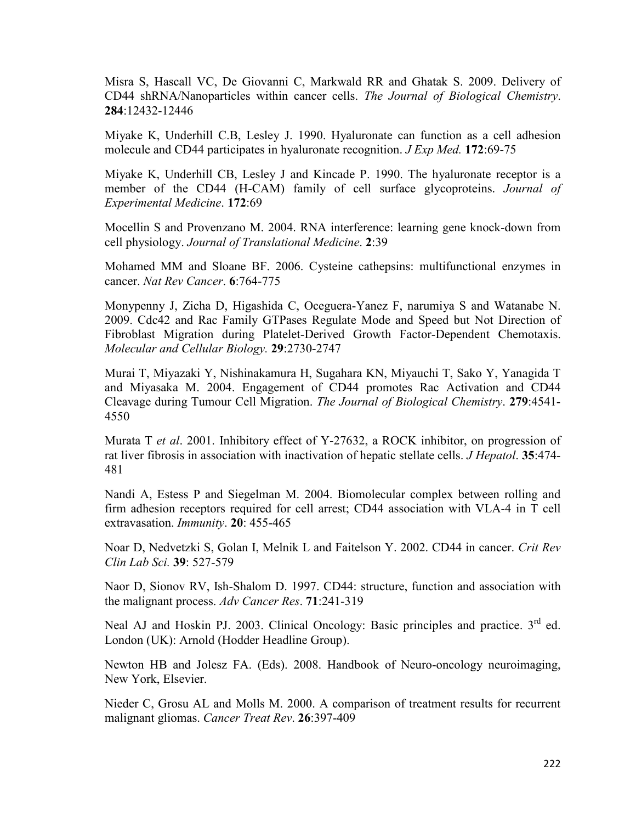Misra S, Hascall VC, De Giovanni C, Markwald RR and Ghatak S. 2009. Delivery of CD44 shRNA/Nanoparticles within cancer cells. *The Journal of Biological Chemistry*. **284**:12432-12446

Miyake K, Underhill C.B, Lesley J. 1990. Hyaluronate can function as a cell adhesion molecule and CD44 participates in hyaluronate recognition. *J Exp Med.* **172**:69-75

Miyake K, Underhill CB, Lesley J and Kincade P. 1990. The hyaluronate receptor is a member of the CD44 (H-CAM) family of cell surface glycoproteins. *Journal of Experimental Medicine*. **172**:69

Mocellin S and Provenzano M. 2004. RNA interference: learning gene knock-down from cell physiology. *Journal of Translational Medicine*. **2**:39

Mohamed MM and Sloane BF. 2006. Cysteine cathepsins: multifunctional enzymes in cancer. *Nat Rev Cancer*. **6**:764-775

Monypenny J, Zicha D, Higashida C, Oceguera-Yanez F, narumiya S and Watanabe N. 2009. Cdc42 and Rac Family GTPases Regulate Mode and Speed but Not Direction of Fibroblast Migration during Platelet-Derived Growth Factor-Dependent Chemotaxis. *Molecular and Cellular Biology.* **29**:2730-2747

Murai T, Miyazaki Y, Nishinakamura H, Sugahara KN, Miyauchi T, Sako Y, Yanagida T and Miyasaka M. 2004. Engagement of CD44 promotes Rac Activation and CD44 Cleavage during Tumour Cell Migration. *The Journal of Biological Chemistry*. **279**:4541- 4550

Murata T *et al*. 2001. Inhibitory effect of Y-27632, a ROCK inhibitor, on progression of rat liver fibrosis in association with inactivation of hepatic stellate cells. *J Hepatol*. **35**:474- 481

Nandi A, Estess P and Siegelman M. 2004. Biomolecular complex between rolling and firm adhesion receptors required for cell arrest; CD44 association with VLA-4 in T cell extravasation. *Immunity*. **20**: 455-465

Noar D, Nedvetzki S, Golan I, Melnik L and Faitelson Y. 2002. CD44 in cancer. *Crit Rev Clin Lab Sci.* **39**: 527-579

Naor D, Sionov RV, Ish-Shalom D. 1997. CD44: structure, function and association with the malignant process. *Adv Cancer Res*. **71**:241-319

Neal AJ and Hoskin PJ. 2003. Clinical Oncology: Basic principles and practice. 3<sup>rd</sup> ed. London (UK): Arnold (Hodder Headline Group).

Newton HB and Jolesz FA. (Eds). 2008. Handbook of Neuro-oncology neuroimaging, New York, Elsevier.

Nieder C, Grosu AL and Molls M. 2000. A comparison of treatment results for recurrent malignant gliomas. *Cancer Treat Rev*. **26**:397-409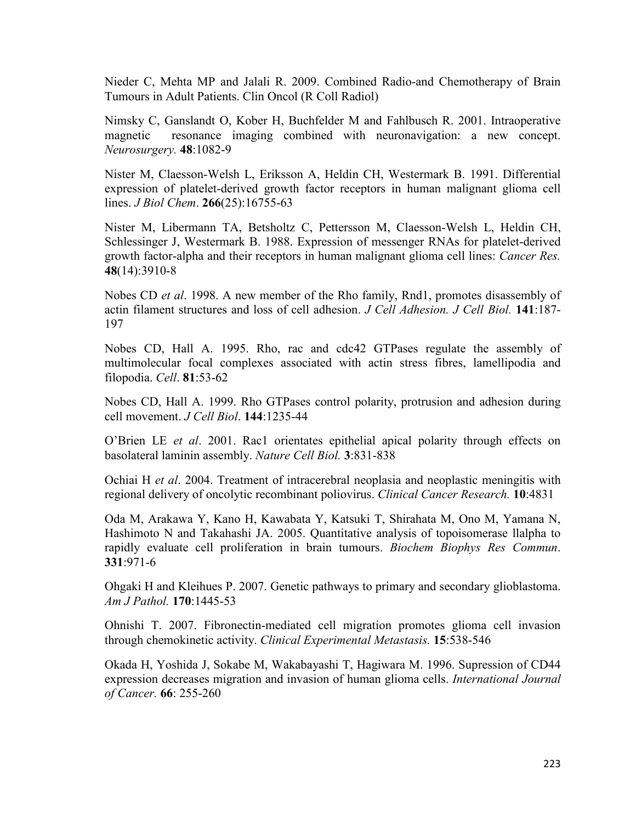Nieder C, Mehta MP and Jalali R. 2009. Combined Radio-and Chemotherapy of Brain Tumours in Adult Patients. Clin Oncol (R Coll Radiol)

Nimsky C, Ganslandt O, Kober H, Buchfelder M and Fahlbusch R. 2001. Intraoperative magnetic resonance imaging combined with neuronavigation: a new concept. *Neurosurgery.* **48**:1082-9

Nister M, Claesson-Welsh L, Eriksson A, Heldin CH, Westermark B. 1991. Differential expression of platelet-derived growth factor receptors in human malignant glioma cell lines. *J Biol Chem*. **266**(25):16755-63

Nister M, Libermann TA, Betsholtz C, Pettersson M, Claesson-Welsh L, Heldin CH, Schlessinger J, Westermark B. 1988. Expression of messenger RNAs for platelet-derived growth factor-alpha and their receptors in human malignant glioma cell lines: *Cancer Res.* **48**(14):3910-8

Nobes CD *et al*. 1998. A new member of the Rho family, Rnd1, promotes disassembly of actin filament structures and loss of cell adhesion. *J Cell Adhesion. J Cell Biol.* **141**:187- 197

Nobes CD, Hall A. 1995. Rho, rac and cdc42 GTPases regulate the assembly of multimolecular focal complexes associated with actin stress fibres, lamellipodia and filopodia. *Cell*. **81**:53-62

Nobes CD, Hall A. 1999. Rho GTPases control polarity, protrusion and adhesion during cell movement. *J Cell Biol*. **144**:1235-44

O'Brien LE *et al*. 2001. Rac1 orientates epithelial apical polarity through effects on basolateral laminin assembly. *Nature Cell Biol.* **3**:831-838

Ochiai H *et al*. 2004. Treatment of intracerebral neoplasia and neoplastic meningitis with regional delivery of oncolytic recombinant poliovirus. *Clinical Cancer Research.* **10**:4831

Oda M, Arakawa Y, Kano H, Kawabata Y, Katsuki T, Shirahata M, Ono M, Yamana N, Hashimoto N and Takahashi JA. 2005. Quantitative analysis of topoisomerase llalpha to rapidly evaluate cell proliferation in brain tumours. *Biochem Biophys Res Commun*. **331**:971-6

Ohgaki H and Kleihues P. 2007. Genetic pathways to primary and secondary glioblastoma. *Am J Pathol.* **170**:1445-53

Ohnishi T. 2007. Fibronectin-mediated cell migration promotes glioma cell invasion through chemokinetic activity. *Clinical Experimental Metastasis.* **15**:538-546

Okada H, Yoshida J, Sokabe M, Wakabayashi T, Hagiwara M. 1996. Supression of CD44 expression decreases migration and invasion of human glioma cells. *International Journal of Cancer.* **66**: 255-260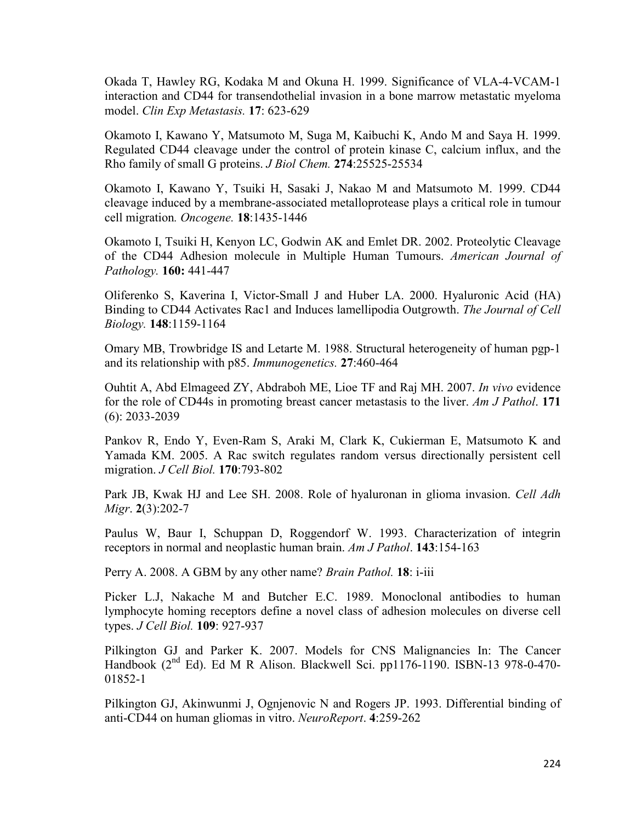Okada T, Hawley RG, Kodaka M and Okuna H. 1999. Significance of VLA-4-VCAM-1 interaction and CD44 for transendothelial invasion in a bone marrow metastatic myeloma model. *Clin Exp Metastasis.* **17**: 623-629

Okamoto I, Kawano Y, Matsumoto M, Suga M, Kaibuchi K, Ando M and Saya H. 1999. Regulated CD44 cleavage under the control of protein kinase C, calcium influx, and the Rho family of small G proteins. *J Biol Chem.* **274**:25525-25534

Okamoto I, Kawano Y, Tsuiki H, Sasaki J, Nakao M and Matsumoto M. 1999. CD44 cleavage induced by a membrane-associated metalloprotease plays a critical role in tumour cell migration*. Oncogene.* **18**:1435-1446

Okamoto I, Tsuiki H, Kenyon LC, Godwin AK and Emlet DR. 2002. Proteolytic Cleavage of the CD44 Adhesion molecule in Multiple Human Tumours. *American Journal of Pathology.* **160:** 441-447

Oliferenko S, Kaverina I, Victor-Small J and Huber LA. 2000. Hyaluronic Acid (HA) Binding to CD44 Activates Rac1 and Induces lamellipodia Outgrowth. *The Journal of Cell Biology.* **148**:1159-1164

Omary MB, Trowbridge IS and Letarte M. 1988. Structural heterogeneity of human pgp-1 and its relationship with p85. *Immunogenetics.* **27**:460-464

Ouhtit A, Abd Elmageed ZY, Abdraboh ME, Lioe TF and Raj MH. 2007. *In vivo* evidence for the role of CD44s in promoting breast cancer metastasis to the liver. *Am J Pathol*. **171** (6): 2033-2039

Pankov R, Endo Y, Even-Ram S, Araki M, Clark K, Cukierman E, Matsumoto K and Yamada KM. 2005. A Rac switch regulates random versus directionally persistent cell migration. *J Cell Biol.* **170**:793-802

Park JB, Kwak HJ and Lee SH. 2008. Role of hyaluronan in glioma invasion. *Cell Adh Migr*. **2**(3):202-7

Paulus W, Baur I, Schuppan D, Roggendorf W. 1993. Characterization of integrin receptors in normal and neoplastic human brain. *Am J Pathol*. **143**:154-163

Perry A. 2008. A GBM by any other name? *Brain Pathol.* **18**: i-iii

Picker L.J, Nakache M and Butcher E.C. 1989. Monoclonal antibodies to human lymphocyte homing receptors define a novel class of adhesion molecules on diverse cell types. *J Cell Biol.* **109**: 927-937

Pilkington GJ and Parker K. 2007. Models for CNS Malignancies In: The Cancer Handbook (2<sup>nd</sup> Ed). Ed M R Alison. Blackwell Sci. pp1176-1190. ISBN-13 978-0-470-01852-1

Pilkington GJ, Akinwunmi J, Ognjenovic N and Rogers JP. 1993. Differential binding of anti-CD44 on human gliomas in vitro. *NeuroReport*. **4**:259-262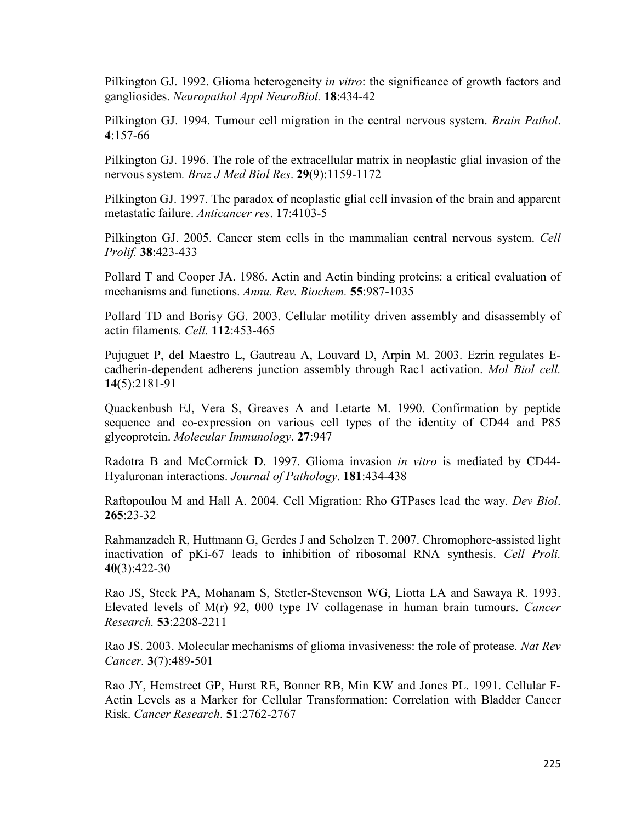Pilkington GJ. 1992. Glioma heterogeneity *in vitro*: the significance of growth factors and gangliosides. *Neuropathol Appl NeuroBiol.* **18**:434-42

Pilkington GJ. 1994. Tumour cell migration in the central nervous system. *Brain Pathol*. **4**:157-66

Pilkington GJ. 1996. The role of the extracellular matrix in neoplastic glial invasion of the nervous system*. Braz J Med Biol Res*. **29**(9):1159-1172

Pilkington GJ. 1997. The paradox of neoplastic glial cell invasion of the brain and apparent metastatic failure. *Anticancer res*. **17**:4103-5

Pilkington GJ. 2005. Cancer stem cells in the mammalian central nervous system. *Cell Prolif.* **38**:423-433

Pollard T and Cooper JA. 1986. Actin and Actin binding proteins: a critical evaluation of mechanisms and functions. *Annu. Rev. Biochem.* **55**:987-1035

Pollard TD and Borisy GG. 2003. Cellular motility driven assembly and disassembly of actin filaments*. Cell.* **112**:453-465

Pujuguet P, del Maestro L, Gautreau A, Louvard D, Arpin M. 2003. Ezrin regulates Ecadherin-dependent adherens junction assembly through Rac1 activation. *Mol Biol cell.* **14**(5):2181-91

Quackenbush EJ, Vera S, Greaves A and Letarte M. 1990. Confirmation by peptide sequence and co-expression on various cell types of the identity of CD44 and P85 glycoprotein. *Molecular Immunology*. **27**:947

Radotra B and McCormick D. 1997. Glioma invasion *in vitro* is mediated by CD44- Hyaluronan interactions. *Journal of Pathology*. **181**:434-438

Raftopoulou M and Hall A. 2004. Cell Migration: Rho GTPases lead the way. *Dev Biol*. **265**:23-32

Rahmanzadeh R, Huttmann G, Gerdes J and Scholzen T. 2007. Chromophore-assisted light inactivation of pKi-67 leads to inhibition of ribosomal RNA synthesis. *Cell Proli.* **40**(3):422-30

Rao JS, Steck PA, Mohanam S, Stetler-Stevenson WG, Liotta LA and Sawaya R. 1993. Elevated levels of M(r) 92, 000 type IV collagenase in human brain tumours. *Cancer Research.* **53**:2208-2211

Rao JS. 2003. Molecular mechanisms of glioma invasiveness: the role of protease. *Nat Rev Cancer.* **3**(7):489-501

Rao JY, Hemstreet GP, Hurst RE, Bonner RB, Min KW and Jones PL. 1991. Cellular F-Actin Levels as a Marker for Cellular Transformation: Correlation with Bladder Cancer Risk. *Cancer Research*. **51**:2762-2767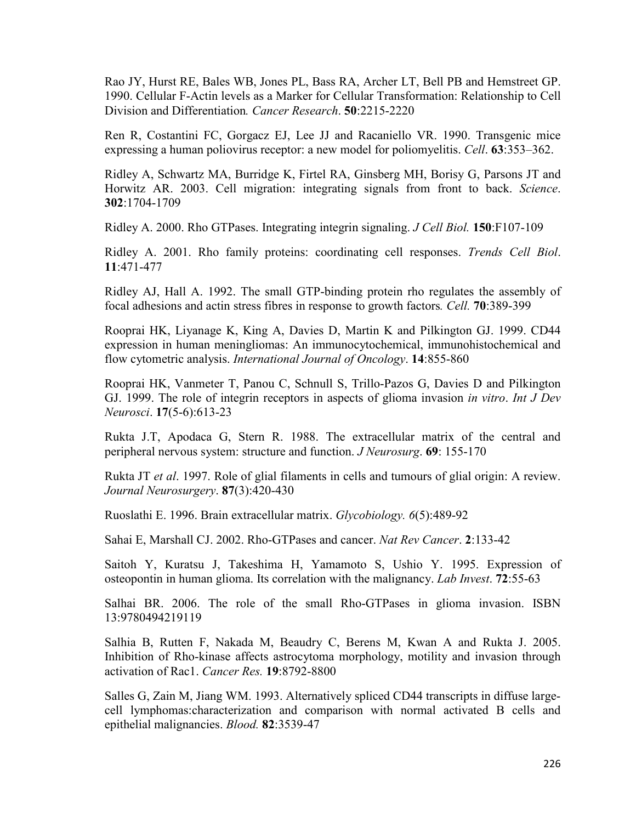Rao JY, Hurst RE, Bales WB, Jones PL, Bass RA, Archer LT, Bell PB and Hemstreet GP. 1990. Cellular F-Actin levels as a Marker for Cellular Transformation: Relationship to Cell Division and Differentiation*. Cancer Research*. **50**:2215-2220

Ren R, Costantini FC, Gorgacz EJ, Lee JJ and Racaniello VR. 1990. Transgenic mice expressing a human poliovirus receptor: a new model for poliomyelitis. *Cell*. **63**:353–362.

Ridley A, Schwartz MA, Burridge K, Firtel RA, Ginsberg MH, Borisy G, Parsons JT and Horwitz AR. 2003. Cell migration: integrating signals from front to back. *Science*. **302**:1704-1709

Ridley A. 2000. Rho GTPases. Integrating integrin signaling. *J Cell Biol.* **150**:F107-109

Ridley A. 2001. Rho family proteins: coordinating cell responses. *Trends Cell Biol*. **11**:471-477

Ridley AJ, Hall A. 1992. The small GTP-binding protein rho regulates the assembly of focal adhesions and actin stress fibres in response to growth factors*. Cell.* **70**:389-399

Rooprai HK, Liyanage K, King A, Davies D, Martin K and Pilkington GJ. 1999. CD44 expression in human meningliomas: An immunocytochemical, immunohistochemical and flow cytometric analysis. *International Journal of Oncology*. **14**:855-860

Rooprai HK, Vanmeter T, Panou C, Schnull S, Trillo-Pazos G, Davies D and Pilkington GJ. 1999. The role of integrin receptors in aspects of glioma invasion *in vitro*. *Int J Dev Neurosci*. **17**(5-6):613-23

Rukta J.T, Apodaca G, Stern R. 1988. The extracellular matrix of the central and peripheral nervous system: structure and function. *J Neurosurg*. **69**: 155-170

Rukta JT *et al*. 1997. Role of glial filaments in cells and tumours of glial origin: A review. *Journal Neurosurgery*. **87**(3):420-430

Ruoslathi E. 1996. Brain extracellular matrix. *Glycobiology. 6*(5):489-92

Sahai E, Marshall CJ. 2002. Rho-GTPases and cancer. *Nat Rev Cancer*. **2**:133-42

Saitoh Y, Kuratsu J, Takeshima H, Yamamoto S, Ushio Y. 1995. Expression of osteopontin in human glioma. Its correlation with the malignancy. *Lab Invest*. **72**:55-63

Salhai BR. 2006. The role of the small Rho-GTPases in glioma invasion. ISBN 13:9780494219119

Salhia B, Rutten F, Nakada M, Beaudry C, Berens M, Kwan A and Rukta J. 2005. Inhibition of Rho-kinase affects astrocytoma morphology, motility and invasion through activation of Rac1. *Cancer Res.* **19**:8792-8800

Salles G, Zain M, Jiang WM. 1993. Alternatively spliced CD44 transcripts in diffuse largecell lymphomas:characterization and comparison with normal activated B cells and epithelial malignancies. *Blood.* **82**:3539-47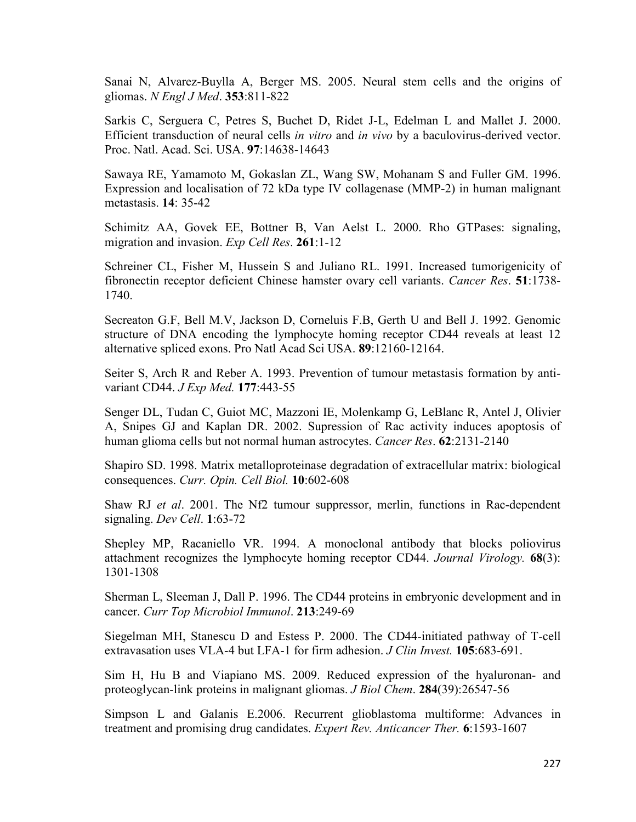Sanai N, Alvarez-Buylla A, Berger MS. 2005. Neural stem cells and the origins of gliomas. *N Engl J Med*. **353**:811-822

Sarkis C, Serguera C, Petres S, Buchet D, Ridet J-L, Edelman L and Mallet J. 2000. Efficient transduction of neural cells *in vitro* and *in vivo* by a baculovirus-derived vector. Proc. Natl. Acad. Sci. USA. **97**:14638-14643

Sawaya RE, Yamamoto M, Gokaslan ZL, Wang SW, Mohanam S and Fuller GM. 1996. Expression and localisation of 72 kDa type IV collagenase (MMP-2) in human malignant metastasis. **14**: 35-42

Schimitz AA, Govek EE, Bottner B, Van Aelst L. 2000. Rho GTPases: signaling, migration and invasion. *Exp Cell Res*. **261**:1-12

Schreiner CL, Fisher M, Hussein S and Juliano RL. 1991. Increased tumorigenicity of fibronectin receptor deficient Chinese hamster ovary cell variants. *Cancer Res*. **51**:1738- 1740.

Secreaton G.F, Bell M.V, Jackson D, Corneluis F.B, Gerth U and Bell J. 1992. Genomic structure of DNA encoding the lymphocyte homing receptor CD44 reveals at least 12 alternative spliced exons. Pro Natl Acad Sci USA. **89**:12160-12164.

Seiter S, Arch R and Reber A. 1993. Prevention of tumour metastasis formation by antivariant CD44. *J Exp Med.* **177**:443-55

Senger DL, Tudan C, Guiot MC, Mazzoni IE, Molenkamp G, LeBlanc R, Antel J, Olivier A, Snipes GJ and Kaplan DR. 2002. Supression of Rac activity induces apoptosis of human glioma cells but not normal human astrocytes. *Cancer Res*. **62**:2131-2140

Shapiro SD. 1998. Matrix metalloproteinase degradation of extracellular matrix: biological consequences. *Curr. Opin. Cell Biol.* **10**:602-608

Shaw RJ *et al*. 2001. The Nf2 tumour suppressor, merlin, functions in Rac-dependent signaling. *Dev Cell*. **1**:63-72

Shepley MP, Racaniello VR. 1994. A monoclonal antibody that blocks poliovirus attachment recognizes the lymphocyte homing receptor CD44. *Journal Virology.* **68**(3): 1301-1308

Sherman L, Sleeman J, Dall P. 1996. The CD44 proteins in embryonic development and in cancer. *Curr Top Microbiol Immunol*. **213**:249-69

Siegelman MH, Stanescu D and Estess P. 2000. The CD44-initiated pathway of T-cell extravasation uses VLA-4 but LFA-1 for firm adhesion. *J Clin Invest.* **105**:683-691.

Sim H, Hu B and Viapiano MS. 2009. Reduced expression of the hyaluronan- and proteoglycan-link proteins in malignant gliomas. *J Biol Chem*. **284**(39):26547-56

Simpson L and Galanis E.2006. Recurrent glioblastoma multiforme: Advances in treatment and promising drug candidates. *Expert Rev. Anticancer Ther.* **6**:1593-1607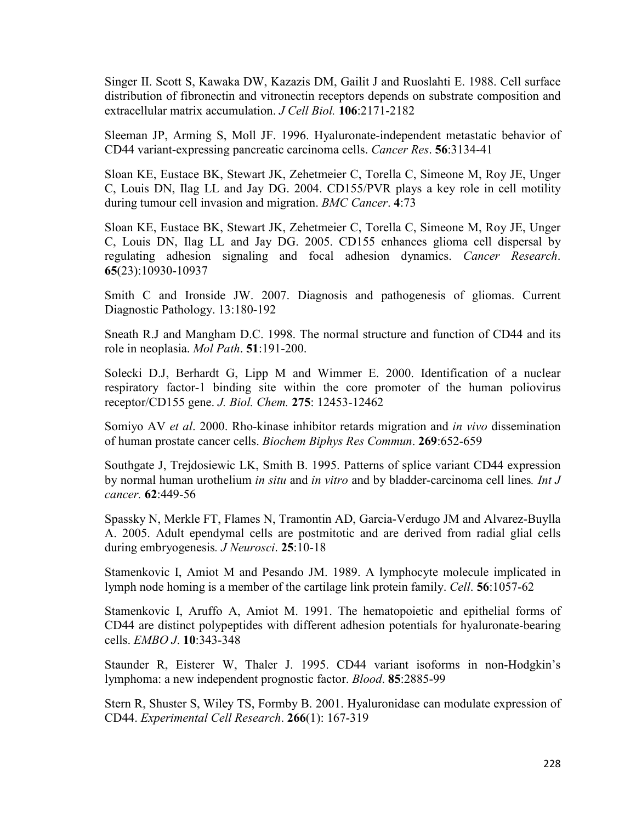Singer II. Scott S, Kawaka DW, Kazazis DM, Gailit J and Ruoslahti E. 1988. Cell surface distribution of fibronectin and vitronectin receptors depends on substrate composition and extracellular matrix accumulation. *J Cell Biol.* **106**:2171-2182

Sleeman JP, Arming S, Moll JF. 1996. Hyaluronate-independent metastatic behavior of CD44 variant-expressing pancreatic carcinoma cells. *Cancer Res*. **56**:3134-41

Sloan KE, Eustace BK, Stewart JK, Zehetmeier C, Torella C, Simeone M, Roy JE, Unger C, Louis DN, Ilag LL and Jay DG. 2004. CD155/PVR plays a key role in cell motility during tumour cell invasion and migration. *BMC Cancer*. **4**:73

Sloan KE, Eustace BK, Stewart JK, Zehetmeier C, Torella C, Simeone M, Roy JE, Unger C, Louis DN, Ilag LL and Jay DG. 2005. CD155 enhances glioma cell dispersal by regulating adhesion signaling and focal adhesion dynamics. *Cancer Research*. **65**(23):10930-10937

Smith C and Ironside JW. 2007. Diagnosis and pathogenesis of gliomas. Current Diagnostic Pathology. 13:180-192

Sneath R.J and Mangham D.C. 1998. The normal structure and function of CD44 and its role in neoplasia. *Mol Path*. **51**:191-200.

Solecki D.J, Berhardt G, Lipp M and Wimmer E. 2000. Identification of a nuclear respiratory factor-1 binding site within the core promoter of the human poliovirus receptor/CD155 gene. *J. Biol. Chem.* **275**: 12453-12462

Somiyo AV *et al*. 2000. Rho-kinase inhibitor retards migration and *in vivo* dissemination of human prostate cancer cells. *Biochem Biphys Res Commun*. **269**:652-659

Southgate J, Trejdosiewic LK, Smith B. 1995. Patterns of splice variant CD44 expression by normal human urothelium *in situ* and *in vitro* and by bladder-carcinoma cell lines*. Int J cancer.* **62**:449-56

Spassky N, Merkle FT, Flames N, Tramontin AD, Garcia-Verdugo JM and Alvarez-Buylla A. 2005. Adult ependymal cells are postmitotic and are derived from radial glial cells during embryogenesis*. J Neurosci*. **25**:10-18

Stamenkovic I, Amiot M and Pesando JM. 1989. A lymphocyte molecule implicated in lymph node homing is a member of the cartilage link protein family. *Cell*. **56**:1057-62

Stamenkovic I, Aruffo A, Amiot M. 1991. The hematopoietic and epithelial forms of CD44 are distinct polypeptides with different adhesion potentials for hyaluronate-bearing cells. *EMBO J*. **10**:343-348

Staunder R, Eisterer W, Thaler J. 1995. CD44 variant isoforms in non-Hodgkin's lymphoma: a new independent prognostic factor. *Blood*. **85**:2885-99

Stern R, Shuster S, Wiley TS, Formby B. 2001. Hyaluronidase can modulate expression of CD44. *Experimental Cell Research*. **266**(1): 167-319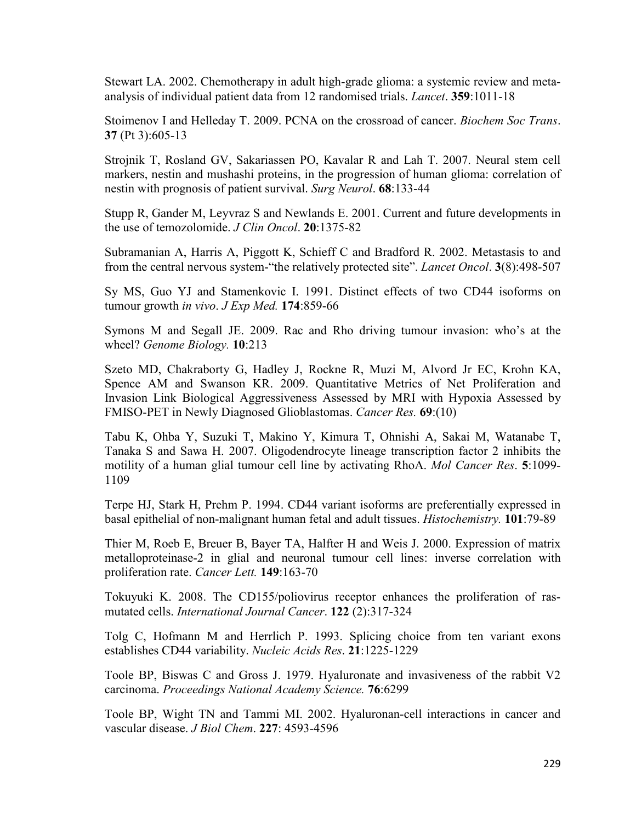Stewart LA. 2002. Chemotherapy in adult high-grade glioma: a systemic review and metaanalysis of individual patient data from 12 randomised trials. *Lancet*. **359**:1011-18

Stoimenov I and Helleday T. 2009. PCNA on the crossroad of cancer. *Biochem Soc Trans*. **37** (Pt 3):605-13

Strojnik T, Rosland GV, Sakariassen PO, Kavalar R and Lah T. 2007. Neural stem cell markers, nestin and mushashi proteins, in the progression of human glioma: correlation of nestin with prognosis of patient survival. *Surg Neurol*. **68**:133-44

Stupp R, Gander M, Leyvraz S and Newlands E. 2001. Current and future developments in the use of temozolomide. *J Clin Oncol*. **20**:1375-82

Subramanian A, Harris A, Piggott K, Schieff C and Bradford R. 2002. Metastasis to and from the central nervous system-"the relatively protected site". *Lancet Oncol*. **3**(8):498-507

Sy MS, Guo YJ and Stamenkovic I. 1991. Distinct effects of two CD44 isoforms on tumour growth *in vivo*. *J Exp Med.* **174**:859-66

Symons M and Segall JE. 2009. Rac and Rho driving tumour invasion: who's at the wheel? *Genome Biology.* **10**:213

Szeto MD, Chakraborty G, Hadley J, Rockne R, Muzi M, Alvord Jr EC, Krohn KA, Spence AM and Swanson KR. 2009. Quantitative Metrics of Net Proliferation and Invasion Link Biological Aggressiveness Assessed by MRI with Hypoxia Assessed by FMISO-PET in Newly Diagnosed Glioblastomas. *Cancer Res.* **69**:(10)

Tabu K, Ohba Y, Suzuki T, Makino Y, Kimura T, Ohnishi A, Sakai M, Watanabe T, Tanaka S and Sawa H. 2007. Oligodendrocyte lineage transcription factor 2 inhibits the motility of a human glial tumour cell line by activating RhoA. *Mol Cancer Res*. **5**:1099- 1109

Terpe HJ, Stark H, Prehm P. 1994. CD44 variant isoforms are preferentially expressed in basal epithelial of non-malignant human fetal and adult tissues. *Histochemistry.* **101**:79-89

Thier M, Roeb E, Breuer B, Bayer TA, Halfter H and Weis J. 2000. Expression of matrix metalloproteinase-2 in glial and neuronal tumour cell lines: inverse correlation with proliferation rate. *Cancer Lett.* **149**:163-70

Tokuyuki K. 2008. The CD155/poliovirus receptor enhances the proliferation of rasmutated cells. *International Journal Cancer*. **122** (2):317-324

Tolg C, Hofmann M and Herrlich P. 1993. Splicing choice from ten variant exons establishes CD44 variability. *Nucleic Acids Res*. **21**:1225-1229

Toole BP, Biswas C and Gross J. 1979. Hyaluronate and invasiveness of the rabbit V2 carcinoma. *Proceedings National Academy Science.* **76**:6299

Toole BP, Wight TN and Tammi MI. 2002. Hyaluronan-cell interactions in cancer and vascular disease. *J Biol Chem*. **227**: 4593-4596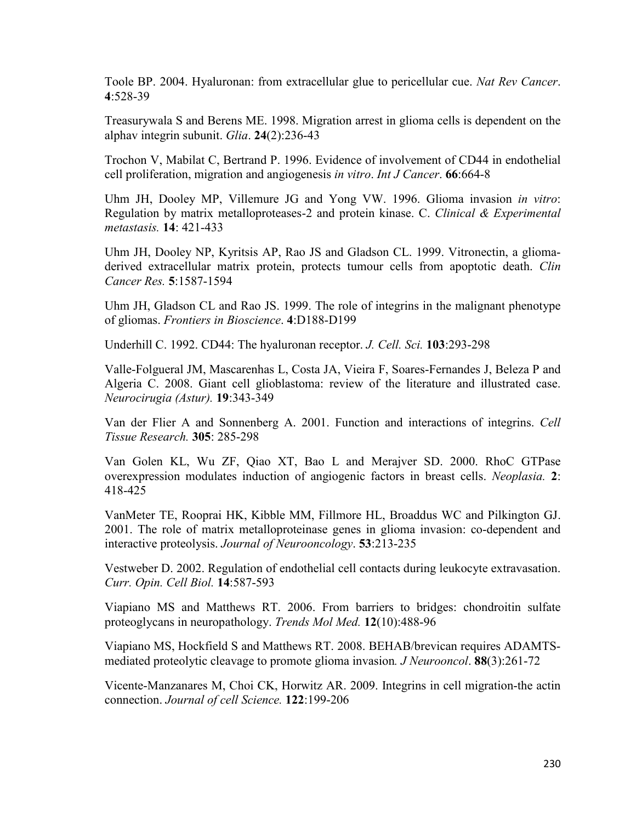Toole BP. 2004. Hyaluronan: from extracellular glue to pericellular cue. *Nat Rev Cancer*. **4**:528-39

Treasurywala S and Berens ME. 1998. Migration arrest in glioma cells is dependent on the alphav integrin subunit. *Glia*. **24**(2):236-43

Trochon V, Mabilat C, Bertrand P. 1996. Evidence of involvement of CD44 in endothelial cell proliferation, migration and angiogenesis *in vitro*. *Int J Cancer*. **66**:664-8

Uhm JH, Dooley MP, Villemure JG and Yong VW. 1996. Glioma invasion *in vitro*: Regulation by matrix metalloproteases-2 and protein kinase. C. *Clinical & Experimental metastasis.* **14**: 421-433

Uhm JH, Dooley NP, Kyritsis AP, Rao JS and Gladson CL. 1999. Vitronectin, a gliomaderived extracellular matrix protein, protects tumour cells from apoptotic death. *Clin Cancer Res.* **5**:1587-1594

Uhm JH, Gladson CL and Rao JS. 1999. The role of integrins in the malignant phenotype of gliomas. *Frontiers in Bioscience*. **4**:D188-D199

Underhill C. 1992. CD44: The hyaluronan receptor. *J. Cell. Sci.* **103**:293-298

Valle-Folgueral JM, Mascarenhas L, Costa JA, Vieira F, Soares-Fernandes J, Beleza P and Algeria C. 2008. Giant cell glioblastoma: review of the literature and illustrated case. *Neurocirugia (Astur).* **19**:343-349

Van der Flier A and Sonnenberg A. 2001. Function and interactions of integrins. *Cell Tissue Research.* **305**: 285-298

Van Golen KL, Wu ZF, Qiao XT, Bao L and Merajver SD. 2000. RhoC GTPase overexpression modulates induction of angiogenic factors in breast cells. *Neoplasia.* **2**: 418-425

VanMeter TE, Rooprai HK, Kibble MM, Fillmore HL, Broaddus WC and Pilkington GJ. 2001. The role of matrix metalloproteinase genes in glioma invasion: co-dependent and interactive proteolysis. *Journal of Neurooncology*. **53**:213-235

Vestweber D. 2002. Regulation of endothelial cell contacts during leukocyte extravasation. *Curr. Opin. Cell Biol.* **14**:587-593

Viapiano MS and Matthews RT. 2006. From barriers to bridges: chondroitin sulfate proteoglycans in neuropathology. *Trends Mol Med.* **12**(10):488-96

Viapiano MS, Hockfield S and Matthews RT. 2008. BEHAB/brevican requires ADAMTSmediated proteolytic cleavage to promote glioma invasion*. J Neurooncol*. **88**(3):261-72

Vicente-Manzanares M, Choi CK, Horwitz AR. 2009. Integrins in cell migration-the actin connection. *Journal of cell Science.* **122**:199-206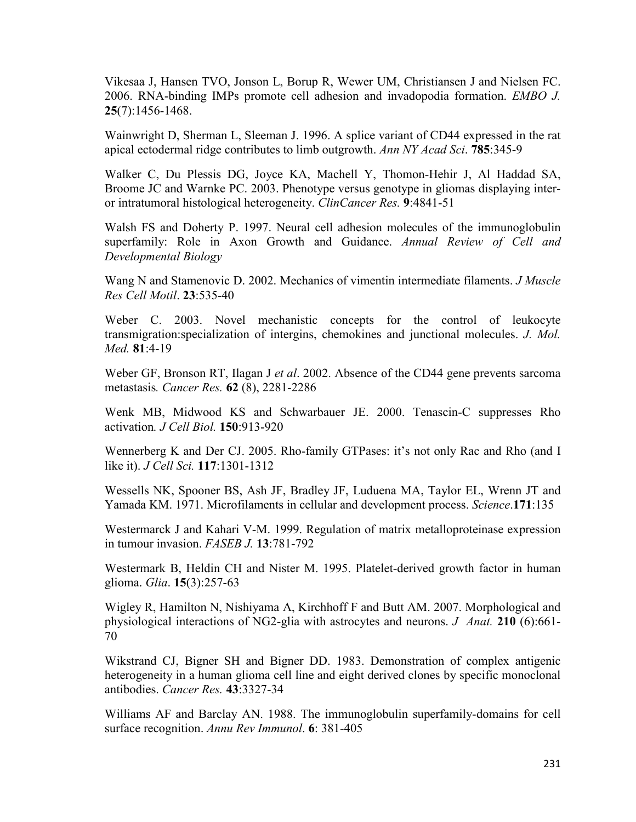Vikesaa J, Hansen TVO, Jonson L, Borup R, Wewer UM, Christiansen J and Nielsen FC. 2006. RNA-binding IMPs promote cell adhesion and invadopodia formation. *EMBO J.* **25**(7):1456-1468.

Wainwright D, Sherman L, Sleeman J. 1996. A splice variant of CD44 expressed in the rat apical ectodermal ridge contributes to limb outgrowth. *Ann NY Acad Sci*. **785**:345-9

Walker C, Du Plessis DG, Joyce KA, Machell Y, Thomon-Hehir J, Al Haddad SA, Broome JC and Warnke PC. 2003. Phenotype versus genotype in gliomas displaying interor intratumoral histological heterogeneity. *ClinCancer Res.* **9**:4841-51

Walsh FS and Doherty P. 1997. Neural cell adhesion molecules of the immunoglobulin superfamily: Role in Axon Growth and Guidance. *Annual Review of Cell and Developmental Biology* 

Wang N and Stamenovic D. 2002. Mechanics of vimentin intermediate filaments. *J Muscle Res Cell Motil*. **23**:535-40

Weber C. 2003. Novel mechanistic concepts for the control of leukocyte transmigration:specialization of intergins, chemokines and junctional molecules. *J. Mol. Med.* **81**:4-19

Weber GF, Bronson RT, Ilagan J *et al*. 2002. Absence of the CD44 gene prevents sarcoma metastasis*. Cancer Res.* **62** (8), 2281-2286

Wenk MB, Midwood KS and Schwarbauer JE. 2000. Tenascin-C suppresses Rho activation*. J Cell Biol.* **150**:913-920

Wennerberg K and Der CJ. 2005. Rho-family GTPases: it's not only Rac and Rho (and I like it). *J Cell Sci.* **117**:1301-1312

Wessells NK, Spooner BS, Ash JF, Bradley JF, Luduena MA, Taylor EL, Wrenn JT and Yamada KM. 1971. Microfilaments in cellular and development process. *Science*.**171**:135

Westermarck J and Kahari V-M. 1999. Regulation of matrix metalloproteinase expression in tumour invasion. *FASEB J.* **13**:781-792

Westermark B, Heldin CH and Nister M. 1995. Platelet-derived growth factor in human glioma. *Glia*. **15**(3):257-63

Wigley R, Hamilton N, Nishiyama A, Kirchhoff F and Butt AM. 2007. Morphological and physiological interactions of NG2-glia with astrocytes and neurons. *J Anat.* **210** (6):661- 70

Wikstrand CJ, Bigner SH and Bigner DD. 1983. Demonstration of complex antigenic heterogeneity in a human glioma cell line and eight derived clones by specific monoclonal antibodies. *Cancer Res.* **43**:3327-34

Williams AF and Barclay AN. 1988. The immunoglobulin superfamily-domains for cell surface recognition. *Annu Rev Immunol*. **6**: 381-405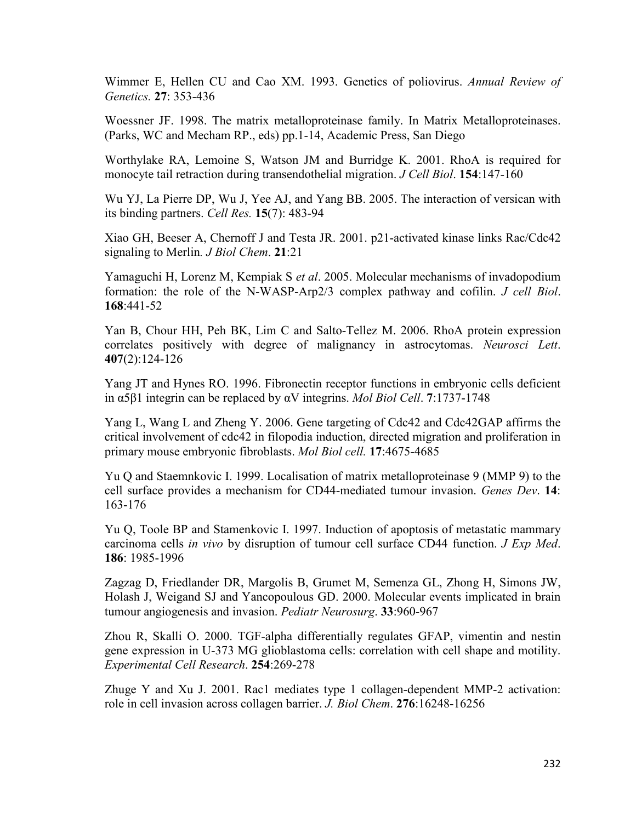Wimmer E, Hellen CU and Cao XM. 1993. Genetics of poliovirus. *Annual Review of Genetics.* **27**: 353-436

Woessner JF. 1998. The matrix metalloproteinase family. In Matrix Metalloproteinases. (Parks, WC and Mecham RP., eds) pp.1-14, Academic Press, San Diego

Worthylake RA, Lemoine S, Watson JM and Burridge K. 2001. RhoA is required for monocyte tail retraction during transendothelial migration. *J Cell Biol*. **154**:147-160

Wu YJ, La Pierre DP, Wu J, Yee AJ, and Yang BB. 2005. The interaction of versican with its binding partners. *Cell Res.* **15**(7): 483-94

Xiao GH, Beeser A, Chernoff J and Testa JR. 2001. p21-activated kinase links Rac/Cdc42 signaling to Merlin*. J Biol Chem*. **21**:21

Yamaguchi H, Lorenz M, Kempiak S *et al*. 2005. Molecular mechanisms of invadopodium formation: the role of the N-WASP-Arp2/3 complex pathway and cofilin. *J cell Biol*. **168**:441-52

Yan B, Chour HH, Peh BK, Lim C and Salto-Tellez M. 2006. RhoA protein expression correlates positively with degree of malignancy in astrocytomas. *Neurosci Lett*. **407**(2):124-126

Yang JT and Hynes RO. 1996. Fibronectin receptor functions in embryonic cells deficient in α5β1 integrin can be replaced by αV integrins. *Mol Biol Cell*. **7**:1737-1748

Yang L, Wang L and Zheng Y. 2006. Gene targeting of Cdc42 and Cdc42GAP affirms the critical involvement of cdc42 in filopodia induction, directed migration and proliferation in primary mouse embryonic fibroblasts. *Mol Biol cell.* **17**:4675-4685

Yu Q and Staemnkovic I. 1999. Localisation of matrix metalloproteinase 9 (MMP 9) to the cell surface provides a mechanism for CD44-mediated tumour invasion. *Genes Dev*. **14**: 163-176

Yu Q, Toole BP and Stamenkovic I. 1997. Induction of apoptosis of metastatic mammary carcinoma cells *in vivo* by disruption of tumour cell surface CD44 function. *J Exp Med*. **186**: 1985-1996

Zagzag D, Friedlander DR, Margolis B, Grumet M, Semenza GL, Zhong H, Simons JW, Holash J, Weigand SJ and Yancopoulous GD. 2000. Molecular events implicated in brain tumour angiogenesis and invasion. *Pediatr Neurosurg*. **33**:960-967

Zhou R, Skalli O. 2000. TGF-alpha differentially regulates GFAP, vimentin and nestin gene expression in U-373 MG glioblastoma cells: correlation with cell shape and motility. *Experimental Cell Research*. **254**:269-278

Zhuge Y and Xu J. 2001. Rac1 mediates type 1 collagen-dependent MMP-2 activation: role in cell invasion across collagen barrier. *J. Biol Chem*. **276**:16248-16256